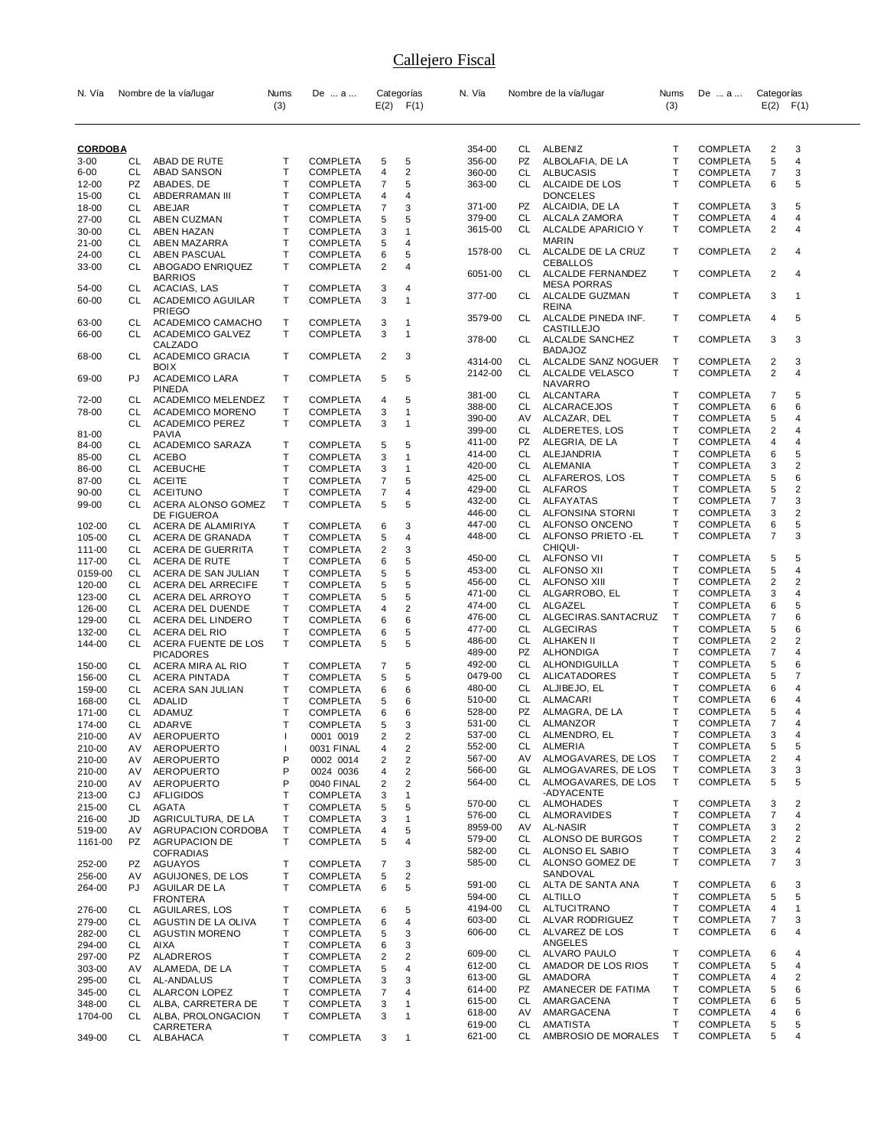| N. Vía           |          | Nombre de la vía/lugar                    | Nums<br>(3) | De  a                              |                | Categorías<br>$E(2)$ $F(1)$  | N. Vía           |    | Nombre de la vía/lugar                | Nums<br>(3) | De  a                              | Categorías<br>$E(2)$ $F(1)$ |   |
|------------------|----------|-------------------------------------------|-------------|------------------------------------|----------------|------------------------------|------------------|----|---------------------------------------|-------------|------------------------------------|-----------------------------|---|
|                  |          |                                           |             |                                    |                |                              |                  |    |                                       |             |                                    |                             |   |
| <b>CORDOBA</b>   |          |                                           |             |                                    |                |                              | 354-00           | CL | ALBENIZ                               | т           | <b>COMPLETA</b>                    | 2                           | 3 |
| $3 - 00$         | CL       | ABAD DE RUTE                              | Т           | <b>COMPLETA</b>                    | 5              | 5                            | 356-00           | PZ | ALBOLAFIA, DE LA                      | T           | <b>COMPLETA</b>                    | 5                           | 4 |
| $6 - 00$         | CL       | <b>ABAD SANSON</b>                        | Т           | <b>COMPLETA</b>                    | 4              | 2                            | 360-00           | CL | <b>ALBUCASIS</b>                      | т           | <b>COMPLETA</b>                    | $\overline{7}$              | 3 |
| 12-00            | PZ       | ABADES, DE                                | T           | <b>COMPLETA</b>                    | 7              | 5                            | 363-00           | CL | ALCAIDE DE LOS                        | т           | <b>COMPLETA</b>                    | 6                           | 5 |
| 15-00            | CL       | ABDERRAMAN III                            | T           | <b>COMPLETA</b>                    | 4              | 4                            | 371-00           | PZ | <b>DONCELES</b><br>ALCAIDIA, DE LA    | т           | <b>COMPLETA</b>                    | 3                           | 5 |
| 18-00            | CL       | ABEJAR                                    | Т           | <b>COMPLETA</b>                    | 7              | 3<br>5                       | 379-00           | CL | ALCALA ZAMORA                         | т           | <b>COMPLETA</b>                    | 4                           | 4 |
| 27-00            | CL       | ABEN CUZMAN                               | Т<br>T      | <b>COMPLETA</b>                    | 5              | 1                            | 3615-00          | CL | ALCALDE APARICIO Y                    | т           | <b>COMPLETA</b>                    | 2                           | 4 |
| 30-00<br>21-00   | CL<br>CL | ABEN HAZAN<br>ABEN MAZARRA                | T           | <b>COMPLETA</b><br><b>COMPLETA</b> | 3<br>5         | 4                            |                  |    | MARIN                                 |             |                                    |                             |   |
| 24-00            | CL       | ABEN PASCUAL                              | Т           | <b>COMPLETA</b>                    | 6              | 5                            | 1578-00          | CL | ALCALDE DE LA CRUZ                    | т           | <b>COMPLETA</b>                    | $\overline{2}$              | 4 |
| 33-00            | CL       | ABOGADO ENRIQUEZ<br><b>BARRIOS</b>        | т           | <b>COMPLETA</b>                    | 2              | 4                            | 6051-00          | CL | <b>CEBALLOS</b><br>ALCALDE FERNANDEZ  | т           | <b>COMPLETA</b>                    | $\overline{2}$              | 4 |
| 54-00            | CL       | ACACIAS, LAS                              | т           | <b>COMPLETA</b>                    | 3              | 4                            | 377-00           | CL | <b>MESA PORRAS</b><br>ALCALDE GUZMAN  | т           | <b>COMPLETA</b>                    | 3                           | 1 |
| 60-00            | СL       | <b>ACADEMICO AGUILAR</b><br><b>PRIEGO</b> | т           | <b>COMPLETA</b>                    | 3              | $\mathbf{1}$                 | 3579-00          | CL | <b>REINA</b><br>ALCALDE PINEDA INF.   | т           | <b>COMPLETA</b>                    | 4                           | 5 |
| 63-00<br>66-00   | CL<br>СL | ACADEMICO CAMACHO<br>ACADEMICO GALVEZ     | т<br>T      | <b>COMPLETA</b><br><b>COMPLETA</b> | 3<br>3         | 1<br>$\mathbf{1}$            | 378-00           | CL | CASTILLEJO<br>ALCALDE SANCHEZ         | т           | <b>COMPLETA</b>                    | 3                           | 3 |
| 68-00            | CL       | CALZADO<br>ACADEMICO GRACIA               | Т           | <b>COMPLETA</b>                    | 2              | 3                            | 4314-00          | CL | <b>BADAJOZ</b><br>ALCALDE SANZ NOGUER | т           | <b>COMPLETA</b>                    | 2                           | 3 |
| 69-00            | PJ       | <b>BOIX</b><br><b>ACADEMICO LARA</b>      | T           | <b>COMPLETA</b>                    | 5              | 5                            | 2142-00          | CL | ALCALDE VELASCO                       | т           | <b>COMPLETA</b>                    | $\overline{2}$              | 4 |
| 72-00            | CL       | <b>PINEDA</b><br>ACADEMICO MELENDEZ       | Т           | <b>COMPLETA</b>                    | 4              | 5                            | 381-00           | CL | NAVARRO<br>ALCANTARA                  | т           | <b>COMPLETA</b>                    | 7                           | 5 |
| 78-00            | CL       | <b>ACADEMICO MORENO</b>                   | т           | <b>COMPLETA</b>                    | 3              | $\mathbf{1}$                 | 388-00           | CL | ALCARACEJOS                           | т           | <b>COMPLETA</b>                    | 6                           | 6 |
|                  | CL       | <b>ACADEMICO PEREZ</b>                    | т           | <b>COMPLETA</b>                    | 3              | 1                            | 390-00           | AV | ALCAZAR, DEL                          | т           | <b>COMPLETA</b>                    | 5                           | 4 |
| 81-00            |          | <b>PAVIA</b>                              |             |                                    |                |                              | 399-00           | CL | ALDERETES, LOS                        | т           | <b>COMPLETA</b>                    | $\overline{c}$              | 4 |
| 84-00            | CL.      | ACADEMICO SARAZA                          | т           | <b>COMPLETA</b>                    | 5              | 5                            | 411-00           | PZ | ALEGRIA, DE LA                        | т           | <b>COMPLETA</b>                    | 4                           | 4 |
| 85-00            | CL       | <b>ACEBO</b>                              | т           | <b>COMPLETA</b>                    | 3              | 1                            | 414-00           | CL | ALEJANDRIA                            | т           | <b>COMPLETA</b>                    | 6                           | 5 |
| 86-00            | CL       | <b>ACEBUCHE</b>                           | T           | <b>COMPLETA</b>                    | 3              | $\mathbf{1}$                 | 420-00           | CL | ALEMANIA                              | T           | <b>COMPLETA</b>                    | 3                           | 2 |
| 87-00            | CL       | <b>ACEITE</b>                             | Т           | <b>COMPLETA</b>                    | 7              | 5                            | 425-00           | CL | ALFAREROS, LOS                        | т           | <b>COMPLETA</b>                    | 5                           | 6 |
| 90-00            | CL       | <b>ACEITUNO</b>                           | T           | <b>COMPLETA</b>                    | $\overline{7}$ | 4                            | 429-00           | CL | <b>ALFAROS</b>                        | т           | <b>COMPLETA</b>                    | 5                           | 2 |
| 99-00            | СL       | ACERA ALONSO GOMEZ                        | T           | <b>COMPLETA</b>                    | 5              | 5                            | 432-00           | CL | ALFAYATAS                             | Т           | <b>COMPLETA</b>                    | $\overline{7}$              | 3 |
|                  |          | DE FIGUEROA                               |             |                                    |                |                              | 446-00           | CL | ALFONSINA STORNI                      | т           | <b>COMPLETA</b>                    | 3                           | 2 |
| 102-00           | CL       | ACERA DE ALAMIRIYA                        | T           | <b>COMPLETA</b>                    | 6              | 3                            | 447-00           | CL | ALFONSO ONCENO                        | т           | <b>COMPLETA</b>                    | 6                           | 5 |
| 105-00           | CL       | ACERA DE GRANADA                          | т           | <b>COMPLETA</b>                    | 5              | 4                            | 448-00           | CL | ALFONSO PRIETO - EL                   | т           | <b>COMPLETA</b>                    | $\overline{7}$              | 3 |
| 111-00           | CL       | ACERA DE GUERRITA                         | т           | <b>COMPLETA</b>                    | 2              | 3                            | 450-00           | CL | CHIQUI-<br>ALFONSO VII                | т           | <b>COMPLETA</b>                    | 5                           | 5 |
| 117-00           | CL       | ACERA DE RUTE                             | Т           | <b>COMPLETA</b>                    | 6              | 5                            | 453-00           | CL | ALFONSO XII                           | Т           | <b>COMPLETA</b>                    | 5                           | 4 |
| 0159-00          | CL       | ACERA DE SAN JULIAN                       | T           | <b>COMPLETA</b>                    | 5              | 5                            |                  | CL | <b>ALFONSO XIII</b>                   | Т           |                                    | 2                           | 2 |
| 120-00           | CL       | ACERA DEL ARRECIFE                        | Т           | <b>COMPLETA</b>                    | 5              | 5                            | 456-00<br>471-00 | CL | ALGARROBO, EL                         | т           | <b>COMPLETA</b><br><b>COMPLETA</b> | 3                           | 4 |
| 123-00           | CL       | ACERA DEL ARROYO                          | Т           | <b>COMPLETA</b>                    | 5              | 5                            | 474-00           | CL | ALGAZEL                               | т           | <b>COMPLETA</b>                    | 6                           | 5 |
| 126-00           | CL       | ACERA DEL DUENDE                          | т           | <b>COMPLETA</b>                    | 4              | 2                            | 476-00           | CL | ALGECIRAS.SANTACRUZ                   | т           | <b>COMPLETA</b>                    | 7                           | 6 |
| 129-00           | CL       | ACERA DEL LINDERO                         | T           | <b>COMPLETA</b>                    | 6              | 6                            | 477-00           | CL | <b>ALGECIRAS</b>                      | т           | <b>COMPLETA</b>                    | 5                           | 6 |
| 132-00           | CL       | ACERA DEL RIO                             | Т           | <b>COMPLETA</b>                    | 6              | 5                            | 486-00           | CL | ALHAKEN II                            | Т           | <b>COMPLETA</b>                    | $\overline{2}$              | 2 |
| 144-00           | CL       | ACERA FUENTE DE LOS                       | т           | <b>COMPLETA</b>                    | 5              | 5                            | 489-00           | PZ | ALHONDIGA                             | Т           | <b>COMPLETA</b>                    | $\overline{7}$              | 4 |
|                  | CL       | <b>PICADORES</b>                          | Т           | <b>COMPLETA</b>                    | 7              | 5                            | 492-00           | CL | ALHONDIGUILLA                         | т           | <b>COMPLETA</b>                    | 5                           | 6 |
| 150-00<br>156-00 | CL       | ACERA MIRA AL RIO<br><b>ACERA PINTADA</b> | т           | <b>COMPLETA</b>                    | 5              | 5                            | 0479-00          | CL | <b>ALICATADORES</b>                   | Т           | <b>COMPLETA</b>                    | 5                           | 7 |
|                  | CL       |                                           | Т           | <b>COMPLETA</b>                    | 6              | 6                            | 480-00           | CL | ALJIBEJO, EL                          | т           | <b>COMPLETA</b>                    | 6                           | 4 |
| 159-00<br>168-00 | CL       | ACERA SAN JULIAN<br>ADALID                | т           | <b>COMPLETA</b>                    | 5              | 6                            | 510-00           | CL | ALMACARI                              | т           | <b>COMPLETA</b>                    | 6                           | 4 |
| 171-00           | СL       | ADAMUZ                                    | Т           | <b>COMPLETA</b>                    | 6              | 6                            | 528-00           | PZ | ALMAGRA, DE LA                        | т           | <b>COMPLETA</b>                    | 5                           | 4 |
| 174-00           | СL       | <b>ADARVE</b>                             | T           | <b>COMPLETA</b>                    | 5              | 3                            | 531-00           | CL | ALMANZOR                              | т           | <b>COMPLETA</b>                    | 7                           | 4 |
|                  |          | AEROPUERTO                                |             |                                    |                |                              | 537-00           | СL | ALMENDRO, EL                          | т           | <b>COMPLETA</b>                    | 3                           | 4 |
| 210-00<br>210-00 | AV<br>AV | <b>AEROPUERTO</b>                         | I           | 0001 0019<br>0031 FINAL            | 2<br>4         | 2<br>$\overline{\mathbf{c}}$ | 552-00           | CL | ALMERIA                               | т           | <b>COMPLETA</b>                    | 5                           | 5 |
| 210-00           | AV       | <b>AEROPUERTO</b>                         | P           | 0002 0014                          | 2              | 2                            | 567-00           | AV | ALMOGAVARES, DE LOS                   | т           | <b>COMPLETA</b>                    | 2                           | 4 |
| 210-00           | AV       | AEROPUERTO                                | P           | 0024 0036                          | 4              | 2                            | 566-00           | GL | ALMOGAVARES, DE LOS                   | Т           | <b>COMPLETA</b>                    | 3                           | 3 |
| 210-00           | AV       | AEROPUERTO                                | P           | 0040 FINAL                         | 2              | 2                            | 564-00           | CL | ALMOGAVARES, DE LOS                   | т           | <b>COMPLETA</b>                    | 5                           | 5 |
| 213-00           | CJ       | <b>AFLIGIDOS</b>                          | Т           | <b>COMPLETA</b>                    | 3              | 1                            |                  |    | -ADYACENTE                            |             |                                    |                             |   |
| 215-00           | СL       | <b>AGATA</b>                              | т           | <b>COMPLETA</b>                    | 5              | 5                            | 570-00           | CL | ALMOHADES                             | т           | <b>COMPLETA</b>                    | 3                           | 2 |
| 216-00           | JD       | AGRICULTURA, DE LA                        | т           | <b>COMPLETA</b>                    | 3              | 1                            | 576-00           | CL | ALMORAVIDES                           | Т           | <b>COMPLETA</b>                    | $\overline{7}$              | 4 |
| 519-00           | AV       | AGRUPACION CORDOBA                        | T           | <b>COMPLETA</b>                    | 4              | 5                            | 8959-00          | AV | AL-NASIR                              | т           | <b>COMPLETA</b>                    | 3                           | 2 |
| 1161-00          | PZ       | AGRUPACION DE                             | T           | <b>COMPLETA</b>                    | 5              | 4                            | 579-00           | CL | ALONSO DE BURGOS                      | т           | <b>COMPLETA</b>                    | $\overline{c}$              | 2 |
|                  |          | <b>COFRADIAS</b>                          |             |                                    |                |                              | 582-00           | CL | ALONSO EL SABIO                       | т           | <b>COMPLETA</b>                    | 3                           | 4 |
| 252-00           | PZ       | AGUAYOS                                   | Т           | <b>COMPLETA</b>                    | 7              | 3                            | 585-00           | CL | ALONSO GOMEZ DE                       | т           | <b>COMPLETA</b>                    | 7                           | 3 |
| 256-00           | AV       | AGUIJONES, DE LOS                         | Т           | <b>COMPLETA</b>                    | 5              | 2                            |                  |    | SANDOVAL                              |             |                                    |                             |   |
| 264-00           | PJ       | AGUILAR DE LA                             | T           | <b>COMPLETA</b>                    | 6              | 5                            | 591-00           | CL | ALTA DE SANTA ANA                     | т           | <b>COMPLETA</b>                    | 6                           | 3 |
|                  |          | <b>FRONTERA</b>                           |             |                                    |                |                              | 594-00           | CL | <b>ALTILLO</b>                        | Т           | <b>COMPLETA</b>                    | 5                           | 5 |
| 276-00           | CL       | AGUILARES, LOS                            | Т           | <b>COMPLETA</b>                    | 6              | 5                            | 4194-00          | CL | ALTUCITRANO                           | т           | <b>COMPLETA</b>                    | 4                           | 1 |
| 279-00           | CL       | AGUSTIN DE LA OLIVA                       | Т           | <b>COMPLETA</b>                    | 6              | 4                            | 603-00           | CL | ALVAR RODRIGUEZ                       | т           | <b>COMPLETA</b>                    | $\overline{7}$              | 3 |
| 282-00           | CL       | <b>AGUSTIN MORENO</b>                     | T           | <b>COMPLETA</b>                    | 5              | 3                            | 606-00           | CL | ALVAREZ DE LOS                        | т           | <b>COMPLETA</b>                    | 6                           | 4 |
| 294-00           | CL       | <b>AIXA</b>                               | Т           | <b>COMPLETA</b>                    | 6              | 3                            |                  |    | ANGELES                               |             |                                    |                             |   |
| 297-00           | PZ       | ALADREROS                                 | т           | <b>COMPLETA</b>                    | 2              | 2                            | 609-00           | CL | ALVARO PAULO                          | т           | <b>COMPLETA</b>                    | 6                           | 4 |
| 303-00           | AV       | ALAMEDA, DE LA                            | Т           | <b>COMPLETA</b>                    | 5              | 4                            | 612-00           | CL | AMADOR DE LOS RIOS                    | т           | <b>COMPLETA</b>                    | 5                           | 4 |
| 295-00           | CL       | AL-ANDALUS                                | Т           | <b>COMPLETA</b>                    | 3              | 3                            | 613-00           | GL | AMADORA                               | Т           | <b>COMPLETA</b>                    | 4                           | 2 |
| 345-00           | CL       | <b>ALARCON LOPEZ</b>                      | Τ           | <b>COMPLETA</b>                    | 7              | 4                            | 614-00           | PZ | AMANECER DE FATIMA                    | т           | <b>COMPLETA</b>                    | 5                           | 6 |
| 348-00           | СL       | ALBA, CARRETERA DE                        | Т           | <b>COMPLETA</b>                    | 3              | 1                            | 615-00           | CL | AMARGACENA                            | т           | <b>COMPLETA</b>                    | 6                           | 5 |
| 1704-00          | CL       | ALBA, PROLONGACION                        | T           | <b>COMPLETA</b>                    | 3              | $\mathbf{1}$                 | 618-00           | AV | AMARGACENA                            | Т           | <b>COMPLETA</b>                    | 4                           | 6 |
|                  |          | CARRETERA                                 |             |                                    |                |                              | 619-00           | CL | <b>AMATISTA</b>                       | т           | <b>COMPLETA</b>                    | 5                           | 5 |
| 349-00           | CL       | ALBAHACA                                  | т           | <b>COMPLETA</b>                    | 3              | 1                            | 621-00           | CL | AMBROSIO DE MORALES                   | Т           | <b>COMPLETA</b>                    | 5                           | 4 |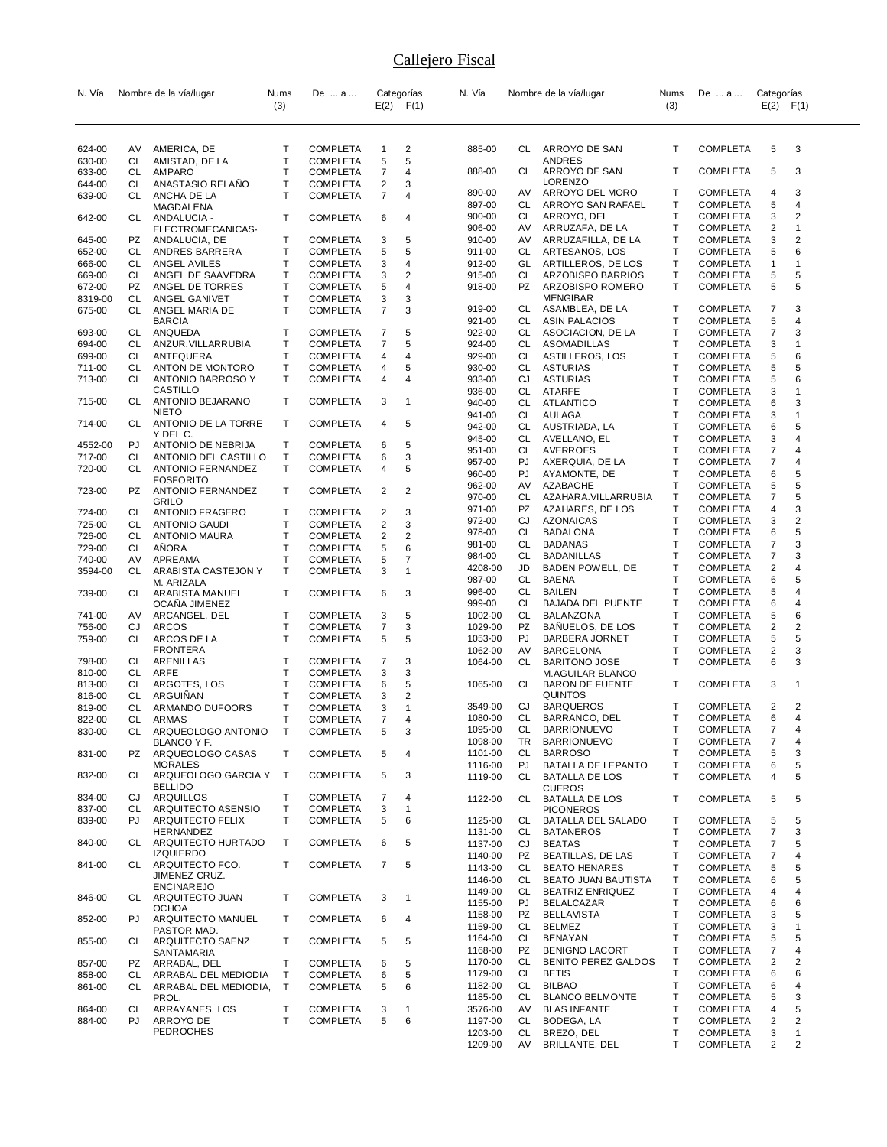| N. Vía            |           | Nombre de la vía/lugar                        | Nums   | De  a                              |                         | Categorías              | N. Vía             |                 | Nombre de la vía/lugar                            | Nums   | De  a                              | Categorías          |                         |
|-------------------|-----------|-----------------------------------------------|--------|------------------------------------|-------------------------|-------------------------|--------------------|-----------------|---------------------------------------------------|--------|------------------------------------|---------------------|-------------------------|
|                   |           |                                               | (3)    |                                    |                         | $E(2)$ $F(1)$           |                    |                 |                                                   | (3)    |                                    | $E(2)$ $F(1)$       |                         |
|                   |           |                                               |        |                                    |                         |                         |                    |                 |                                                   |        |                                    |                     |                         |
| 624-00            | AV        | AMERICA, DE                                   | т      | <b>COMPLETA</b>                    | 1                       | 2                       | 885-00             | CL              | ARROYO DE SAN                                     | т      | <b>COMPLETA</b>                    | 5                   | 3                       |
| 630-00            | CL        | AMISTAD, DE LA                                | T      | COMPLETA                           | 5                       | 5                       |                    |                 | ANDRES                                            |        |                                    |                     |                         |
| 633-00            | CL        | AMPARO                                        | T      | <b>COMPLETA</b>                    | $\overline{7}$          | 4                       | 888-00             | CL              | ARROYO DE SAN                                     | т      | <b>COMPLETA</b>                    | 5                   | 3                       |
| 644-00<br>639-00  | CL<br>CL  | ANASTASIO RELAÑO<br>ANCHA DE LA               | Τ<br>т | <b>COMPLETA</b><br><b>COMPLETA</b> | 2<br>7                  | 3<br>4                  | 890-00             | AV.             | <b>LORENZO</b><br>ARROYO DEL MORO                 | т      | <b>COMPLETA</b>                    | 4                   | 3                       |
|                   |           | MAGDALENA                                     |        |                                    |                         |                         | 897-00             | CL              | ARROYO SAN RAFAEL                                 | т      | <b>COMPLETA</b>                    | 5                   | 4                       |
| 642-00            | CL.       | ANDALUCIA -                                   | т      | <b>COMPLETA</b>                    | 6                       | 4                       | 900-00             | CL              | ARROYO, DEL                                       | т      | COMPLETA                           | 3                   | 2                       |
|                   |           | ELECTROMECANICAS-                             | т      |                                    |                         | 5                       | 906-00<br>910-00   | AV              | ARRUZAFA, DE LA                                   | т<br>т | <b>COMPLETA</b>                    | 2                   | 1<br>2                  |
| 645-00<br>652-00  | PZ<br>CL  | ANDALUCIA, DE<br>ANDRES BARRERA               | T      | <b>COMPLETA</b><br><b>COMPLETA</b> | 3<br>5                  | 5                       | 911-00             | AV<br>CL        | ARRUZAFILLA, DE LA<br>ARTESANOS, LOS              | Т      | COMPLETA<br><b>COMPLETA</b>        | 3<br>5              | 6                       |
| 666-00            | CL        | ANGEL AVILES                                  | T      | <b>COMPLETA</b>                    | 3                       | 4                       | 912-00             | GL              | ARTILLEROS, DE LOS                                | т      | COMPLETA                           | 1                   | 1                       |
| 669-00            | CL        | ANGEL DE SAAVEDRA                             | т      | <b>COMPLETA</b>                    | 3                       | $\overline{\mathbf{c}}$ | 915-00             | CL              | ARZOBISPO BARRIOS                                 | т      | <b>COMPLETA</b>                    | 5                   | 5                       |
| 672-00            | PZ        | ANGEL DE TORRES                               | т      | <b>COMPLETA</b>                    | 5                       | 4                       | 918-00             | PZ              | ARZOBISPO ROMERO                                  | т      | <b>COMPLETA</b>                    | 5                   | 5                       |
| 8319-00<br>675-00 | CL<br>CL  | ANGEL GANIVET<br>ANGEL MARIA DE               | T<br>Т | <b>COMPLETA</b><br><b>COMPLETA</b> | 3<br>$\overline{7}$     | 3<br>3                  | 919-00             | CL              | <b>MENGIBAR</b><br>ASAMBLEA, DE LA                | т      | COMPLETA                           | $\overline{7}$      | 3                       |
|                   |           | <b>BARCIA</b>                                 |        |                                    |                         |                         | 921-00             | CL              | <b>ASIN PALACIOS</b>                              | Т      | <b>COMPLETA</b>                    | 5                   | 4                       |
| 693-00            | CL        | ANQUEDA                                       | т      | <b>COMPLETA</b>                    | 7                       | 5                       | 922-00             | CL              | ASOCIACION, DE LA                                 | Т      | <b>COMPLETA</b>                    | 7                   | 3                       |
| 694-00            | CL        | ANZUR. VILLARRUBIA                            | т      | <b>COMPLETA</b>                    | 7                       | 5                       | 924-00             | CL              | ASOMADILLAS                                       | т      | <b>COMPLETA</b>                    | 3                   | $\overline{\mathbf{1}}$ |
| 699-00<br>711-00  | CL<br>CL. | ANTEQUERA<br>ANTON DE MONTORO                 | T<br>T | <b>COMPLETA</b><br><b>COMPLETA</b> | 4<br>4                  | 4<br>5                  | 929-00<br>930-00   | CL<br>CL        | ASTILLEROS, LOS<br><b>ASTURIAS</b>                | Т<br>T | <b>COMPLETA</b><br>COMPLETA        | 5<br>5              | 6<br>5                  |
| 713-00            | CL        | ANTONIO BARROSO Y                             | т      | <b>COMPLETA</b>                    | 4                       | 4                       | 933-00             | CJ              | <b>ASTURIAS</b>                                   | т      | <b>COMPLETA</b>                    | 5                   | 6                       |
|                   |           | CASTILLO                                      |        |                                    |                         |                         | 936-00             | CL              | <b>ATARFE</b>                                     | Т      | <b>COMPLETA</b>                    | 3                   | 1                       |
| 715-00            | CL.       | ANTONIO BEJARANO<br><b>NIETO</b>              | т      | <b>COMPLETA</b>                    | 3                       | -1                      | 940-00             | CL              | ATLANTICO                                         | Т      | <b>COMPLETA</b>                    | 6                   | 3                       |
| 714-00            | CL        | ANTONIO DE LA TORRE                           | т      | <b>COMPLETA</b>                    | 4                       | 5                       | 941-00<br>942-00   | CL<br>CL        | AULAGA<br>AUSTRIADA, LA                           | Т<br>Т | <b>COMPLETA</b><br><b>COMPLETA</b> | 3<br>6              | 1<br>5                  |
|                   |           | Y DEL C.                                      |        |                                    |                         |                         | 945-00             | CL              | AVELLANO, EL                                      | Т      | <b>COMPLETA</b>                    | 3                   | 4                       |
| 4552-00           | PJ        | ANTONIO DE NEBRIJA                            | т      | <b>COMPLETA</b>                    | 6                       | 5                       | 951-00             | CL              | AVERROES                                          | Т      | COMPLETA                           | 7                   | 4                       |
| 717-00<br>720-00  | CL<br>CL  | ANTONIO DEL CASTILLO<br>ANTONIO FERNANDEZ     | Т<br>т | <b>COMPLETA</b><br><b>COMPLETA</b> | 6<br>4                  | 3<br>5                  | 957-00             | PJ              | AXERQUIA, DE LA                                   | т      | <b>COMPLETA</b>                    | 7                   | 4                       |
|                   |           | <b>FOSFORITO</b>                              |        |                                    |                         |                         | 960-00             | PJ              | AYAMONTE, DE                                      | Т      | <b>COMPLETA</b>                    | 6                   | 5                       |
| 723-00            | PZ        | <b>ANTONIO FERNANDEZ</b>                      | т      | <b>COMPLETA</b>                    | 2                       | 2                       | 962-00<br>970-00   | AV.<br>CL       | AZABACHE<br>AZAHARA. VILLARRUBIA                  | т<br>Т | COMPLETA<br><b>COMPLETA</b>        | 5<br>7              | 5<br>5                  |
|                   | CL        | GRILO<br>ANTONIO FRAGERO                      | т      | <b>COMPLETA</b>                    | 2                       | 3                       | 971-00             | PZ              | AZAHARES, DE LOS                                  | T      | <b>COMPLETA</b>                    | 4                   | 3                       |
| 724-00<br>725-00  | CL        | <b>ANTONIO GAUDI</b>                          | T      | <b>COMPLETA</b>                    | $\overline{\mathbf{c}}$ | 3                       | 972-00             | CJ              | <b>AZONAICAS</b>                                  | Т      | <b>COMPLETA</b>                    | 3                   | 2                       |
| 726-00            | CL        | <b>ANTONIO MAURA</b>                          | т      | <b>COMPLETA</b>                    | 2                       | $\overline{c}$          | 978-00             | CL              | <b>BADALONA</b>                                   | Т      | <b>COMPLETA</b>                    | 6                   | 5                       |
| 729-00            | CL        | AÑORA                                         | T      | <b>COMPLETA</b>                    | 5                       | 6                       | 981-00             | CL              | BADANAS                                           | т<br>Т | <b>COMPLETA</b>                    | 7                   | 3                       |
| 740-00            | AV        | APREAMA                                       | T      | <b>COMPLETA</b>                    | 5                       | 7                       | 984-00<br>4208-00  | CL<br>JD        | <b>BADANILLAS</b><br>BADEN POWELL, DE             | T      | <b>COMPLETA</b><br>COMPLETA        | 7<br>$\overline{c}$ | 3<br>4                  |
| 3594-00           | CL        | ARABISTA CASTEJON Y<br>M. ARIZALA             | т      | <b>COMPLETA</b>                    | 3                       | $\mathbf{1}$            | 987-00             | CL              | BAENA                                             | Т      | <b>COMPLETA</b>                    | 6                   | 5                       |
| 739-00            | CL        | ARABISTA MANUEL                               | т      | <b>COMPLETA</b>                    | 6                       | 3                       | 996-00             | CL              | <b>BAILEN</b>                                     | т      | <b>COMPLETA</b>                    | 5                   | 4                       |
|                   |           | OCANA JIMENEZ                                 |        |                                    |                         |                         | 999-00             | CL              | <b>BAJADA DEL PUENTE</b>                          | т      | COMPLETA                           | 6                   | 4                       |
| 741-00            | AV        | ARCANGEL, DEL                                 | т<br>T | <b>COMPLETA</b>                    | 3                       | 5<br>3                  | 1002-00<br>1029-00 | CL<br>PZ        | BALANZONA<br>BANUELOS, DE LOS                     | Т<br>т | COMPLETA<br><b>COMPLETA</b>        | 5<br>2              | 6<br>2                  |
| 756-00<br>759-00  | CJ<br>CL  | <b>ARCOS</b><br>ARCOS DE LA                   | т      | <b>COMPLETA</b><br><b>COMPLETA</b> | 7<br>5                  | 5                       | 1053-00            | PJ              | <b>BARBERA JORNET</b>                             | Т      | <b>COMPLETA</b>                    | 5                   | 5                       |
|                   |           | FRONTERA                                      |        |                                    |                         |                         | 1062-00            | AV              | <b>BARCELONA</b>                                  | т      | COMPLETA                           | 2                   | 3                       |
| 798-00            | CL        | ARENILLAS                                     | т      | <b>COMPLETA</b>                    | 7                       | 3                       | 1064-00            | CL              | <b>BARITONO JOSE</b>                              | T      | <b>COMPLETA</b>                    | 6                   | 3                       |
| 810-00<br>813-00  | CL<br>CL  | ARFE<br>ARGOTES, LOS                          | т<br>т | <b>COMPLETA</b><br>COMPLETA        | 3<br>6                  | 3<br>5                  | 1065-00            | CL              | <b>M.AGUILAR BLANCO</b><br><b>BARON DE FUENTE</b> | т      | <b>COMPLETA</b>                    | 3                   | $\overline{\mathbf{1}}$ |
| 816-00            | CL        | ARGUIÑAN                                      | т      | COMPLETA                           | 3                       | 2                       |                    |                 | QUINTOS                                           |        |                                    |                     |                         |
| 819-00            | СL        | ARMANDO DUFOORS                               | T      | <b>COMPLETA</b>                    | 3                       | $\mathbf{1}$            | 3549-00            | CJ              | <b>BARQUEROS</b>                                  | т      | COMPLETA                           | 2                   | $\overline{2}$          |
| 822-00            | CL        | <b>ARMAS</b>                                  | T      | <b>COMPLETA</b>                    | 7                       | 4                       | 1080-00            | CL              | BARRANCO, DEL                                     | т<br>T | <b>COMPLETA</b>                    | 6<br>$\overline{7}$ | 4                       |
| 830-00            | СL        | ARQUEOLOGO ANTONIO<br>BLANCO Y F.             | Т      | <b>COMPLETA</b>                    | 5                       | 3                       | 1095-00<br>1098-00 | CL<br>TR.       | <b>BARRIONUEVO</b><br><b>BARRIONUEVO</b>          | Т      | <b>COMPLETA</b><br><b>COMPLETA</b> | 7                   | 4<br>4                  |
| 831-00            | <b>PZ</b> | ARQUEOLOGO CASAS                              | т      | <b>COMPLETA</b>                    | 5                       | 4                       | 1101-00            | CL              | <b>BARROSO</b>                                    | т      | <b>COMPLETA</b>                    | 5                   | 3                       |
|                   |           | <b>MORALES</b>                                |        |                                    |                         |                         | 1116-00            | PJ              | BATALLA DE LEPANTO                                | T      | <b>COMPLETA</b>                    | 6                   | 5                       |
| 832-00            | CL        | ARQUEOLOGO GARCIA Y<br><b>BELLIDO</b>         | $\top$ | <b>COMPLETA</b>                    | 5                       | 3                       | 1119-00            | CL.             | <b>BATALLA DE LOS</b>                             | т      | <b>COMPLETA</b>                    | 4                   | 5                       |
| 834-00            | CJ        | ARQUILLOS                                     | T      | <b>COMPLETA</b>                    | 7                       | 4                       | 1122-00            | CL              | <b>CUEROS</b><br><b>BATALLA DE LOS</b>            | т      | <b>COMPLETA</b>                    | 5                   | 5                       |
| 837-00            | CL.       | ARQUITECTO ASENSIO                            | T      | <b>COMPLETA</b>                    | 3                       | $\mathbf{1}$            |                    |                 | <b>PICONEROS</b>                                  |        |                                    |                     |                         |
| 839-00            | PJ        | ARQUITECTO FELIX                              | т      | <b>COMPLETA</b>                    | 5                       | 6                       | 1125-00            | CL              | <b>BATALLA DEL SALADO</b>                         | т      | <b>COMPLETA</b>                    | 5                   | 5                       |
| 840-00            | CL        | HERNANDEZ<br>ARQUITECTO HURTADO               | т      | <b>COMPLETA</b>                    | 6                       | 5                       | 1131-00<br>1137-00 | CL<br>CJ        | <b>BATANEROS</b><br><b>BEATAS</b>                 | Т<br>T | <b>COMPLETA</b><br><b>COMPLETA</b> | $\overline{7}$<br>7 | 3<br>5                  |
|                   |           | <b>IZQUIERDO</b>                              |        |                                    |                         |                         | 1140-00            | PZ              | <b>BEATILLAS, DE LAS</b>                          | T      | <b>COMPLETA</b>                    | $\overline{7}$      | 4                       |
| 841-00            | CL.       | ARQUITECTO FCO.                               | т      | <b>COMPLETA</b>                    | 7                       | 5                       | 1143-00            | CL              | <b>BEATO HENARES</b>                              | т      | <b>COMPLETA</b>                    | 5                   | 5                       |
|                   |           | JIMENEZ CRUZ.<br><b>ENCINAREJO</b>            |        |                                    |                         |                         | 1146-00            | CL.             | BEATO JUAN BAUTISTA                               | Т      | <b>COMPLETA</b>                    | 6                   | 5                       |
| 846-00            | CL        | ARQUITECTO JUAN                               | т      | <b>COMPLETA</b>                    | 3                       | $\overline{1}$          | 1149-00            | CL              | <b>BEATRIZ ENRIQUEZ</b>                           | Т      | <b>COMPLETA</b>                    | 4                   | 4                       |
|                   |           | <b>OCHOA</b>                                  |        |                                    |                         |                         | 1155-00<br>1158-00 | PJ<br><b>PZ</b> | <b>BELALCAZAR</b><br><b>BELLAVISTA</b>            | T<br>T | <b>COMPLETA</b><br><b>COMPLETA</b> | 6<br>3              | 6<br>5                  |
| 852-00            | PJ.       | ARQUITECTO MANUEL<br>PASTOR MAD.              | T      | <b>COMPLETA</b>                    | 6                       | 4                       | 1159-00            | CL              | <b>BELMEZ</b>                                     | T      | <b>COMPLETA</b>                    | 3                   | $\mathbf{1}$            |
| 855-00            | CL        | ARQUITECTO SAENZ                              | т      | <b>COMPLETA</b>                    | 5                       | 5                       | 1164-00            | CL              | BENAYAN                                           | Т      | <b>COMPLETA</b>                    | 5                   | 5                       |
|                   |           | SANTAMARIA                                    |        |                                    |                         |                         | 1168-00            | PZ              | <b>BENIGNO LACORT</b>                             | T      | <b>COMPLETA</b>                    | $\overline{7}$      | 4                       |
| 857-00            | PZ        | ARRABAL, DEL                                  | т      | <b>COMPLETA</b>                    | 6                       | 5                       | 1170-00            | CL              | <b>BENITO PEREZ GALDOS</b><br><b>BETIS</b>        | т<br>T | <b>COMPLETA</b>                    | 2                   | 2                       |
| 858-00<br>861-00  | CL<br>CL. | ARRABAL DEL MEDIODIA<br>ARRABAL DEL MEDIODIA, | T<br>Τ | <b>COMPLETA</b><br><b>COMPLETA</b> | 6<br>5                  | 5<br>6                  | 1179-00<br>1182-00 | CL<br>CL        | <b>BILBAO</b>                                     | T      | <b>COMPLETA</b><br><b>COMPLETA</b> | 6<br>6              | 6<br>4                  |
|                   |           | PROL.                                         |        |                                    |                         |                         | 1185-00            | CL              | <b>BLANCO BELMONTE</b>                            | T      | <b>COMPLETA</b>                    | 5                   | 3                       |
| 864-00            | CL        | ARRAYANES, LOS                                | т      | <b>COMPLETA</b>                    | 3                       | $\mathbf 1$             | 3576-00            | AV              | <b>BLAS INFANTE</b>                               | T      | <b>COMPLETA</b>                    | 4                   | 5                       |
| 884-00            | <b>PJ</b> | ARROYO DE                                     | т      | <b>COMPLETA</b>                    | 5                       | 6                       | 1197-00            |                 | CL BODEGA, LA                                     | Т      | <b>COMPLETA</b>                    | $\overline{c}$      | 2                       |
|                   |           | PEDROCHES                                     |        |                                    |                         |                         | 1203-00<br>1209-00 | CL<br>AV        | BREZO, DEL<br>BRILLANTE, DEL                      | T<br>T | <b>COMPLETA</b><br><b>COMPLETA</b> | 3<br>2              | $\mathbf{1}$<br>2       |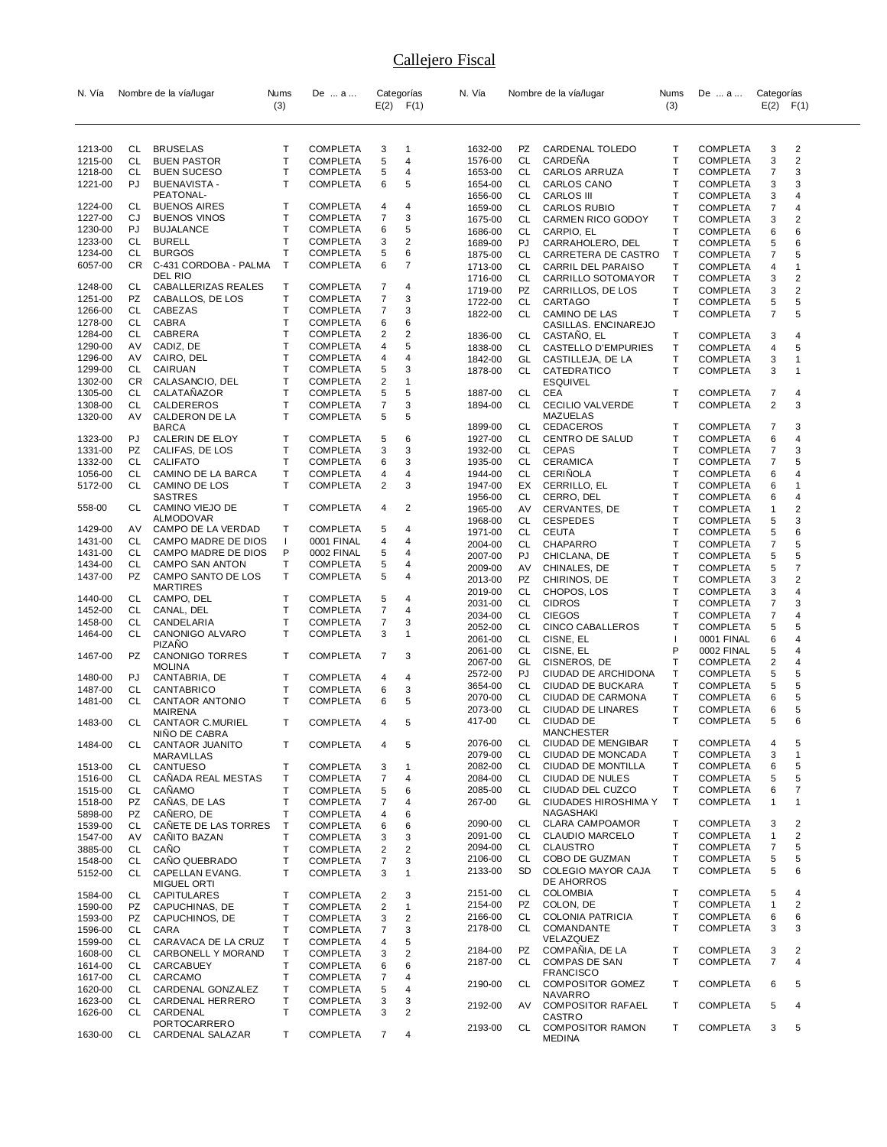| (3)<br>$E(2)$ $F(1)$<br><b>BRUSELAS</b><br><b>COMPLETA</b><br>3<br>1632-00<br>1213-00<br>CL<br>Т<br>$\mathbf{1}$<br>PZ<br>T<br><b>CL</b><br>CARDEÑA<br>1215-00<br>CL<br><b>BUEN PASTOR</b><br><b>COMPLETA</b><br>5<br>4<br>1576-00<br>T<br>1218-00<br>CL<br><b>BUEN SUCESO</b><br><b>COMPLETA</b><br>5<br>4<br>CL<br>1653-00<br>$\mathsf{T}$<br>5<br>1221-00<br>PJ<br><b>BUENAVISTA -</b><br><b>COMPLETA</b><br>6<br>1654-00<br>CL | (3)<br>$E(2)$ $F(1)$<br>2<br>CARDENAL TOLEDO<br><b>COMPLETA</b><br>3<br>Т<br>Т<br>3<br>2<br><b>COMPLETA</b><br>T<br>3<br><b>CARLOS ARRUZA</b><br><b>COMPLETA</b><br>7<br>3<br>CARLOS CANO<br>т<br><b>COMPLETA</b><br>3<br><b>CARLOS III</b><br>т<br><b>COMPLETA</b><br>3<br>4<br>$\mathsf{T}$<br>7<br>4<br><b>CARLOS RUBIO</b><br>COMPLETA<br>$\top$<br>2<br>CARMEN RICO GODOY<br><b>COMPLETA</b><br>3<br>T<br>6<br><b>COMPLETA</b><br>6 |
|------------------------------------------------------------------------------------------------------------------------------------------------------------------------------------------------------------------------------------------------------------------------------------------------------------------------------------------------------------------------------------------------------------------------------------|------------------------------------------------------------------------------------------------------------------------------------------------------------------------------------------------------------------------------------------------------------------------------------------------------------------------------------------------------------------------------------------------------------------------------------------|
|                                                                                                                                                                                                                                                                                                                                                                                                                                    |                                                                                                                                                                                                                                                                                                                                                                                                                                          |
|                                                                                                                                                                                                                                                                                                                                                                                                                                    |                                                                                                                                                                                                                                                                                                                                                                                                                                          |
|                                                                                                                                                                                                                                                                                                                                                                                                                                    |                                                                                                                                                                                                                                                                                                                                                                                                                                          |
|                                                                                                                                                                                                                                                                                                                                                                                                                                    |                                                                                                                                                                                                                                                                                                                                                                                                                                          |
|                                                                                                                                                                                                                                                                                                                                                                                                                                    |                                                                                                                                                                                                                                                                                                                                                                                                                                          |
| PEATONAL-<br>1656-00<br>CL                                                                                                                                                                                                                                                                                                                                                                                                         |                                                                                                                                                                                                                                                                                                                                                                                                                                          |
| 1224-00<br>CL<br><b>BUENOS AIRES</b><br>Т<br><b>COMPLETA</b><br>4<br>4<br>CL<br>1659-00                                                                                                                                                                                                                                                                                                                                            |                                                                                                                                                                                                                                                                                                                                                                                                                                          |
| T<br>7<br>3<br>1227-00<br>CJ<br><b>BUENOS VINOS</b><br><b>COMPLETA</b><br>1675-00<br>CL                                                                                                                                                                                                                                                                                                                                            |                                                                                                                                                                                                                                                                                                                                                                                                                                          |
| Т<br>1230-00<br>PJ<br><b>BUJALANCE</b><br><b>COMPLETA</b><br>6<br>5<br>1686-00<br>CL.<br>CARPIO, EL                                                                                                                                                                                                                                                                                                                                |                                                                                                                                                                                                                                                                                                                                                                                                                                          |
| 2<br>1233-00<br>CL<br><b>BURELL</b><br>Т<br><b>COMPLETA</b><br>3<br>1689-00<br>PJ<br>Т                                                                                                                                                                                                                                                                                                                                             | Т<br>CARRAHOLERO, DEL<br>6<br>COMPLETA<br>5                                                                                                                                                                                                                                                                                                                                                                                              |
| 6<br>1234-00<br>CL<br><b>BURGOS</b><br><b>COMPLETA</b><br>5<br>1875-00<br>CL.<br>6057-00<br>CR<br>C-431 CORDOBA - PALMA<br>T<br><b>COMPLETA</b><br>6<br>7                                                                                                                                                                                                                                                                          | $\top$<br>5<br>CARRETERA DE CASTRO<br><b>COMPLETA</b><br>7                                                                                                                                                                                                                                                                                                                                                                               |
| 1713-00<br>CL<br>DEL RIO<br>1716-00<br>CL                                                                                                                                                                                                                                                                                                                                                                                          | CARRIL DEL PARAISO<br>Т<br>COMPLETA<br>4<br>1<br>2<br>CARRILLO SOTOMAYOR<br>т<br><b>COMPLETA</b><br>3                                                                                                                                                                                                                                                                                                                                    |
| CL<br>CABALLERIZAS REALES<br>Т<br><b>COMPLETA</b><br>7<br>1248-00<br>4<br>PZ<br>1719-00                                                                                                                                                                                                                                                                                                                                            | Т<br>2<br>CARRILLOS, DE LOS<br>3<br>COMPLETA                                                                                                                                                                                                                                                                                                                                                                                             |
| T<br>7<br>3<br>1251-00<br><b>PZ</b><br>CABALLOS, DE LOS<br><b>COMPLETA</b><br>1722-00<br>CL<br>CARTAGO                                                                                                                                                                                                                                                                                                                             | Т<br>5<br><b>COMPLETA</b><br>5                                                                                                                                                                                                                                                                                                                                                                                                           |
| T<br>1266-00<br>CL<br>CABEZAS<br><b>COMPLETA</b><br>7<br>3<br>1822-00<br>CL                                                                                                                                                                                                                                                                                                                                                        | T<br>5<br>CAMINO DE LAS<br><b>COMPLETA</b><br>7                                                                                                                                                                                                                                                                                                                                                                                          |
| Т<br>1278-00<br>CL<br>CABRA<br><b>COMPLETA</b><br>6<br>6                                                                                                                                                                                                                                                                                                                                                                           | CASILLAS. ENCINAREJO                                                                                                                                                                                                                                                                                                                                                                                                                     |
| Τ<br>1284-00<br>CL<br>CABRERA<br><b>COMPLETA</b><br>2<br>2<br>CL<br>1836-00                                                                                                                                                                                                                                                                                                                                                        | Т<br>CASTANO, EL<br>3<br>COMPLETA<br>4                                                                                                                                                                                                                                                                                                                                                                                                   |
| AV<br>Τ<br>5<br>1290-00<br>CADIZ, DE<br><b>COMPLETA</b><br>4<br>1838-00<br>CL<br>Τ<br>1296-00<br>CAIRO, DEL<br>AV<br><b>COMPLETA</b><br>4<br>4                                                                                                                                                                                                                                                                                     | Т<br>CASTELLO D'EMPURIES<br><b>COMPLETA</b><br>5<br>4<br>T<br>$\mathbf{1}$                                                                                                                                                                                                                                                                                                                                                               |
| 1842-00<br>GL<br>T<br>1299-00<br>CL<br>CAIRUAN<br><b>COMPLETA</b><br>3<br>5<br>1878-00<br>CL                                                                                                                                                                                                                                                                                                                                       | CASTILLEJA, DE LA<br><b>COMPLETA</b><br>3<br>CATEDRATICO<br>T<br><b>COMPLETA</b><br>3<br>$\mathbf 1$                                                                                                                                                                                                                                                                                                                                     |
| Τ<br>$\overline{\mathbf{c}}$<br>1302-00<br>CR<br>CALASANCIO, DEL<br>COMPLETA<br>$\mathbf{1}$<br><b>ESQUIVEL</b>                                                                                                                                                                                                                                                                                                                    |                                                                                                                                                                                                                                                                                                                                                                                                                                          |
| 5<br>1305-00<br>CL<br>CALATAÑAZOR<br>Т<br><b>COMPLETA</b><br>5<br>1887-00<br>CEA<br>CL                                                                                                                                                                                                                                                                                                                                             | т<br><b>COMPLETA</b><br>4<br>7                                                                                                                                                                                                                                                                                                                                                                                                           |
| T<br>7<br>1308-00<br>CL<br>CALDEREROS<br><b>COMPLETA</b><br>3<br>1894-00<br>CL                                                                                                                                                                                                                                                                                                                                                     | <b>COMPLETA</b><br>2<br>3<br>T<br><b>CECILIO VALVERDE</b>                                                                                                                                                                                                                                                                                                                                                                                |
| Τ<br>1320-00<br>AV<br>CALDERON DE LA<br><b>COMPLETA</b><br>5<br>5                                                                                                                                                                                                                                                                                                                                                                  | MAZUELAS                                                                                                                                                                                                                                                                                                                                                                                                                                 |
| 1899-00<br>CL<br><b>BARCA</b>                                                                                                                                                                                                                                                                                                                                                                                                      | 3<br>т<br><b>CEDACEROS</b><br>COMPLETA<br>7                                                                                                                                                                                                                                                                                                                                                                                              |
| PJ<br>CALERIN DE ELOY<br>Т<br><b>COMPLETA</b><br>5<br>1927-00<br>CL<br>1323-00<br>6<br>1331-00<br>PZ<br>CALIFAS, DE LOS<br>Т<br><b>COMPLETA</b><br>3<br>3<br>1932-00<br>CL<br><b>CEPAS</b>                                                                                                                                                                                                                                         | CENTRO DE SALUD<br>т<br><b>COMPLETA</b><br>6<br>4<br>3<br>т<br><b>COMPLETA</b><br>7                                                                                                                                                                                                                                                                                                                                                      |
| 3<br>1332-00<br>CL<br><b>CALIFATO</b><br>т<br><b>COMPLETA</b><br>6<br>1935-00<br>CL                                                                                                                                                                                                                                                                                                                                                | Т<br>5<br><b>CERAMICA</b><br><b>COMPLETA</b><br>7                                                                                                                                                                                                                                                                                                                                                                                        |
| T<br>1056-00<br>CL<br>CAMINO DE LA BARCA<br><b>COMPLETA</b><br>4<br>1944-00<br>CL<br>CERINOLA<br>4                                                                                                                                                                                                                                                                                                                                 | Т<br><b>COMPLETA</b><br>6<br>4                                                                                                                                                                                                                                                                                                                                                                                                           |
| $\overline{2}$<br>3<br>5172-00<br>CL<br>CAMINO DE LOS<br>т<br><b>COMPLETA</b><br>EX<br>1947-00                                                                                                                                                                                                                                                                                                                                     | T<br>CERRILLO, EL<br>1<br>COMPLETA<br>6                                                                                                                                                                                                                                                                                                                                                                                                  |
| <b>SASTRES</b><br>1956-00<br>CL                                                                                                                                                                                                                                                                                                                                                                                                    | CERRO, DEL<br>т<br><b>COMPLETA</b><br>4<br>6                                                                                                                                                                                                                                                                                                                                                                                             |
| CAMINO VIEJO DE<br>т<br><b>COMPLETA</b><br>2<br>558-00<br>CL<br>4<br>1965-00<br>AV                                                                                                                                                                                                                                                                                                                                                 | Т<br>2<br>CERVANTES, DE<br>$\mathbf{1}$<br>COMPLETA                                                                                                                                                                                                                                                                                                                                                                                      |
| ALMODOVAR<br>CL<br>1968-00<br>1429-00<br>AV<br>CAMPO DE LA VERDAD<br>т<br><b>COMPLETA</b><br>5<br>4                                                                                                                                                                                                                                                                                                                                | Т<br>3<br><b>CESPEDES</b><br><b>COMPLETA</b><br>5                                                                                                                                                                                                                                                                                                                                                                                        |
| 1971-00<br>CL<br><b>CEUTA</b><br>1431-00<br>CL<br>CAMPO MADRE DE DIOS<br>$\mathbf{I}$<br>0001 FINAL<br>4<br>4                                                                                                                                                                                                                                                                                                                      | T<br>6<br><b>COMPLETA</b><br>5                                                                                                                                                                                                                                                                                                                                                                                                           |
| CL<br>2004-00<br>P<br>1431-00<br>CL<br>CAMPO MADRE DE DIOS<br>5<br>0002 FINAL<br>4<br>PJ<br>2007-00                                                                                                                                                                                                                                                                                                                                | 5<br><b>CHAPARRO</b><br>т<br>7<br>COMPLETA<br>Т<br>5<br>CHICLANA, DE<br><b>COMPLETA</b><br>5                                                                                                                                                                                                                                                                                                                                             |
| Т<br>1434-00<br>CL<br><b>CAMPO SAN ANTON</b><br><b>COMPLETA</b><br>5<br>4<br>AV<br>2009-00                                                                                                                                                                                                                                                                                                                                         | T<br>7<br>CHINALES, DE<br>5<br>COMPLETA                                                                                                                                                                                                                                                                                                                                                                                                  |
| 1437-00<br><b>PZ</b><br>5<br>CAMPO SANTO DE LOS<br>т<br><b>COMPLETA</b><br>4<br>2013-00<br>PZ                                                                                                                                                                                                                                                                                                                                      | 2<br>CHIRINOS, DE<br>т<br><b>COMPLETA</b><br>3                                                                                                                                                                                                                                                                                                                                                                                           |
| <b>MARTIRES</b><br>2019-00<br>CL                                                                                                                                                                                                                                                                                                                                                                                                   | Т<br>4<br>CHOPOS, LOS<br><b>COMPLETA</b><br>3                                                                                                                                                                                                                                                                                                                                                                                            |
| CL<br>т<br>COMPLETA<br>1440-00<br>CAMPO, DEL<br>5<br>4<br>CL<br><b>CIDROS</b><br>2031-00                                                                                                                                                                                                                                                                                                                                           | T<br>3<br>7<br>COMPLETA                                                                                                                                                                                                                                                                                                                                                                                                                  |
| Т<br>1452-00<br><b>COMPLETA</b><br>7<br>4<br>CL<br>CANAL, DEL<br>2034-00<br>CL<br><b>CIEGOS</b><br>Т<br>7<br>1458-00<br>CL<br><b>COMPLETA</b><br>3<br>CANDELARIA                                                                                                                                                                                                                                                                   | T<br><b>COMPLETA</b><br>7<br>4                                                                                                                                                                                                                                                                                                                                                                                                           |
| 2052-00<br>CL<br>Т<br>1464-00<br>CL<br>CANONIGO ALVARO<br><b>COMPLETA</b><br>3<br>1                                                                                                                                                                                                                                                                                                                                                | T<br>5<br><b>CINCO CABALLEROS</b><br><b>COMPLETA</b><br>5                                                                                                                                                                                                                                                                                                                                                                                |
| 2061-00<br>CL<br>CISNE, EL<br><b>PIZANO</b>                                                                                                                                                                                                                                                                                                                                                                                        | $\mathbf{I}$<br>6<br>4<br>0001 FINAL                                                                                                                                                                                                                                                                                                                                                                                                     |
| CL<br>2061-00<br>CISNE, EL<br>1467-00<br>PZ<br><b>CANONIGO TORRES</b><br>T<br><b>COMPLETA</b><br>7<br>3<br>GL                                                                                                                                                                                                                                                                                                                      | P<br>5<br>4<br>0002 FINAL<br>т<br><b>COMPLETA</b><br>4                                                                                                                                                                                                                                                                                                                                                                                   |
| 2067-00<br><b>MOLINA</b><br>2572-00<br>PJ                                                                                                                                                                                                                                                                                                                                                                                          | CISNEROS, DE<br>2<br>CIUDAD DE ARCHIDONA<br>т<br>5<br>5<br>COMPLETA                                                                                                                                                                                                                                                                                                                                                                      |
| PJ<br>т<br><b>COMPLETA</b><br>1480-00<br>CANTABRIA, DE<br>4<br>4<br>3654-00<br>CL                                                                                                                                                                                                                                                                                                                                                  | Т<br>5<br>5<br>CIUDAD DE BUCKARA<br><b>COMPLETA</b>                                                                                                                                                                                                                                                                                                                                                                                      |
| Т<br>3<br>1487-00<br>CL<br>CANTABRICO<br>COMPLETA<br>6<br>2070-00<br>CL<br>CANTAOR ANTONIO<br>т<br>1481-00<br>СL<br><b>COMPLETA</b><br>6<br>5                                                                                                                                                                                                                                                                                      | Т<br>CIUDAD DE CARMONA<br><b>COMPLETA</b><br>5<br>6                                                                                                                                                                                                                                                                                                                                                                                      |
| 2073-00<br>CL.<br><b>MAIRENA</b>                                                                                                                                                                                                                                                                                                                                                                                                   | 5<br><b>CIUDAD DE LINARES</b><br>T<br>6<br>COMPLETA                                                                                                                                                                                                                                                                                                                                                                                      |
| 417-00<br>CL<br>1483-00<br>CL<br>CANTAOR C.MURIEL<br>т<br><b>COMPLETA</b><br>5<br>4                                                                                                                                                                                                                                                                                                                                                | $\mathsf{T}$<br><b>CIUDAD DE</b><br>5<br>6<br><b>COMPLETA</b>                                                                                                                                                                                                                                                                                                                                                                            |
| NINO DE CABRA                                                                                                                                                                                                                                                                                                                                                                                                                      | MANCHESTER                                                                                                                                                                                                                                                                                                                                                                                                                               |
| 2076-00<br>CL<br>1484-00<br>CL<br>CANTAOR JUANITO<br>т<br><b>COMPLETA</b><br>4<br>5                                                                                                                                                                                                                                                                                                                                                | CIUDAD DE MENGIBAR<br>T<br><b>COMPLETA</b><br>4<br>5                                                                                                                                                                                                                                                                                                                                                                                     |
| 2079-00<br>CL<br>MARAVILLAS<br>CANTUESO<br>1513-00<br>т<br><b>COMPLETA</b><br>2082-00<br>CL<br>CL<br>3<br>$\mathbf{1}$                                                                                                                                                                                                                                                                                                             | $\top$<br>CIUDAD DE MONCADA<br><b>COMPLETA</b><br>3<br>1<br>CIUDAD DE MONTILLA<br>$\top$<br>5<br><b>COMPLETA</b><br>6                                                                                                                                                                                                                                                                                                                    |
| 1516-00<br>CL<br>CAÑADA REAL MESTAS<br>7<br>2084-00<br>CL<br>т<br><b>COMPLETA</b><br>4                                                                                                                                                                                                                                                                                                                                             | 5<br>CIUDAD DE NULES<br>т<br><b>COMPLETA</b><br>5                                                                                                                                                                                                                                                                                                                                                                                        |
| Т<br>2085-00<br>CL<br>1515-00<br>CL<br>CANAMO<br><b>COMPLETA</b><br>5<br>6                                                                                                                                                                                                                                                                                                                                                         | T<br>7<br>CIUDAD DEL CUZCO<br><b>COMPLETA</b><br>6                                                                                                                                                                                                                                                                                                                                                                                       |
| <b>PZ</b><br>CAÑAS, DE LAS<br>T<br>267-00<br>GL<br>1518-00<br><b>COMPLETA</b><br>7<br>4                                                                                                                                                                                                                                                                                                                                            | <b>CIUDADES HIROSHIMA Y</b><br>$\mathsf{T}$<br><b>COMPLETA</b><br>1<br>1                                                                                                                                                                                                                                                                                                                                                                 |
| 5898-00<br><b>PZ</b><br>CAÑERO, DE<br>т<br>6<br><b>COMPLETA</b><br>4                                                                                                                                                                                                                                                                                                                                                               | NAGASHAKI                                                                                                                                                                                                                                                                                                                                                                                                                                |
| 2090-00<br>CAÑETE DE LAS TORRES<br>T<br>1539-00<br>CL<br><b>COMPLETA</b><br>6<br>6                                                                                                                                                                                                                                                                                                                                                 | 2<br>CL CLARA CAMPOAMOR<br>$\mathsf{T}$<br><b>COMPLETA</b><br>3                                                                                                                                                                                                                                                                                                                                                                          |
| 2091-00<br>CL<br>AV<br>CAÑITO BAZAN<br>Т<br>1547-00<br><b>COMPLETA</b><br>3<br>3                                                                                                                                                                                                                                                                                                                                                   | $\overline{\mathbf{c}}$<br>Т<br>CLAUDIO MARCELO<br><b>COMPLETA</b><br>1                                                                                                                                                                                                                                                                                                                                                                  |
| 2094-00<br>CL<br>CAÑO<br>т<br>2<br>3885-00<br>CL<br><b>COMPLETA</b><br>2<br>2106-00<br>CL                                                                                                                                                                                                                                                                                                                                          | <b>CLAUSTRO</b><br>T<br>5<br><b>COMPLETA</b><br>7<br>T<br>5<br>COBO DE GUZMAN<br><b>COMPLETA</b><br>5                                                                                                                                                                                                                                                                                                                                    |
| 1548-00<br><b>CL</b><br>CAÑO QUEBRADO<br>Т<br>7<br>3<br><b>COMPLETA</b><br>2133-00<br><b>SD</b>                                                                                                                                                                                                                                                                                                                                    | T<br>COLEGIO MAYOR CAJA<br><b>COMPLETA</b><br>5<br>6                                                                                                                                                                                                                                                                                                                                                                                     |
| Т<br>5152-00<br><b>CL</b><br>CAPELLAN EVANG.<br><b>COMPLETA</b><br>3<br>$\mathbf{1}$<br>MIGUEL ORTI                                                                                                                                                                                                                                                                                                                                | DE AHORROS                                                                                                                                                                                                                                                                                                                                                                                                                               |
| 2151-00<br>CL<br>1584-00<br>CL<br><b>CAPITULARES</b><br>т<br><b>COMPLETA</b><br>3<br>2                                                                                                                                                                                                                                                                                                                                             | $\mathsf{T}$<br><b>COLOMBIA</b><br><b>COMPLETA</b><br>4<br>5                                                                                                                                                                                                                                                                                                                                                                             |
| PZ<br>2154-00<br><b>PZ</b><br>T<br>$\overline{2}$<br>$\mathbf{1}$<br>1590-00<br>CAPUCHINAS, DE<br><b>COMPLETA</b>                                                                                                                                                                                                                                                                                                                  | Т<br>2<br>COLON, DE<br><b>COMPLETA</b><br>1                                                                                                                                                                                                                                                                                                                                                                                              |
| 2166-00<br>CL<br>1593-00<br>Т<br>2<br>PZ<br>CAPUCHINOS, DE<br><b>COMPLETA</b><br>3                                                                                                                                                                                                                                                                                                                                                 | T<br><b>COLONIA PATRICIA</b><br><b>COMPLETA</b><br>6<br>6                                                                                                                                                                                                                                                                                                                                                                                |
| CL COMANDANTE<br>2178-00<br>т<br>1596-00<br>CL<br>CARA<br><b>COMPLETA</b><br>7<br>3                                                                                                                                                                                                                                                                                                                                                | T<br>3<br><b>COMPLETA</b><br>3                                                                                                                                                                                                                                                                                                                                                                                                           |
| CARAVACA DE LA CRUZ<br>Τ<br>1599-00<br>CL<br><b>COMPLETA</b><br>5<br>4<br>2184-00<br>PZ                                                                                                                                                                                                                                                                                                                                            | VELAZQUEZ<br>T<br>COMPANIA, DE LA<br><b>COMPLETA</b><br>3<br>2                                                                                                                                                                                                                                                                                                                                                                           |
| T<br>2<br>1608-00<br>CL<br>CARBONELL Y MORAND<br><b>COMPLETA</b><br>3<br>2187-00<br>CL                                                                                                                                                                                                                                                                                                                                             | COMPAS DE SAN<br>T<br><b>COMPLETA</b><br>7<br>4                                                                                                                                                                                                                                                                                                                                                                                          |
| Т<br>6<br>1614-00<br>CL<br>CARCABUEY<br><b>COMPLETA</b><br>6                                                                                                                                                                                                                                                                                                                                                                       | <b>FRANCISCO</b>                                                                                                                                                                                                                                                                                                                                                                                                                         |
| т<br>1617-00<br>CL<br>CARCAMO<br><b>COMPLETA</b><br>7<br>4<br>2190-00<br>CL<br><b>CL</b><br>CARDENAL GONZALEZ<br>Т<br>1620-00<br><b>COMPLETA</b><br>5<br>4                                                                                                                                                                                                                                                                         | <b>COMPOSITOR GOMEZ</b><br>Т<br><b>COMPLETA</b><br>6<br>5                                                                                                                                                                                                                                                                                                                                                                                |
| NAVARRO<br>Τ<br>3<br>1623-00<br>CL<br>CARDENAL HERRERO<br><b>COMPLETA</b><br>3                                                                                                                                                                                                                                                                                                                                                     |                                                                                                                                                                                                                                                                                                                                                                                                                                          |
| 2192-00<br>AV<br>T<br>1626-00<br><b>CL</b><br>CARDENAL<br><b>COMPLETA</b><br>3<br>2                                                                                                                                                                                                                                                                                                                                                | <b>COMPOSITOR RAFAEL</b><br><b>COMPLETA</b><br>т<br>5<br>4                                                                                                                                                                                                                                                                                                                                                                               |
| <b>CASTRO</b><br>PORTOCARRERO<br>2193-00<br>CL<br>1630-00<br>CL<br>CARDENAL SALAZAR<br>Τ<br><b>COMPLETA</b><br>7<br>4<br><b>MEDINA</b>                                                                                                                                                                                                                                                                                             | <b>COMPOSITOR RAMON</b><br>Т<br><b>COMPLETA</b><br>3<br>5                                                                                                                                                                                                                                                                                                                                                                                |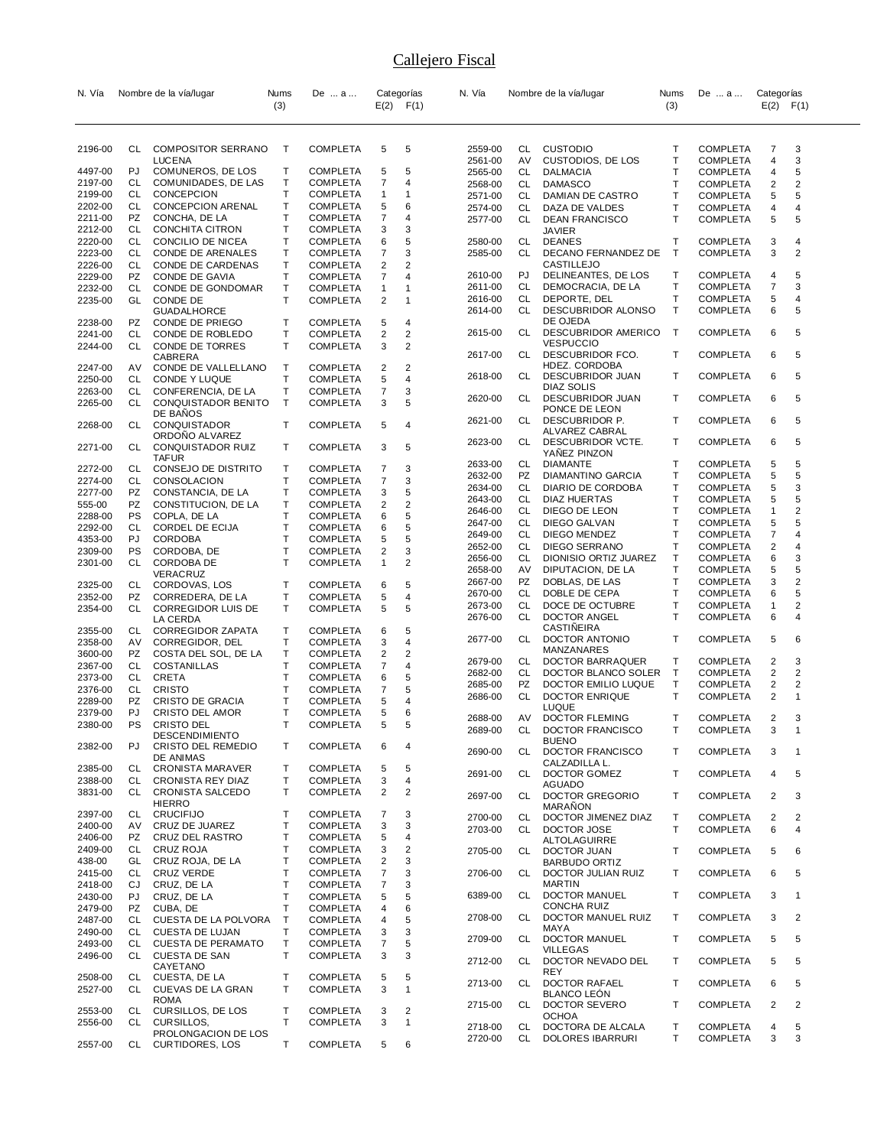| N. Vía             |           | Nombre de la vía/lugar                      | Nums              | De  a                              |                         | Categorías          | N. Vía             |          | Nombre de la vía/lugar                     | Nums   | De  a                              | Categorías     |                     |
|--------------------|-----------|---------------------------------------------|-------------------|------------------------------------|-------------------------|---------------------|--------------------|----------|--------------------------------------------|--------|------------------------------------|----------------|---------------------|
|                    |           |                                             | (3)               |                                    |                         | $E(2)$ $F(1)$       |                    |          |                                            | (3)    |                                    | $E(2)$ $F(1)$  |                     |
|                    |           |                                             |                   |                                    |                         |                     |                    |          |                                            |        |                                    |                |                     |
|                    |           |                                             |                   |                                    |                         |                     |                    |          |                                            |        |                                    |                |                     |
| 2196-00            | CL        | <b>COMPOSITOR SERRANO</b><br><b>LUCENA</b>  | Τ                 | <b>COMPLETA</b>                    | 5                       | 5                   | 2559-00<br>2561-00 | CL<br>AV | <b>CUSTODIO</b>                            | т<br>Т | <b>COMPLETA</b><br><b>COMPLETA</b> | 7<br>4         | 3<br>3              |
| 4497-00            | PJ        | COMUNEROS, DE LOS                           | т                 | <b>COMPLETA</b>                    | 5                       | 5                   | 2565-00            | CL       | CUSTODIOS, DE LOS<br><b>DALMACIA</b>       | T      | COMPLETA                           | 4              | 5                   |
| 2197-00            | CL        | COMUNIDADES, DE LAS                         | Т                 | <b>COMPLETA</b>                    | 7                       | 4                   | 2568-00            | CL       | <b>DAMASCO</b>                             | Τ      | <b>COMPLETA</b>                    | 2              | 2                   |
| 2199-00            | CL        | <b>CONCEPCION</b>                           | Т                 | COMPLETA                           | 1                       | $\mathbf 1$         | 2571-00            | CL       | DAMIAN DE CASTRO                           | Т      | <b>COMPLETA</b>                    | 5              | 5                   |
| 2202-00            | CL        | <b>CONCEPCION ARENAL</b>                    | т                 | <b>COMPLETA</b>                    | 5                       | 6                   | 2574-00            | CL       | DAZA DE VALDES                             | Т      | <b>COMPLETA</b>                    | 4              | 4                   |
| 2211-00            | PZ        | CONCHA, DE LA                               | Т                 | <b>COMPLETA</b>                    | 7                       | 4                   | 2577-00            | CL       | <b>DEAN FRANCISCO</b>                      | T      | <b>COMPLETA</b>                    | 5              | 5                   |
| 2212-00<br>2220-00 | CL<br>CL  | <b>CONCHITA CITRON</b><br>CONCILIO DE NICEA | т<br>Т            | <b>COMPLETA</b><br><b>COMPLETA</b> | 3<br>6                  | 3<br>5              | 2580-00            | CL       | JAVIER<br><b>DEANES</b>                    | т      | COMPLETA                           | 3              | 4                   |
| 2223-00            | CL        | CONDE DE ARENALES                           | т                 | <b>COMPLETA</b>                    | 7                       | 3                   | 2585-00            | CL       | DECANO FERNANDEZ DE                        | Т      | <b>COMPLETA</b>                    | 3              | 2                   |
| 2226-00            | CL        | CONDE DE CARDENAS                           | Т                 | COMPLETA                           | $\overline{\mathbf{c}}$ | $\overline{2}$      |                    |          | <b>CASTILLEJO</b>                          |        |                                    |                |                     |
| 2229-00            | PZ        | CONDE DE GAVIA                              | т                 | <b>COMPLETA</b>                    | 7                       | 4                   | 2610-00            | PJ       | DELINEANTES, DE LOS                        | т      | COMPLETA                           | 4              | 5                   |
| 2232-00            | CL        | CONDE DE GONDOMAR                           | т                 | <b>COMPLETA</b>                    | 1                       | $\mathbf 1$         | 2611-00            | CL       | DEMOCRACIA, DE LA                          | Τ      | <b>COMPLETA</b>                    | 7              | 3                   |
| 2235-00            | GL        | CONDE DE                                    | Т                 | <b>COMPLETA</b>                    | 2                       | $\mathbf 1$         | 2616-00            | CL       | DEPORTE, DEL                               | Т      | <b>COMPLETA</b>                    | 5              | 4                   |
|                    |           | <b>GUADALHORCE</b>                          |                   |                                    |                         |                     | 2614-00            | CL       | DESCUBRIDOR ALONSO                         | T      | <b>COMPLETA</b>                    | 6              | 5                   |
| 2238-00            | PZ<br>CL  | CONDE DE PRIEGO                             | т<br>Т            | COMPLETA                           | 5                       | 4<br>$\overline{c}$ | 2615-00            | CL       | DE OJEDA<br>DESCUBRIDOR AMERICO            | Т      | <b>COMPLETA</b>                    | 6              | 5                   |
| 2241-00<br>2244-00 | CL        | CONDE DE ROBLEDO<br>CONDE DE TORRES         | Τ                 | <b>COMPLETA</b><br><b>COMPLETA</b> | 2<br>3                  | $\overline{c}$      |                    |          | <b>VESPUCCIO</b>                           |        |                                    |                |                     |
|                    |           | CABRERA                                     |                   |                                    |                         |                     | 2617-00            | CL       | DESCUBRIDOR FCO.                           | т      | COMPLETA                           | 6              | 5                   |
| 2247-00            | AV        | CONDE DE VALLELLANO                         | Т                 | <b>COMPLETA</b>                    | 2                       | 2                   |                    |          | HDEZ. CORDOBA                              |        |                                    |                |                     |
| 2250-00            | CL        | CONDE Y LUQUE                               | т                 | <b>COMPLETA</b>                    | 5                       | 4                   | 2618-00            | CL       | <b>DESCUBRIDOR JUAN</b>                    | T      | <b>COMPLETA</b>                    | 6              | 5                   |
| 2263-00            | CL        | CONFERENCIA, DE LA                          | Т                 | <b>COMPLETA</b>                    | 7                       | 3                   | 2620-00            | CL       | DIAZ SOLIS<br>DESCUBRIDOR JUAN             | т      | <b>COMPLETA</b>                    | 6              | 5                   |
| 2265-00            | CL        | CONQUISTADOR BENITO                         | T                 | <b>COMPLETA</b>                    | 3                       | 5                   |                    |          | PONCE DE LEON                              |        |                                    |                |                     |
|                    | CL        | DE BAÑOS                                    | т                 |                                    |                         | 4                   | 2621-00            | CL       | DESCUBRIDOR P.                             | T      | <b>COMPLETA</b>                    | 6              | 5                   |
| 2268-00            |           | <b>CONQUISTADOR</b><br>ORDONO ALVAREZ       |                   | <b>COMPLETA</b>                    | 5                       |                     |                    |          | ALVAREZ CABRAL                             |        |                                    |                |                     |
| 2271-00            | CL        | CONQUISTADOR RUIZ                           | Τ                 | <b>COMPLETA</b>                    | 3                       | 5                   | 2623-00            | CL       | DESCUBRIDOR VCTE.                          | T      | <b>COMPLETA</b>                    | 6              | 5                   |
|                    |           | <b>TAFUR</b>                                |                   |                                    |                         |                     |                    |          | YANEZ PINZON                               |        |                                    |                |                     |
| 2272-00            | CL        | CONSEJO DE DISTRITO                         | т                 | <b>COMPLETA</b>                    | 7                       | 3                   | 2633-00<br>2632-00 | CL<br>PZ | <b>DIAMANTE</b><br>DIAMANTINO GARCIA       | T<br>Т | <b>COMPLETA</b><br><b>COMPLETA</b> | 5<br>5         | 5<br>5              |
| 2274-00            | CL        | CONSOLACION                                 | Т                 | <b>COMPLETA</b>                    | $\overline{7}$          | 3                   | 2634-00            | CL       | DIARIO DE CORDOBA                          | T      | COMPLETA                           | 5              | 3                   |
| 2277-00            | PZ        | CONSTANCIA, DE LA                           | т                 | <b>COMPLETA</b>                    | 3                       | 5                   | 2643-00            | CL       | DIAZ HUERTAS                               | T      | COMPLETA                           | 5              | 5                   |
| 555-00             | PZ<br>PS  | CONSTITUCION, DE LA                         | Т<br>Т            | COMPLETA                           | 2<br>6                  | $\overline{2}$<br>5 | 2646-00            | CL       | DIEGO DE LEON                              | Τ      | COMPLETA                           | 1              | 2                   |
| 2288-00<br>2292-00 | CL        | COPLA, DE LA<br>CORDEL DE ECIJA             | т                 | <b>COMPLETA</b><br><b>COMPLETA</b> | 6                       | 5                   | 2647-00            | CL       | DIEGO GALVAN                               | Т      | <b>COMPLETA</b>                    | 5              | 5                   |
| 4353-00            | PJ        | <b>CORDOBA</b>                              | Т                 | COMPLETA                           | 5                       | 5                   | 2649-00            | CL       | DIEGO MENDEZ                               | T      | <b>COMPLETA</b>                    | $\overline{7}$ | 4                   |
| 2309-00            | PS        | CORDOBA, DE                                 | Т                 | COMPLETA                           | 2                       | 3                   | 2652-00            | CL       | <b>DIEGO SERRANO</b>                       | Τ      | COMPLETA                           | 2              | 4                   |
| 2301-00            | CL        | CORDOBA DE                                  | т                 | <b>COMPLETA</b>                    | $\mathbf{1}$            | $\overline{2}$      | 2656-00            | CL       | DIONISIO ORTIZ JUAREZ                      | Т      | <b>COMPLETA</b>                    | 6              | 3                   |
|                    |           | VERACRUZ                                    |                   |                                    |                         |                     | 2658-00            | AV       | DIPUTACION, DE LA                          | T      | COMPLETA                           | 5              | 5                   |
| 2325-00            | CL        | CORDOVAS, LOS                               | т                 | <b>COMPLETA</b>                    | 6                       | 5                   | 2667-00            | PZ       | DOBLAS, DE LAS                             | Τ<br>T | <b>COMPLETA</b>                    | 3              | 2                   |
| 2352-00            | PZ        | CORREDERA, DE LA                            | т                 | <b>COMPLETA</b>                    | 5                       | 4                   | 2670-00<br>2673-00 | CL<br>CL | DOBLE DE CEPA<br>DOCE DE OCTUBRE           | Т      | COMPLETA<br><b>COMPLETA</b>        | 6<br>1         | 5<br>2              |
| 2354-00            | CL        | <b>CORREGIDOR LUIS DE</b>                   | т                 | <b>COMPLETA</b>                    | 5                       | 5                   | 2676-00            | CL       | DOCTOR ANGEL                               | T      | <b>COMPLETA</b>                    | 6              | 4                   |
| 2355-00            | CL        | LA CERDA<br><b>CORREGIDOR ZAPATA</b>        | Т                 | <b>COMPLETA</b>                    | 6                       | 5                   |                    |          | CASTINEIRA                                 |        |                                    |                |                     |
| 2358-00            | AV        | CORREGIDOR, DEL                             | Т                 | <b>COMPLETA</b>                    | 3                       | 4                   | 2677-00            | CL       | DOCTOR ANTONIO                             | T      | COMPLETA                           | 5              | 6                   |
| 3600-00            | PZ        | COSTA DEL SOL, DE LA                        | т                 | <b>COMPLETA</b>                    | 2                       | $\overline{2}$      |                    |          | MANZANARES                                 |        |                                    |                |                     |
| 2367-00            | CL        | COSTANILLAS                                 | Т                 | <b>COMPLETA</b>                    | 7                       | 4                   | 2679-00            | CL       | DOCTOR BARRAQUER                           | Т      | COMPLETA                           | 2              | 3                   |
| 2373-00            | CL        | <b>CRETA</b>                                | Т                 | <b>COMPLETA</b>                    | 6                       | 5                   | 2682-00<br>2685-00 | CL<br>PZ | DOCTOR BLANCO SOLER<br>DOCTOR EMILIO LUQUE | T<br>т | <b>COMPLETA</b><br>COMPLETA        | 2<br>2         | 2<br>2              |
| 2376-00            | CL        | <b>CRISTO</b>                               | T                 | <b>COMPLETA</b>                    | 7                       | 5                   | 2686-00            | CL       | DOCTOR ENRIQUE                             | T      | <b>COMPLETA</b>                    | 2              | 1                   |
| 2289-00            | PZ        | CRISTO DE GRACIA                            | Т                 | <b>COMPLETA</b>                    | 5                       | 4                   |                    |          | LUQUE                                      |        |                                    |                |                     |
| 2379-00<br>2380-00 | PJ<br>PS  | CRISTO DEL AMOR<br><b>CRISTO DEL</b>        | Т<br>Т            | COMPLETA<br><b>COMPLETA</b>        | 5<br>5                  | 6<br>5              | 2688-00            | AV       | <b>DOCTOR FLEMING</b>                      | т      | <b>COMPLETA</b>                    | 2              | 3                   |
|                    |           | DESCENDIMIENTO                              |                   |                                    |                         |                     | 2689-00            | CL       | DOCTOR FRANCISCO                           | т      | <b>COMPLETA</b>                    | 3              | 1                   |
| 2382-00            | PJ        | CRISTO DEL REMEDIO                          | Τ                 | <b>COMPLETA</b>                    | 6                       | 4                   |                    |          | <b>BUENO</b>                               |        |                                    |                |                     |
|                    |           | <b>DE ANIMAS</b>                            |                   |                                    |                         |                     | 2690-00            | CL       | <b>DOCTOR FRANCISCO</b><br>CALZADILLA L.   | Т      | <b>COMPLETA</b>                    | 3              | $\overline{1}$      |
| 2385-00            | CL        | <b>CRONISTA MARAVER</b>                     | Т                 | <b>COMPLETA</b>                    | 5                       | 5                   | 2691-00            | CL       | DOCTOR GOMEZ                               | T      | <b>COMPLETA</b>                    | 4              | 5                   |
| 2388-00            | CL        | <b>CRONISTA REY DIAZ</b>                    | Т                 | <b>COMPLETA</b>                    | 3                       | $\overline{4}$      |                    |          | <b>AGUADO</b>                              |        |                                    |                |                     |
| 3831-00            | CL        | <b>CRONISTA SALCEDO</b><br>HIERRO           | т                 | <b>COMPLETA</b>                    | 2                       | $\overline{2}$      | 2697-00            | CL       | <b>DOCTOR GREGORIO</b>                     | T      | <b>COMPLETA</b>                    | 2              | 3                   |
| 2397-00            | CL        | <b>CRUCIFIJO</b>                            | т                 | <b>COMPLETA</b>                    | 7                       | 3                   | 2700-00            |          | <b>MARANON</b>                             |        |                                    |                |                     |
| 2400-00            | AV        | CRUZ DE JUAREZ                              | Т                 | <b>COMPLETA</b>                    | 3                       | 3                   | 2703-00            | CL<br>CL | DOCTOR JIMENEZ DIAZ<br>DOCTOR JOSE         | Τ<br>T | <b>COMPLETA</b><br><b>COMPLETA</b> | 2<br>6         | $\overline{2}$<br>4 |
| 2406-00            | PZ.       | CRUZ DEL RASTRO                             | т                 | <b>COMPLETA</b>                    | 5                       | 4                   |                    |          | <b>ALTOLAGUIRRE</b>                        |        |                                    |                |                     |
| 2409-00            | CL        | CRUZ ROJA                                   | т                 | <b>COMPLETA</b>                    | 3                       | $\overline{2}$      | 2705-00            | CL       | DOCTOR JUAN                                | Τ      | <b>COMPLETA</b>                    | 5              | 6                   |
| 438-00             | GL        | CRUZ ROJA, DE LA                            | Т                 | <b>COMPLETA</b>                    | 2                       | 3                   |                    |          | <b>BARBUDO ORTIZ</b>                       |        |                                    |                |                     |
| 2415-00            | CL        | <b>CRUZ VERDE</b>                           | т                 | <b>COMPLETA</b>                    | 7                       | 3                   | 2706-00            | CL       | DOCTOR JULIAN RUIZ                         | T      | <b>COMPLETA</b>                    | 6              | 5                   |
| 2418-00            | CJ        | CRUZ, DE LA                                 | т                 | <b>COMPLETA</b>                    | 7                       | 3                   |                    |          | <b>MARTIN</b><br><b>DOCTOR MANUEL</b>      |        |                                    |                |                     |
| 2430-00<br>2479-00 | PJ<br>PZ  | CRUZ, DE LA                                 | т<br>$\mathsf{T}$ | <b>COMPLETA</b>                    | 5                       | 5<br>6              | 6389-00            | CL       | <b>CONCHA RUIZ</b>                         | T      | <b>COMPLETA</b>                    | 3              | $\mathbf 1$         |
| 2487-00            | CL        | CUBA, DE<br>CUESTA DE LA POLVORA            | $\mathsf{T}$      | <b>COMPLETA</b><br><b>COMPLETA</b> | 4<br>4                  | 5                   | 2708-00            | CL       | DOCTOR MANUEL RUIZ                         | T      | <b>COMPLETA</b>                    | 3              | 2                   |
| 2490-00            | CL        | CUESTA DE LUJAN                             | т                 | <b>COMPLETA</b>                    | 3                       | 3                   |                    |          | MAYA                                       |        |                                    |                |                     |
| 2493-00            | <b>CL</b> | <b>CUESTA DE PERAMATO</b>                   | T                 | <b>COMPLETA</b>                    | $\overline{7}$          | 5                   | 2709-00            | CL       | <b>DOCTOR MANUEL</b>                       | T      | <b>COMPLETA</b>                    | 5              | 5                   |
| 2496-00            | CL        | <b>CUESTA DE SAN</b>                        | T                 | <b>COMPLETA</b>                    | 3                       | 3                   |                    |          | <b>VILLEGAS</b>                            |        |                                    |                |                     |
|                    |           | CAYETANO                                    |                   |                                    |                         |                     | 2712-00            | CL       | DOCTOR NEVADO DEL<br><b>REY</b>            | T      | <b>COMPLETA</b>                    | 5              | 5                   |
| 2508-00            | CL        | CUESTA, DE LA                               | Τ                 | <b>COMPLETA</b>                    | 5                       | 5                   | 2713-00            | CL       | <b>DOCTOR RAFAEL</b>                       | T      | <b>COMPLETA</b>                    | 6              | 5                   |
| 2527-00            | CL        | CUEVAS DE LA GRAN                           | т                 | <b>COMPLETA</b>                    | 3                       | $\mathbf{1}$        |                    |          | <b>BLANCO LEON</b>                         |        |                                    |                |                     |
| 2553-00            | CL        | <b>ROMA</b><br>CURSILLOS, DE LOS            | T                 | <b>COMPLETA</b>                    | 3                       | $\overline{2}$      | 2715-00            | CL       | <b>DOCTOR SEVERO</b>                       | Т      | <b>COMPLETA</b>                    | 2              | 2                   |
| 2556-00            | CL        | CURSILLOS,                                  | т                 | <b>COMPLETA</b>                    | 3                       | $\mathbf{1}$        |                    |          | <b>OCHOA</b>                               |        |                                    |                |                     |
|                    |           | PROLONGACION DE LOS                         |                   |                                    |                         |                     | 2718-00<br>2720-00 | CL<br>CL | DOCTORA DE ALCALA<br>DOLORES IBARRURI      | т<br>т | <b>COMPLETA</b><br><b>COMPLETA</b> | 4<br>3         | 5<br>3              |
| 2557-00            | CL        | <b>CURTIDORES, LOS</b>                      | T.                | <b>COMPLETA</b>                    | 5                       | 6                   |                    |          |                                            |        |                                    |                |                     |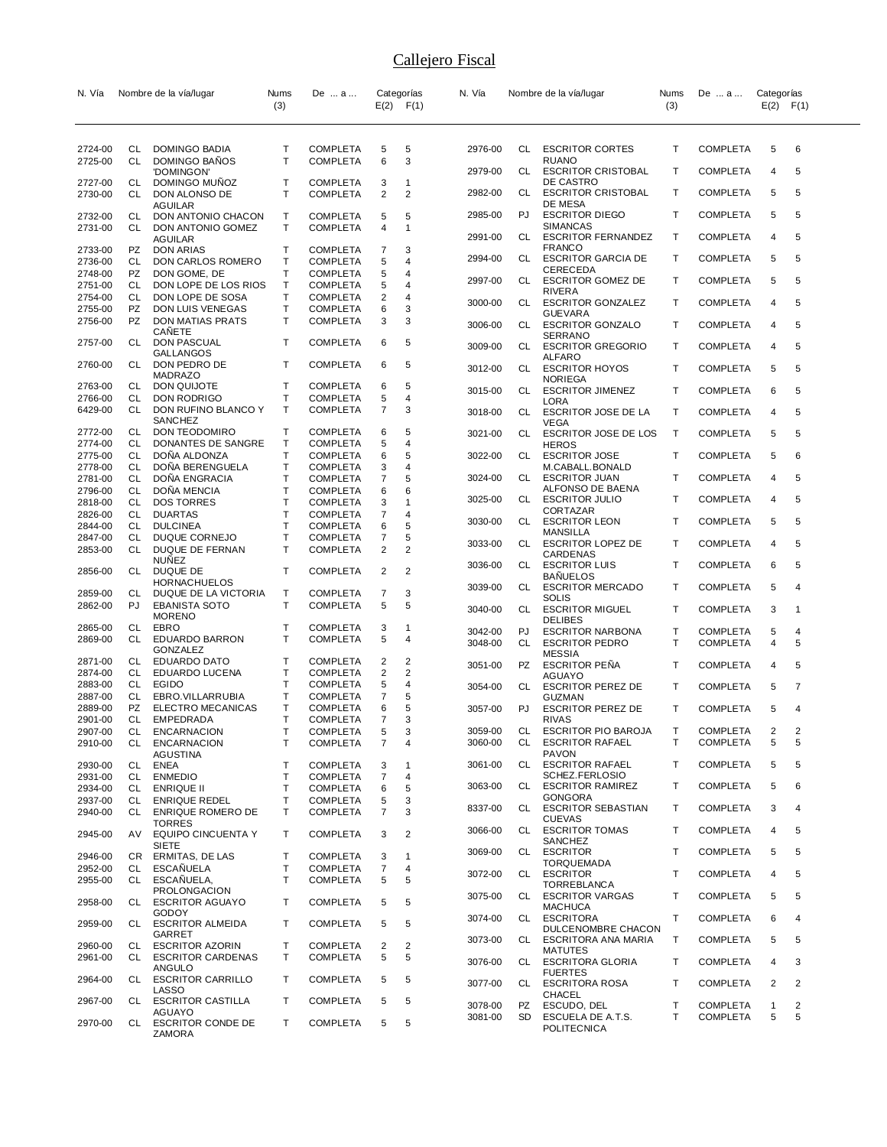| N. Vía             |                 | Nombre de la vía/lugar                        | Nums   | De  a                              |                     | Categorías          | N. Vía             |                 | Nombre de la vía/lugar                               | Nums   | De  a                              | Categorías    |        |
|--------------------|-----------------|-----------------------------------------------|--------|------------------------------------|---------------------|---------------------|--------------------|-----------------|------------------------------------------------------|--------|------------------------------------|---------------|--------|
|                    |                 |                                               | (3)    |                                    |                     | $E(2)$ $F(1)$       |                    |                 |                                                      | (3)    |                                    | $E(2)$ $F(1)$ |        |
|                    |                 |                                               |        |                                    |                     |                     |                    |                 |                                                      |        |                                    |               |        |
| 2724-00            | CL.             | DOMINGO BADIA                                 | т      | <b>COMPLETA</b>                    | 5                   | 5                   | 2976-00            | CL              | <b>ESCRITOR CORTES</b>                               | т      | <b>COMPLETA</b>                    | 5             | 6      |
| 2725-00            | <b>CL</b>       | DOMINGO BAÑOS                                 | т      | <b>COMPLETA</b>                    | 6                   | 3                   | 2979-00            | CL              | <b>RUANO</b><br><b>ESCRITOR CRISTOBAL</b>            | т      | <b>COMPLETA</b>                    | 4             | 5      |
| 2727-00            | CL              | 'DOMINGON'<br>DOMINGO MUÑOZ                   | T      | <b>COMPLETA</b>                    | 3                   | $\mathbf 1$         |                    |                 | DE CASTRO                                            |        |                                    |               |        |
| 2730-00            | CL              | DON ALONSO DE                                 | T      | <b>COMPLETA</b>                    | 2                   | 2                   | 2982-00            | CL              | <b>ESCRITOR CRISTOBAL</b><br>DE MESA                 | т      | <b>COMPLETA</b>                    | 5             | 5      |
| 2732-00            | CL              | AGUILAR<br>DON ANTONIO CHACON                 | т      | <b>COMPLETA</b>                    | 5                   | 5                   | 2985-00            | PJ              | <b>ESCRITOR DIEGO</b>                                | т      | <b>COMPLETA</b>                    | 5             | 5      |
| 2731-00            | CL.             | DON ANTONIO GOMEZ                             | T      | <b>COMPLETA</b>                    | 4                   | $\overline{1}$      | 2991-00            | CL              | <b>SIMANCAS</b><br><b>ESCRITOR FERNANDEZ</b>         | т      | <b>COMPLETA</b>                    | 4             | 5      |
| 2733-00            | PZ              | AGUILAR<br><b>DON ARIAS</b>                   | т      | <b>COMPLETA</b>                    | 7                   | 3                   |                    |                 | <b>FRANCO</b>                                        |        |                                    |               |        |
| 2736-00            | CL              | DON CARLOS ROMERO                             | Т      | <b>COMPLETA</b>                    | 5                   | 4                   | 2994-00            | CL              | <b>ESCRITOR GARCIA DE</b><br>CERECEDA                | т      | <b>COMPLETA</b>                    | 5             | 5      |
| 2748-00<br>2751-00 | PZ<br>CL        | DON GOME, DE<br>DON LOPE DE LOS RIOS          | Т<br>T | COMPLETA<br><b>COMPLETA</b>        | 5<br>5              | 4<br>4              | 2997-00            | CL              | <b>ESCRITOR GOMEZ DE</b>                             | т      | <b>COMPLETA</b>                    | 5             | 5      |
| 2754-00            | <b>CL</b>       | DON LOPE DE SOSA                              | T      | <b>COMPLETA</b>                    | $\overline{2}$      | 4                   | 3000-00            | CL              | RIVERA<br><b>ESCRITOR GONZALEZ</b>                   | т      | COMPLETA                           | 4             | 5      |
| 2755-00            | PZ<br>PZ        | DON LUIS VENEGAS                              | т<br>Τ | <b>COMPLETA</b>                    | 6<br>3              | 3<br>3              |                    |                 | <b>GUEVARA</b>                                       |        |                                    |               |        |
| 2756-00            |                 | DON MATIAS PRATS<br>CANETE                    |        | <b>COMPLETA</b>                    |                     |                     | 3006-00            | CL              | <b>ESCRITOR GONZALO</b><br><b>SERRANO</b>            | т      | <b>COMPLETA</b>                    | 4             | 5      |
| 2757-00            | CL              | DON PASCUAL<br>GALLANGOS                      | т      | COMPLETA                           | 6                   | 5                   | 3009-00            | CL              | <b>ESCRITOR GREGORIO</b>                             | т      | <b>COMPLETA</b>                    | 4             | 5      |
| 2760-00            | CL              | DON PEDRO DE                                  | т      | <b>COMPLETA</b>                    | 6                   | 5                   | 3012-00            | CL              | <b>ALFARO</b><br><b>ESCRITOR HOYOS</b>               | т      | <b>COMPLETA</b>                    | 5             | 5      |
| 2763-00            | CL              | <b>MADRAZO</b><br>DON QUIJOTE                 | T      |                                    | 6                   | 5                   |                    |                 | <b>NORIEGA</b>                                       |        |                                    |               |        |
| 2766-00            | CL              | DON RODRIGO                                   | Т      | <b>COMPLETA</b><br><b>COMPLETA</b> | 5                   | 4                   | 3015-00            | CL              | <b>ESCRITOR JIMENEZ</b><br>LORA                      | т      | <b>COMPLETA</b>                    | 6             | 5      |
| 6429-00            | <b>CL</b>       | DON RUFINO BLANCO Y                           | T      | <b>COMPLETA</b>                    | $\overline{7}$      | 3                   | 3018-00            | CL              | <b>ESCRITOR JOSE DE LA</b>                           | т      | <b>COMPLETA</b>                    | 4             | 5      |
| 2772-00            | CL              | SANCHEZ<br><b>DON TEODOMIRO</b>               | т      | <b>COMPLETA</b>                    | 6                   | 5                   | 3021-00            | CL              | VEGA<br>ESCRITOR JOSE DE LOS                         | Т      | <b>COMPLETA</b>                    | 5             | 5      |
| 2774-00            | CL              | DONANTES DE SANGRE                            | т      | <b>COMPLETA</b>                    | 5                   | 4                   |                    |                 | <b>HEROS</b>                                         |        |                                    |               |        |
| 2775-00<br>2778-00 | CL<br><b>CL</b> | DONA ALDONZA<br>DOÑA BERENGUELA               | T<br>T | <b>COMPLETA</b><br>COMPLETA        | 6<br>3              | 5<br>4              | 3022-00            | CL              | <b>ESCRITOR JOSE</b><br>M.CABALL.BONALD              | т      | <b>COMPLETA</b>                    | 5             | 6      |
| 2781-00            | CL              | <b>DONA ENGRACIA</b>                          | T      | <b>COMPLETA</b>                    | 7                   | 5                   | 3024-00            | CL              | <b>ESCRITOR JUAN</b>                                 | т      | <b>COMPLETA</b>                    | 4             | 5      |
| 2796-00            | CL              | DOÑA MENCIA                                   | Τ      | COMPLETA                           | 6                   | 6                   | 3025-00            | CL              | ALFONSO DE BAENA<br><b>ESCRITOR JULIO</b>            | т      | <b>COMPLETA</b>                    | 4             | 5      |
| 2818-00<br>2826-00 | CL<br>CL        | <b>DOS TORRES</b><br><b>DUARTAS</b>           | T<br>Τ | <b>COMPLETA</b><br><b>COMPLETA</b> | 3<br>$\overline{7}$ | $\overline{1}$<br>4 |                    |                 | CORTAZAR                                             |        |                                    |               |        |
| 2844-00            | CL              | <b>DULCINEA</b>                               | T      | COMPLETA                           | 6                   | 5                   | 3030-00            | CL              | <b>ESCRITOR LEON</b><br>MANSILLA                     | т      | <b>COMPLETA</b>                    | 5             | 5      |
| 2847-00            | CL              | DUQUE CORNEJO<br>DUQUE DE FERNAN              | Т<br>T | <b>COMPLETA</b>                    | 7                   | 5<br>2              | 3033-00            | CL.             | <b>ESCRITOR LOPEZ DE</b>                             | т      | <b>COMPLETA</b>                    | 4             | 5      |
| 2853-00            | <b>CL</b>       | <b>NUÑEZ</b>                                  |        | <b>COMPLETA</b>                    | $\overline{2}$      |                     |                    |                 | CARDENAS                                             | т      |                                    |               | 5      |
| 2856-00            | CL              | DUQUE DE                                      | T      | <b>COMPLETA</b>                    | 2                   | $\overline{2}$      | 3036-00            | CL              | <b>ESCRITOR LUIS</b><br><b>BANUELOS</b>              |        | <b>COMPLETA</b>                    | 6             |        |
| 2859-00            | CL              | <b>HORNACHUELOS</b><br>DUQUE DE LA VICTORIA   | т      | COMPLETA                           | 7                   | 3                   | 3039-00            | CL              | <b>ESCRITOR MERCADO</b>                              | т      | <b>COMPLETA</b>                    | 5             | 4      |
| 2862-00            | PJ              | <b>EBANISTA SOTO</b>                          | т      | <b>COMPLETA</b>                    | 5                   | 5                   | 3040-00            | CL              | SOLIS<br><b>ESCRITOR MIGUEL</b>                      | т      | <b>COMPLETA</b>                    | 3             | 1      |
| 2865-00            | CL              | <b>MORENO</b><br>EBRO                         | т      | <b>COMPLETA</b>                    | 3                   | -1                  |                    |                 | <b>DELIBES</b>                                       |        |                                    |               |        |
| 2869-00            | CL              | EDUARDO BARRON                                | т      | <b>COMPLETA</b>                    | 5                   | 4                   | 3042-00<br>3048-00 | PJ<br>CL        | <b>ESCRITOR NARBONA</b><br><b>ESCRITOR PEDRO</b>     | т<br>т | <b>COMPLETA</b><br><b>COMPLETA</b> | 5<br>4        | 4<br>5 |
| 2871-00            | CL              | <b>GONZALEZ</b><br>EDUARDO DATO               | т      | <b>COMPLETA</b>                    | 2                   | 2                   |                    |                 | <b>MESSIA</b>                                        |        |                                    |               |        |
| 2874-00            | CL              | EDUARDO LUCENA                                | т      | <b>COMPLETA</b>                    | 2                   | 2                   | 3051-00            | PZ              | <b>ESCRITOR PEÑA</b><br>AGUAYO                       | т      | <b>COMPLETA</b>                    | 4             | 5      |
| 2883-00            | CL              | <b>EGIDO</b>                                  | T      | <b>COMPLETA</b>                    | 5                   | 4                   | 3054-00            | CL              | <b>ESCRITOR PEREZ DE</b>                             | т      | <b>COMPLETA</b>                    | 5             | 7      |
| 2887-00<br>2889-00 | CL<br>PZ        | EBRO.VILLARRUBIA<br><b>ELECTRO MECANICAS</b>  | т<br>т | <b>COMPLETA</b><br><b>COMPLETA</b> | 7<br>6              | 5<br>5              | 3057-00            | PJ              | GUZMAN<br><b>ESCRITOR PEREZ DE</b>                   | T.     | <b>COMPLETA</b>                    | 5             | 4      |
| 2901-00            | CL              | <b>EMPEDRADA</b>                              | T      | <b>COMPLETA</b>                    | 7                   | 3                   |                    |                 | <b>RIVAS</b>                                         |        |                                    |               |        |
| 2907-00            | <b>CL</b>       | <b>ENCARNACION</b>                            | т<br>T | <b>COMPLETA</b>                    | 5                   | 2                   | 3059-00<br>3060-00 | CL<br>CL        | <b>ESCRITOR PIO BAROJA</b><br><b>ESCRITOR RAFAEL</b> | т<br>т | <b>COMPLETA</b><br><b>COMPLETA</b> | 2<br>5        | 2<br>5 |
| 2910-00            | CL              | ENCARNACION<br>AGUSTINA                       |        | <b>COMPLETA</b>                    | 7                   | 4                   |                    |                 | <b>PAVON</b>                                         |        |                                    |               |        |
| 2930-00            |                 | CL ENEA                                       | т      | <b>COMPLETA</b>                    | 3                   | $\overline{1}$      | 3061-00            | CL              | <b>ESCRITOR RAFAEL</b><br>SCHEZ.FERLOSIO             | т      | <b>COMPLETA</b>                    | 5             | 5      |
| 2931-00<br>2934-00 | CL<br>CL        | <b>ENMEDIO</b><br><b>ENRIQUE II</b>           | Т<br>T | <b>COMPLETA</b><br><b>COMPLETA</b> | $\overline{7}$<br>6 | 4<br>5              | 3063-00            | CL              | <b>ESCRITOR RAMIREZ</b>                              | т      | <b>COMPLETA</b>                    | 5             | 6      |
| 2937-00            | CL.             | <b>ENRIQUE REDEL</b>                          | Т      | <b>COMPLETA</b>                    | 5                   | 3                   | 8337-00            | CL              | <b>GONGORA</b>                                       | т      |                                    | 3             | 4      |
| 2940-00            | CL.             | <b>ENRIQUE ROMERO DE</b><br><b>TORRES</b>     | T      | <b>COMPLETA</b>                    | 7                   | 3                   |                    |                 | <b>ESCRITOR SEBASTIAN</b><br><b>CUEVAS</b>           |        | <b>COMPLETA</b>                    |               |        |
| 2945-00            | AV              | EQUIPO CINCUENTA Y                            | т      | <b>COMPLETA</b>                    | 3                   | $\overline{2}$      | 3066-00            | CL              | <b>ESCRITOR TOMAS</b><br>SANCHEZ                     | т      | <b>COMPLETA</b>                    | 4             | 5      |
| 2946-00            | CR.             | <b>SIETE</b><br>ERMITAS, DE LAS               | T      | <b>COMPLETA</b>                    | 3                   | $\overline{1}$      | 3069-00            | CL              | <b>ESCRITOR</b>                                      | т      | <b>COMPLETA</b>                    | 5             | 5      |
| 2952-00            | CL              | <b>ESCAÑUELA</b>                              | т      | <b>COMPLETA</b>                    | 7                   | 4                   |                    |                 | TORQUEMADA                                           |        |                                    |               |        |
| 2955-00            | CL              | ESCAÑUELA.                                    | т      | <b>COMPLETA</b>                    | 5                   | 5                   | 3072-00            | CL              | <b>ESCRITOR</b><br><b>TORREBLANCA</b>                | т      | <b>COMPLETA</b>                    | 4             | 5      |
| 2958-00            | CL.             | <b>PROLONGACION</b><br><b>ESCRITOR AGUAYO</b> | т      | <b>COMPLETA</b>                    | 5                   | 5                   | 3075-00            | CL              | <b>ESCRITOR VARGAS</b>                               | т      | <b>COMPLETA</b>                    | 5             | 5      |
|                    |                 | GODOY                                         |        |                                    |                     |                     | 3074-00            | CL              | <b>MACHUCA</b><br><b>ESCRITORA</b>                   | т      | <b>COMPLETA</b>                    | 6             | 4      |
| 2959-00            | CL              | <b>ESCRITOR ALMEIDA</b><br>GARRET             | т      | <b>COMPLETA</b>                    | 5                   | 5                   |                    |                 | DULCENOMBRE CHACON                                   |        |                                    |               |        |
| 2960-00            | CL              | <b>ESCRITOR AZORIN</b>                        | т      | <b>COMPLETA</b>                    | 2                   | 2                   | 3073-00            | CL              | ESCRITORA ANA MARIA<br><b>MATUTES</b>                | Τ      | <b>COMPLETA</b>                    | 5             | 5      |
| 2961-00            | CL              | <b>ESCRITOR CARDENAS</b><br>ANGULO            | т      | <b>COMPLETA</b>                    | 5                   | 5                   | 3076-00            | CL              | <b>ESCRITORA GLORIA</b>                              | т      | <b>COMPLETA</b>                    | 4             | 3      |
| 2964-00            | CL              | <b>ESCRITOR CARRILLO</b>                      | т      | <b>COMPLETA</b>                    | 5                   | 5                   | 3077-00            | CL              | <b>FUERTES</b><br><b>ESCRITORA ROSA</b>              | т      | <b>COMPLETA</b>                    | 2             | 2      |
| 2967-00            | CL              | LASSO<br><b>ESCRITOR CASTILLA</b>             | Т      | <b>COMPLETA</b>                    | 5                   | 5                   |                    |                 | CHACEL                                               |        |                                    |               |        |
|                    |                 | <b>AGUAYO</b>                                 |        |                                    |                     |                     | 3078-00<br>3081-00 | PZ<br><b>SD</b> | ESCUDO, DEL<br>ESCUELA DE A.T.S.                     | т<br>т | <b>COMPLETA</b><br><b>COMPLETA</b> | 1<br>5        | 2<br>5 |
| 2970-00            | CL              | <b>ESCRITOR CONDE DE</b><br>ZAMORA            | Т      | <b>COMPLETA</b>                    | 5                   | 5                   |                    |                 | POLITECNICA                                          |        |                                    |               |        |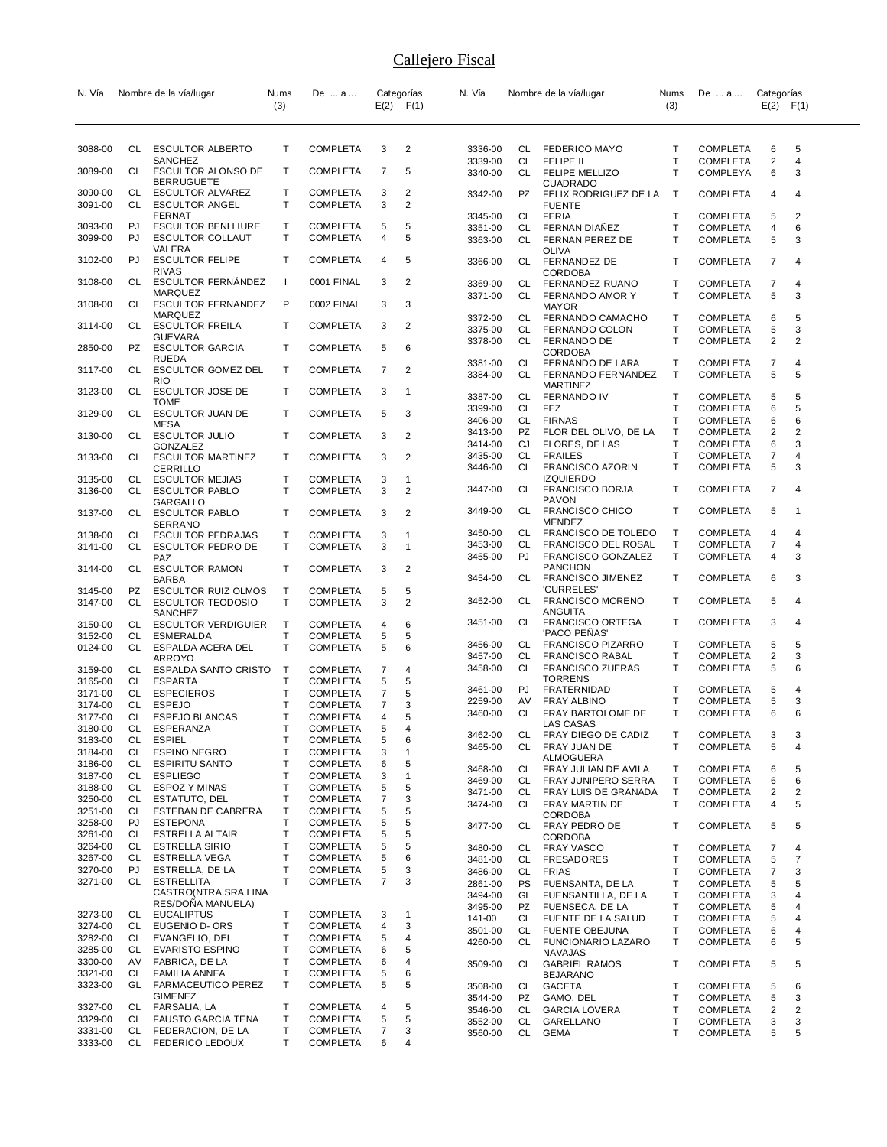| N. Vía             |                 | Nombre de la vía/lugar                               | Nums         | De  a                              |        | Categorías        | N. Vía             |                 | Nombre de la vía/lugar                             | Nums              | De  a                              | Categorías                   |                |
|--------------------|-----------------|------------------------------------------------------|--------------|------------------------------------|--------|-------------------|--------------------|-----------------|----------------------------------------------------|-------------------|------------------------------------|------------------------------|----------------|
|                    |                 |                                                      | (3)          |                                    |        | $E(2)$ $F(1)$     |                    |                 |                                                    | (3)               |                                    | $E(2)$ $F(1)$                |                |
|                    |                 |                                                      |              |                                    |        |                   |                    |                 |                                                    |                   |                                    |                              |                |
|                    |                 |                                                      | Τ            |                                    |        |                   |                    |                 |                                                    |                   |                                    |                              |                |
| 3088-00            | CL.             | <b>ESCULTOR ALBERTO</b><br>SANCHEZ                   |              | <b>COMPLETA</b>                    | 3      | 2                 | 3336-00<br>3339-00 | CL              | CL FEDERICO MAYO<br><b>FELIPE II</b>               | т<br>T            | <b>COMPLETA</b><br><b>COMPLETA</b> | 6<br>$\overline{2}$          | 5<br>4         |
| 3089-00            | CL              | <b>ESCULTOR ALONSO DE</b>                            | т            | <b>COMPLETA</b>                    | 7      | 5                 | 3340-00            | CL              | FELIPE MELLIZO                                     | T                 | <b>COMPLEYA</b>                    | 6                            | 3              |
| 3090-00            | CL              | <b>BERRUGUETE</b><br><b>ESCULTOR ALVAREZ</b>         | т            | COMPLETA                           | 3      | 2                 | 3342-00            | <b>PZ</b>       | <b>CUADRADO</b><br>FELIX RODRIGUEZ DE LA           | т                 | <b>COMPLETA</b>                    | 4                            | 4              |
| 3091-00            | CL              | <b>ESCULTOR ANGEL</b>                                | т            | <b>COMPLETA</b>                    | 3      | 2                 |                    |                 | <b>FUENTE</b>                                      |                   |                                    |                              |                |
|                    |                 | FERNAT                                               |              |                                    |        |                   | 3345-00            | CL              | <b>FERIA</b>                                       | т                 | COMPLETA                           | 5                            | 2              |
| 3093-00<br>3099-00 | PJ<br>PJ        | <b>ESCULTOR BENLLIURE</b><br><b>ESCULTOR COLLAUT</b> | т<br>т       | COMPLETA<br><b>COMPLETA</b>        | 5<br>4 | 5<br>5            | 3351-00<br>3363-00 | CL<br><b>CL</b> | FERNAN DIAÑEZ<br>FERNAN PEREZ DE                   | Т<br>T            | <b>COMPLETA</b>                    | 4                            | 6<br>3         |
|                    |                 | VALERA                                               |              |                                    |        |                   |                    |                 | OLIVA                                              |                   | <b>COMPLETA</b>                    | 5                            |                |
| 3102-00            | PJ              | <b>ESCULTOR FELIPE</b>                               | т            | <b>COMPLETA</b>                    | 4      | 5                 | 3366-00            | CL              | FERNANDEZ DE                                       | Τ                 | <b>COMPLETA</b>                    | 7                            | 4              |
| 3108-00            | CL              | <b>RIVAS</b><br><b>ESCULTOR FERNANDEZ</b>            | $\mathbf{I}$ | 0001 FINAL                         | 3      | 2                 | 3369-00            | CL              | <b>CORDOBA</b><br>FERNANDEZ RUANO                  | т                 | COMPLETA                           | 7                            | 4              |
|                    |                 | <b>MARQUEZ</b>                                       |              |                                    |        |                   | 3371-00            | CL.             | FERNANDO AMOR Y                                    | T                 | <b>COMPLETA</b>                    | 5                            | 3              |
| 3108-00            | CL              | <b>ESCULTOR FERNANDEZ</b><br><b>MARQUEZ</b>          | P            | 0002 FINAL                         | 3      | 3                 |                    |                 | <b>MAYOR</b>                                       |                   |                                    |                              |                |
| 3114-00            | CL              | <b>ESCULTOR FREILA</b>                               | T            | <b>COMPLETA</b>                    | 3      | $\overline{2}$    | 3372-00<br>3375-00 | CL<br>CL        | FERNANDO CAMACHO<br>FERNANDO COLON                 | т<br>Т            | COMPLETA<br><b>COMPLETA</b>        | 6<br>5                       | 5<br>3         |
|                    |                 | GUEVARA                                              |              |                                    |        |                   | 3378-00            | CL              | <b>FERNANDO DE</b>                                 | T                 | <b>COMPLETA</b>                    | $\overline{2}$               | $\overline{2}$ |
| 2850-00            | PZ              | <b>ESCULTOR GARCIA</b><br>RUEDA                      | т            | <b>COMPLETA</b>                    | 5      | 6                 |                    |                 | <b>CORDOBA</b>                                     |                   |                                    |                              |                |
| 3117-00            | CL              | <b>ESCULTOR GOMEZ DEL</b>                            | Τ            | <b>COMPLETA</b>                    | 7      | 2                 | 3381-00<br>3384-00 | CL<br>CL        | FERNANDO DE LARA<br>FERNANDO FERNANDEZ             | т<br>T.           | <b>COMPLETA</b><br><b>COMPLETA</b> | 7<br>5                       | 4<br>5         |
|                    |                 | <b>RIO</b>                                           |              |                                    |        |                   |                    |                 | <b>MARTINEZ</b>                                    |                   |                                    |                              |                |
| 3123-00            | CL              | <b>ESCULTOR JOSE DE</b><br><b>TOME</b>               | Τ            | COMPLETA                           | 3      | -1                | 3387-00            | CL              | <b>FERNANDO IV</b>                                 | т                 | <b>COMPLETA</b>                    | 5                            | 5              |
| 3129-00            | CL              | ESCULTOR JUAN DE                                     | т            | <b>COMPLETA</b>                    | 5      | 3                 | 3399-00<br>3406-00 | CL<br>CL        | FEZ<br><b>FIRNAS</b>                               | Τ<br>T            | <b>COMPLETA</b><br>COMPLETA        | 6<br>6                       | 5<br>6         |
| 3130-00            | CL              | MESA<br><b>ESCULTOR JULIO</b>                        | т            | COMPLETA                           | 3      | $\overline{2}$    | 3413-00            | PZ              | FLOR DEL OLIVO, DE LA                              | т                 | <b>COMPLETA</b>                    | 2                            | 2              |
|                    |                 | GONZALEZ                                             |              |                                    |        |                   | 3414-00            | CJ              | <b>FLORES, DE LAS</b>                              | T                 | <b>COMPLETA</b>                    | 6                            | 3              |
| 3133-00            | CL              | <b>ESCULTOR MARTINEZ</b>                             | т            | <b>COMPLETA</b>                    | 3      | 2                 | 3435-00            | CL              | <b>FRAILES</b>                                     | T                 | COMPLETA                           | 7                            | 4              |
| 3135-00            | CL              | CERRILLO<br><b>ESCULTOR MEJIAS</b>                   | т            | COMPLETA                           | 3      | -1                | 3446-00            | <b>CL</b>       | FRANCISCO AZORIN<br><b>IZQUIERDO</b>               | T                 | <b>COMPLETA</b>                    | 5                            | 3              |
| 3136-00            | CL              | <b>ESCULTOR PABLO</b>                                | т            | <b>COMPLETA</b>                    | 3      | 2                 | 3447-00            | CL              | <b>FRANCISCO BORJA</b>                             | T                 | <b>COMPLETA</b>                    | 7                            | 4              |
|                    |                 | GARGALLO                                             |              |                                    |        |                   |                    |                 | <b>PAVON</b>                                       |                   |                                    |                              |                |
| 3137-00            | CL              | <b>ESCULTOR PABLO</b><br><b>SERRANO</b>              | T            | <b>COMPLETA</b>                    | 3      | $\overline{2}$    | 3449-00            | CL              | <b>FRANCISCO CHICO</b><br><b>MENDEZ</b>            | T                 | <b>COMPLETA</b>                    | 5                            | -1             |
| 3138-00            | CL              | <b>ESCULTOR PEDRAJAS</b>                             | Т            | COMPLETA                           | 3      | -1                | 3450-00            | CL              | FRANCISCO DE TOLEDO                                | Т                 | <b>COMPLETA</b>                    | 4                            | 4              |
| 3141-00            | CL              | ESCULTOR PEDRO DE                                    | т            | <b>COMPLETA</b>                    | 3      | $\mathbf{1}$      | 3453-00            | CL              | FRANCISCO DEL ROSAL                                | т                 | <b>COMPLETA</b>                    | 7                            | 4              |
| 3144-00            | CL              | PAZ<br><b>ESCULTOR RAMON</b>                         | Τ            | <b>COMPLETA</b>                    | 3      | 2                 | 3455-00            | PJ              | FRANCISCO GONZALEZ<br><b>PANCHON</b>               | T                 | <b>COMPLETA</b>                    | 4                            | 3              |
|                    |                 | BARBA                                                |              |                                    |        |                   | 3454-00            | CL              | <b>FRANCISCO JIMENEZ</b>                           | T                 | COMPLETA                           | 6                            | 3              |
| 3145-00            | PZ              | <b>ESCULTOR RUIZ OLMOS</b>                           | Т            | <b>COMPLETA</b>                    | 5      | 5                 |                    |                 | 'CURRELES'                                         |                   |                                    |                              |                |
| 3147-00            | CL              | <b>ESCULTOR TEODOSIO</b><br>SANCHEZ                  | T.           | COMPLETA                           | 3      | $\overline{2}$    | 3452-00            | CL              | <b>FRANCISCO MORENO</b><br>ANGUITA                 | T                 | COMPLETA                           | 5                            | 4              |
| 3150-00            | CL              | <b>ESCULTOR VERDIGUIER</b>                           | Т            | <b>COMPLETA</b>                    | 4      | 6                 | 3451-00            | CL.             | <b>FRANCISCO ORTEGA</b>                            | Т                 | <b>COMPLETA</b>                    | 3                            | 4              |
| 3152-00            | CL              | <b>ESMERALDA</b>                                     | т            | <b>COMPLETA</b>                    | 5      | 5                 |                    |                 | 'PACO PENAS'                                       |                   |                                    |                              |                |
| 0124-00            | CL              | ESPALDA ACERA DEL<br>ARROYO                          | т            | <b>COMPLETA</b>                    | 5      | 6                 | 3456-00<br>3457-00 | CL<br>CL        | <b>FRANCISCO PIZARRO</b><br><b>FRANCISCO RABAL</b> | т<br>$\mathsf{T}$ | <b>COMPLETA</b><br><b>COMPLETA</b> | 5<br>$\overline{2}$          | 5<br>3         |
| 3159-00            | CL              | <b>ESPALDA SANTO CRISTO</b>                          | $\mathsf T$  | COMPLETA                           | 7      | 4                 | 3458-00            | CL              | <b>FRANCISCO ZUERAS</b>                            | т                 | COMPLETA                           | 5                            | 6              |
| 3165-00            | CL              | <b>ESPARTA</b>                                       | Т            | <b>COMPLETA</b>                    | 5      | 5                 |                    |                 | <b>TORRENS</b>                                     |                   |                                    |                              |                |
| 3171-00            | CL              | <b>ESPECIEROS</b>                                    | T            | <b>COMPLETA</b>                    | 7      | 5                 | 3461-00<br>2259-00 | PJ<br>AV        | FRATERNIDAD<br>FRAY ALBINO                         | т<br>т            | COMPLETA<br><b>COMPLETA</b>        | 5<br>5                       | 4<br>3         |
| 3174-00<br>3177-00 | CL<br>CL        | <b>ESPEJO</b><br><b>ESPEJO BLANCAS</b>               | т<br>T       | <b>COMPLETA</b><br><b>COMPLETA</b> | 7<br>4 | 3<br>5            | 3460-00            | CL              | FRAY BARTOLOME DE                                  | T                 | <b>COMPLETA</b>                    | 6                            | 6              |
| 3180-00            | CL              | <b>ESPERANZA</b>                                     | т            | COMPLETA                           | 5      | 4                 | 3462-00            | CL              | LAS CASAS<br>FRAY DIEGO DE CADIZ                   | T                 | <b>COMPLETA</b>                    |                              |                |
| 3183-00            | CL              | <b>ESPIEL</b>                                        | Т            | <b>COMPLETA</b>                    | 5      | 6                 | 3465-00            | CL              | FRAY JUAN DE                                       | Τ                 | <b>COMPLETA</b>                    | $\overline{\mathbf{3}}$<br>5 | 3<br>4         |
| 3184-00<br>3186-00 | CL<br>CL        | <b>ESPINO NEGRO</b><br><b>ESPIRITU SANTO</b>         | Т<br>Т       | <b>COMPLETA</b><br><b>COMPLETA</b> | 3<br>6 | $\mathbf{1}$<br>5 |                    |                 | ALMOGUERA                                          |                   |                                    |                              |                |
| 3187-00            | CL              | <b>ESPLIEGO</b>                                      | Т            | <b>COMPLETA</b>                    | 3      | $\mathbf{1}$      | 3468-00            | CL              | FRAY JULIAN DE AVILA                               | т                 | <b>COMPLETA</b>                    | 6                            | 5              |
| 3188-00            | CL              | ESPOZ Y MINAS                                        | Т            | <b>COMPLETA</b>                    | 5      | 5                 | 3469-00<br>3471-00 | CL<br>CL        | FRAY JUNIPERO SERRA<br>FRAY LUIS DE GRANADA        | Τ<br>Т            | <b>COMPLETA</b><br><b>COMPLETA</b> | 6<br>2                       | 6<br>2         |
| 3250-00            | CL              | ESTATUTO, DEL                                        | Т            | <b>COMPLETA</b>                    | 7      | 3                 | 3474-00            | CL              | FRAY MARTIN DE                                     | T                 | <b>COMPLETA</b>                    | 4                            | 5              |
| 3251-00<br>3258-00 | <b>CL</b><br>PJ | ESTEBAN DE CABRERA<br><b>ESTEPONA</b>                | т<br>Т       | <b>COMPLETA</b><br><b>COMPLETA</b> | 5<br>5 | 5<br>5            |                    |                 | <b>CORDOBA</b>                                     |                   |                                    |                              |                |
| 3261-00            | CL              | ESTRELLA ALTAIR                                      | Т            | <b>COMPLETA</b>                    | 5      | 5                 | 3477-00            | CL              | FRAY PEDRO DE<br><b>CORDOBA</b>                    | т                 | <b>COMPLETA</b>                    | 5                            | 5              |
| 3264-00            | CL              | <b>ESTRELLA SIRIO</b>                                | Т            | <b>COMPLETA</b>                    | 5      | 5                 | 3480-00            | CL              | <b>FRAY VASCO</b>                                  | Τ                 | COMPLETA                           | $\overline{7}$               | 4              |
| 3267-00<br>3270-00 | <b>CL</b><br>PJ | <b>ESTRELLA VEGA</b><br>ESTRELLA, DE LA              | Т<br>Т       | <b>COMPLETA</b>                    | 5      | 6<br>3            | 3481-00            | CL              | <b>FRESADORES</b>                                  | Т                 | <b>COMPLETA</b>                    | 5                            | 7              |
| 3271-00            | CL              | <b>ESTRELLITA</b>                                    | т            | <b>COMPLETA</b><br><b>COMPLETA</b> | 5<br>7 | 3                 | 3486-00<br>2861-00 | CL<br>PS        | <b>FRIAS</b><br>FUENSANTA, DE LA                   | T<br>Т            | <b>COMPLETA</b><br><b>COMPLETA</b> | $\overline{7}$<br>5          | 3<br>5         |
|                    |                 | CASTRO(NTRA.SRA.LINA                                 |              |                                    |        |                   | 3494-00            | GL              | FUENSANTILLA, DE LA                                | Т                 | <b>COMPLETA</b>                    | 3                            | 4              |
| 3273-00            | CL              | RES/DONA MANUELA)<br><b>EUCALIPTUS</b>               | т            | <b>COMPLETA</b>                    | 3      | 1                 | 3495-00            | PZ              | FUENSECA, DE LA                                    | T                 | <b>COMPLETA</b>                    | 5                            | 4              |
| 3274-00            | CL              | EUGENIO D- ORS                                       | Т            | <b>COMPLETA</b>                    | 4      | 3                 | 141-00             | CL              | FUENTE DE LA SALUD                                 | т                 | <b>COMPLETA</b>                    | 5                            | 4              |
| 3282-00            | CL              | EVANGELIO, DEL                                       | Т            | <b>COMPLETA</b>                    | 5      | 4                 | 3501-00<br>4260-00 | CL<br>CL        | <b>FUENTE OBEJUNA</b><br>FUNCIONARIO LAZARO        | т<br>т            | <b>COMPLETA</b><br><b>COMPLETA</b> | 6<br>6                       | 4<br>5         |
| 3285-00            | CL              | <b>EVARISTO ESPINO</b>                               | т            | <b>COMPLETA</b>                    | 6      | 5                 |                    |                 | NAVAJAS                                            |                   |                                    |                              |                |
| 3300-00<br>3321-00 | AV<br>CL        | FABRICA, DE LA<br><b>FAMILIA ANNEA</b>               | т<br>т       | <b>COMPLETA</b><br><b>COMPLETA</b> | 6<br>5 | 4<br>6            | 3509-00            | CL              | <b>GABRIEL RAMOS</b>                               | т                 | <b>COMPLETA</b>                    | 5                            | 5              |
| 3323-00            | GL              | FARMACEUTICO PEREZ                                   | Т            | COMPLETA                           | 5      | 5                 | 3508-00            | CL              | <b>BEJARANO</b><br><b>GACETA</b>                   | т                 | <b>COMPLETA</b>                    | 5                            | 6              |
|                    |                 | <b>GIMENEZ</b>                                       |              |                                    |        |                   | 3544-00            | PZ              | GAMO, DEL                                          | Τ                 | COMPLETA                           | 5                            | 3              |
| 3327-00<br>3329-00 | CL<br>CL        | FARSALIA, LA<br><b>FAUSTO GARCIA TENA</b>            | т<br>Т       | <b>COMPLETA</b><br><b>COMPLETA</b> | 4<br>5 | 5<br>5            | 3546-00            | CL              | <b>GARCIA LOVERA</b>                               | Т                 | <b>COMPLETA</b>                    | 2                            | 2              |
| 3331-00            | CL              | FEDERACION, DE LA                                    | т            | COMPLETA                           | 7      | 3                 | 3552-00<br>3560-00 | CL<br>CL        | GARELLANO<br><b>GEMA</b>                           | Т<br>T            | <b>COMPLETA</b><br>COMPLETA        | 3<br>5                       | 3<br>5         |
| 3333-00            | CL              | FEDERICO LEDOUX                                      | Τ            | COMPLETA                           | 6      | 4                 |                    |                 |                                                    |                   |                                    |                              |                |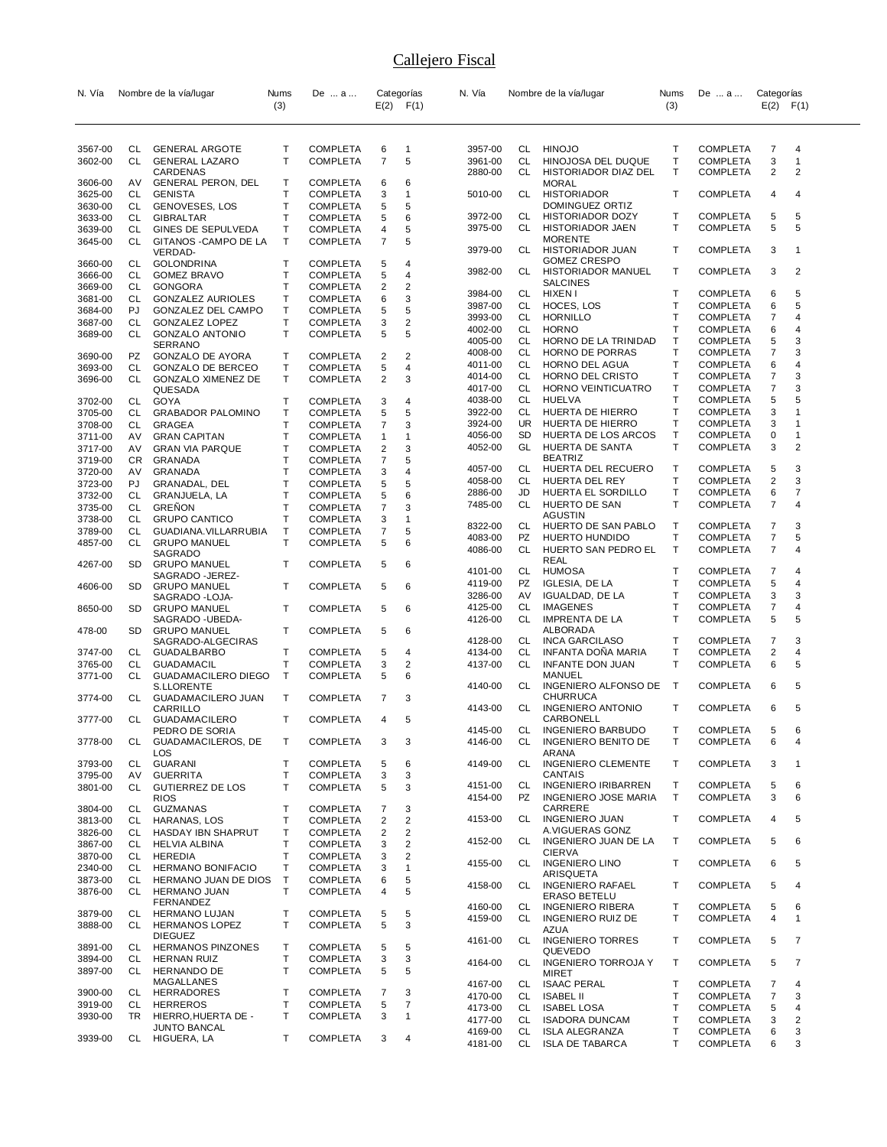| N. Vía             |                 | Nombre de la vía/lugar                         | Nums              | De  a                              |                              | Categorías                     | N. Vía             |           | Nombre de la vía/lugar                          | Nums         | De  a                              | Categorías          |                                |
|--------------------|-----------------|------------------------------------------------|-------------------|------------------------------------|------------------------------|--------------------------------|--------------------|-----------|-------------------------------------------------|--------------|------------------------------------|---------------------|--------------------------------|
|                    |                 |                                                | (3)               |                                    |                              | $E(2)$ $F(1)$                  |                    |           |                                                 | (3)          |                                    |                     | $E(2)$ $F(1)$                  |
|                    |                 |                                                |                   |                                    |                              |                                |                    |           |                                                 |              |                                    |                     |                                |
| 3567-00            | CL              | <b>GENERAL ARGOTE</b>                          | Т                 | <b>COMPLETA</b>                    | 6                            | $\mathbf 1$                    | 3957-00            | CL        | <b>HINOJO</b>                                   | т            | <b>COMPLETA</b>                    | 7                   | 4                              |
| 3602-00            | CL              | <b>GENERAL LAZARO</b>                          | T                 | <b>COMPLETA</b>                    | 7                            | 5                              | 3961-00            | CL        | HINOJOSA DEL DUQUE                              | Т            | <b>COMPLETA</b>                    | 3                   | $\mathbf{1}$                   |
| 3606-00            | AV              | CARDENAS<br><b>GENERAL PERON, DEL</b>          | Т                 | <b>COMPLETA</b>                    | 6                            | 6                              | 2880-00            | CL        | HISTORIADOR DIAZ DEL<br><b>MORAL</b>            | T            | <b>COMPLETA</b>                    | $\overline{2}$      | $\overline{2}$                 |
| 3625-00            | CL              | <b>GENISTA</b>                                 | T                 | <b>COMPLETA</b>                    | 3                            | $\mathbf{1}$                   | 5010-00            | CL        | <b>HISTORIADOR</b>                              | T            | <b>COMPLETA</b>                    | 4                   | 4                              |
| 3630-00            | CL              | GENOVESES, LOS                                 | Т                 | <b>COMPLETA</b>                    | 5                            | 5                              |                    |           | DOMINGUEZ ORTIZ                                 |              |                                    |                     |                                |
| 3633-00            | CL              | <b>GIBRALTAR</b>                               | T                 | <b>COMPLETA</b>                    | 5                            | 6                              | 3972-00            | CL<br>CL  | HISTORIADOR DOZY                                | т<br>т       | <b>COMPLETA</b><br><b>COMPLETA</b> | 5<br>5              | 5<br>5                         |
| 3639-00<br>3645-00 | CL<br>CL        | GINES DE SEPULVEDA<br>GITANOS - CAMPO DE LA    | T<br>Τ            | <b>COMPLETA</b><br><b>COMPLETA</b> | 4<br>7                       | 5<br>5                         | 3975-00            |           | HISTORIADOR JAEN<br><b>MORENTE</b>              |              |                                    |                     |                                |
|                    |                 | VERDAD-                                        |                   |                                    |                              |                                | 3979-00            | CL        | HISTORIADOR JUAN                                | т            | <b>COMPLETA</b>                    | 3                   | $\mathbf 1$                    |
| 3660-00            | CL              | <b>GOLONDRINA</b>                              | Т                 | <b>COMPLETA</b>                    | 5                            | 4                              |                    |           | <b>GOMEZ CRESPO</b>                             |              |                                    |                     |                                |
| 3666-00            | CL              | <b>GOMEZ BRAVO</b>                             | T                 | <b>COMPLETA</b>                    | 5                            | 4                              | 3982-00            | CL        | HISTORIADOR MANUEL<br><b>SALCINES</b>           | т            | COMPLETA                           | 3                   | 2                              |
| 3669-00            | CL              | <b>GONGORA</b>                                 | Τ                 | <b>COMPLETA</b>                    | 2                            | 2                              | 3984-00            | CL        | HIXEN I                                         | т            | <b>COMPLETA</b>                    | 6                   | 5                              |
| 3681-00<br>3684-00 | СL<br>PJ        | <b>GONZALEZ AURIOLES</b><br>GONZALEZ DEL CAMPO | T<br>T            | <b>COMPLETA</b><br><b>COMPLETA</b> | 6<br>5                       | 3<br>5                         | 3987-00            | CL        | HOCES, LOS                                      | т            | <b>COMPLETA</b>                    | 6                   | 5                              |
| 3687-00            | СL              | GONZALEZ LOPEZ                                 | T                 | <b>COMPLETA</b>                    | 3                            | 2                              | 3993-00            | CL        | <b>HORNILLO</b>                                 | Т            | <b>COMPLETA</b>                    | 7                   | 4                              |
| 3689-00            | CL              | <b>GONZALO ANTONIO</b>                         | Т                 | <b>COMPLETA</b>                    | 5                            | 5                              | 4002-00            | CL        | <b>HORNO</b>                                    | T            | <b>COMPLETA</b>                    | 6                   | 4                              |
|                    |                 | <b>SERRANO</b>                                 |                   |                                    |                              |                                | 4005-00            | CL<br>CL  | HORNO DE LA TRINIDAD                            | Т<br>Т       | <b>COMPLETA</b>                    | 5<br>7              | 3<br>3                         |
| 3690-00            | PZ              | <b>GONZALO DE AYORA</b>                        | Т                 | <b>COMPLETA</b>                    | 2                            | 2                              | 4008-00<br>4011-00 | CL        | HORNO DE PORRAS<br>HORNO DEL AGUA               | Т            | <b>COMPLETA</b><br><b>COMPLETA</b> | 6                   | 4                              |
| 3693-00<br>3696-00 | CL<br>CL        | GONZALO DE BERCEO<br><b>GONZALO XIMENEZ DE</b> | T<br>Т            | <b>COMPLETA</b>                    | 5<br>2                       | 4<br>3                         | 4014-00            | CL        | HORNO DEL CRISTO                                | T            | <b>COMPLETA</b>                    | 7                   | 3                              |
|                    |                 | QUESADA                                        |                   | <b>COMPLETA</b>                    |                              |                                | 4017-00            | CL        | HORNO VEINTICUATRO                              | т            | <b>COMPLETA</b>                    | 7                   | 3                              |
| 3702-00            | CL              | <b>GOYA</b>                                    | Т                 | <b>COMPLETA</b>                    | 3                            | 4                              | 4038-00            | CL        | HUELVA                                          | Т            | <b>COMPLETA</b>                    | 5                   | 5                              |
| 3705-00            | CL              | <b>GRABADOR PALOMINO</b>                       | T                 | <b>COMPLETA</b>                    | 5                            | 5                              | 3922-00            | CL        | HUERTA DE HIERRO                                | T            | COMPLETA                           | 3                   | $\overline{1}$                 |
| 3708-00            | CL              | <b>GRAGEA</b>                                  | $\mathsf{T}$      | <b>COMPLETA</b>                    | 7                            | 3                              | 3924-00            | <b>UR</b> | HUERTA DE HIERRO                                | т            | <b>COMPLETA</b>                    | 3                   | $\mathbf 1$                    |
| 3711-00            | AV              | <b>GRAN CAPITAN</b>                            | T                 | <b>COMPLETA</b>                    | 1                            | $\mathbf{1}$                   | 4056-00<br>4052-00 | SD<br>GL  | HUERTA DE LOS ARCOS<br>HUERTA DE SANTA          | т<br>T       | COMPLETA<br>COMPLETA               | 0<br>3              | $\mathbf{1}$<br>$\overline{2}$ |
| 3717-00<br>3719-00 | AV<br>CR        | <b>GRAN VIA PARQUE</b><br>GRANADA              | T<br>T            | <b>COMPLETA</b><br><b>COMPLETA</b> | $\overline{\mathbf{c}}$<br>7 | 3<br>5                         |                    |           | <b>BEATRIZ</b>                                  |              |                                    |                     |                                |
| 3720-00            | AV              | GRANADA                                        | Τ                 | <b>COMPLETA</b>                    | 3                            | 4                              | 4057-00            | CL        | HUERTA DEL RECUERO                              | т            | <b>COMPLETA</b>                    | 5                   | 3                              |
| 3723-00            | PJ              | GRANADAL, DEL                                  | T                 | <b>COMPLETA</b>                    | 5                            | 5                              | 4058-00            | CL.       | <b>HUERTA DEL REY</b>                           | T            | <b>COMPLETA</b>                    | $\overline{2}$      | 3                              |
| 3732-00            | CL              | GRANJUELA, LA                                  | T                 | <b>COMPLETA</b>                    | 5                            | 6                              | 2886-00            | JD        | HUERTA EL SORDILLO                              | т            | COMPLETA                           | 6                   | $\overline{7}$                 |
| 3735-00            | СL              | <b>GRENON</b>                                  | T                 | <b>COMPLETA</b>                    | 7                            | 3                              | 7485-00            | CL        | HUERTO DE SAN                                   | Т            | <b>COMPLETA</b>                    | 7                   | 4                              |
| 3738-00            | CL              | <b>GRUPO CANTICO</b>                           | T                 | <b>COMPLETA</b>                    | 3                            | $\mathbf{1}$                   | 8322-00            | CL        | AGUSTIN<br>HUERTO DE SAN PABLO                  | Т            | <b>COMPLETA</b>                    | $\overline{7}$      | 3                              |
| 3789-00            | СL<br>CL        | GUADIANA. VILLARRUBIA                          | T<br>T            | <b>COMPLETA</b>                    | 7<br>5                       | 5<br>6                         | 4083-00            | PZ        | HUERTO HUNDIDO                                  | Т            | COMPLETA                           | 7                   | 5                              |
| 4857-00            |                 | <b>GRUPO MANUEL</b><br>SAGRADO                 |                   | <b>COMPLETA</b>                    |                              |                                | 4086-00            | CL        | HUERTO SAN PEDRO EL                             | T            | COMPLETA                           | $\overline{7}$      | 4                              |
| 4267-00            | SD              | <b>GRUPO MANUEL</b>                            | Т                 | <b>COMPLETA</b>                    | 5                            | 6                              |                    |           | REAL                                            |              |                                    |                     |                                |
|                    |                 | SAGRADO - JEREZ-                               |                   |                                    |                              |                                | 4101-00            | CL        | <b>HUMOSA</b>                                   | т<br>т       | <b>COMPLETA</b>                    | 7                   | 4<br>$\overline{4}$            |
| 4606-00            | SD              | <b>GRUPO MANUEL</b>                            | Τ                 | <b>COMPLETA</b>                    | 5                            | 6                              | 4119-00<br>3286-00 | PZ<br>AV  | <b>IGLESIA, DE LA</b><br>IGUALDAD, DE LA        | Т            | <b>COMPLETA</b><br><b>COMPLETA</b> | 5<br>3              | 3                              |
| 8650-00            | SD              | SAGRADO - LOJA-<br><b>GRUPO MANUEL</b>         | Т                 | <b>COMPLETA</b>                    | 5                            | 6                              | 4125-00            | CL        | <b>IMAGENES</b>                                 | Т            | COMPLETA                           | 7                   | 4                              |
|                    |                 | SAGRADO - UBEDA-                               |                   |                                    |                              |                                | 4126-00            | CL        | <b>IMPRENTA DE LA</b>                           | T            | COMPLETA                           | 5                   | 5                              |
| 478-00             | SD              | <b>GRUPO MANUEL</b>                            | Τ                 | <b>COMPLETA</b>                    | 5                            | 6                              |                    |           | ALBORADA                                        |              |                                    |                     |                                |
|                    |                 | SAGRADO-ALGECIRAS                              |                   |                                    |                              |                                | 4128-00            | CL        | <b>INCA GARCILASO</b>                           | т            | <b>COMPLETA</b>                    | 7                   | 3                              |
| 3747-00<br>3765-00 | CL<br>CL        | <b>GUADALBARBO</b><br><b>GUADAMACIL</b>        | Т<br>T            | <b>COMPLETA</b><br>COMPLETA        | 5<br>3                       | 4<br>2                         | 4134-00<br>4137-00 | CL<br>CL  | INFANTA DONA MARIA<br>INFANTE DON JUAN          | т<br>т       | COMPLETA<br>COMPLETA               | $\overline{2}$<br>6 | 4<br>5                         |
| 3771-00            | CL              | <b>GUADAMACILERO DIEGO</b>                     | T                 | <b>COMPLETA</b>                    | 5                            | 6                              |                    |           | MANUEL                                          |              |                                    |                     |                                |
|                    |                 | S.LLORENTE                                     |                   |                                    |                              |                                | 4140-00            | CL        | INGENIERO ALFONSO DE                            | т            | <b>COMPLETA</b>                    | 6                   | 5                              |
| 3774-00            | CL              | GUADAMACILERO JUAN                             | Т                 | <b>COMPLETA</b>                    | 7                            | 3                              |                    |           | <b>CHURRUCA</b>                                 |              |                                    |                     |                                |
|                    |                 | CARRILLO<br><b>GUADAMACILERO</b>               |                   |                                    |                              |                                | 4143-00            | CL        | <b>INGENIERO ANTONIO</b><br>CARBONELL           | T            | <b>COMPLETA</b>                    | 6                   | 5                              |
| 3777-00            | CL              | PEDRO DE SORIA                                 | Т                 | <b>COMPLETA</b>                    | 4                            | 5                              | 4145-00            | CL        | <b>INGENIERO BARBUDO</b>                        | т            | <b>COMPLETA</b>                    | 5                   | 6                              |
| 3778-00            | CL              | GUADAMACILEROS, DE                             | Т                 | <b>COMPLETA</b>                    | 3                            | 3                              | 4146-00            | CL        | <b>INGENIERO BENITO DE</b>                      | т            | <b>COMPLETA</b>                    | 6                   | 4                              |
|                    |                 | LOS                                            |                   |                                    |                              |                                |                    |           | ARANA                                           |              |                                    |                     |                                |
| 3793-00            | CL              | <b>GUARANI</b>                                 | Т                 | <b>COMPLETA</b>                    | 5                            | 6                              | 4149-00            | CL        | <b>INGENIERO CLEMENTE</b><br>CANTAIS            | Τ            | <b>COMPLETA</b>                    | 3                   | $\overline{1}$                 |
| 3795-00<br>3801-00 | AV<br>CL        | <b>GUERRITA</b><br><b>GUTIERREZ DE LOS</b>     | T<br>$\mathsf{T}$ | <b>COMPLETA</b><br><b>COMPLETA</b> | 3<br>5                       | 3<br>3                         | 4151-00            | CL        | <b>INGENIERO IRIBARREN</b>                      | т            | <b>COMPLETA</b>                    | 5                   | 6                              |
|                    |                 | <b>RIOS</b>                                    |                   |                                    |                              |                                | 4154-00            | <b>PZ</b> | <b>INGENIERO JOSE MARIA</b>                     | $\mathsf{T}$ | <b>COMPLETA</b>                    | 3                   | 6                              |
| 3804-00            | CL              | <b>GUZMANAS</b>                                | Т                 | <b>COMPLETA</b>                    | 7                            | 3                              |                    |           | CARRERE                                         |              |                                    |                     |                                |
| 3813-00            | CL              | HARANAS, LOS                                   | T                 | <b>COMPLETA</b>                    | $\overline{\mathbf{c}}$      | $\overline{\mathbf{c}}$        | 4153-00            | CL        | <b>INGENIERO JUAN</b>                           | T            | <b>COMPLETA</b>                    | 4                   | 5                              |
| 3826-00            | CL              | HASDAY IBN SHAPRUT                             | T                 | <b>COMPLETA</b>                    | 2                            | 2                              | 4152-00            | CL        | A.VIGUERAS GONZ<br>INGENIERO JUAN DE LA         | T            | <b>COMPLETA</b>                    | 5                   | 6                              |
| 3867-00            | CL              | <b>HELVIA ALBINA</b>                           | T                 | <b>COMPLETA</b>                    | 3                            | $\overline{2}$                 |                    |           | <b>CIERVA</b>                                   |              |                                    |                     |                                |
| 3870-00<br>2340-00 | CL<br>CL        | <b>HEREDIA</b><br><b>HERMANO BONIFACIO</b>     | T<br>T            | <b>COMPLETA</b><br><b>COMPLETA</b> | 3<br>3                       | $\overline{c}$<br>$\mathbf{1}$ | 4155-00            | CL        | <b>INGENIERO LINO</b>                           | Τ            | <b>COMPLETA</b>                    | 6                   | 5                              |
| 3873-00            | CL              | HERMANO JUAN DE DIOS                           | $\mathsf{T}$      | <b>COMPLETA</b>                    | 6                            | 5                              |                    |           | ARISQUETA                                       |              |                                    |                     |                                |
| 3876-00            | CL              | <b>HERMANO JUAN</b>                            | T                 | <b>COMPLETA</b>                    | 4                            | 5                              | 4158-00            | CL        | <b>INGENIERO RAFAEL</b><br><b>ERASO BETELU</b>  | Τ            | <b>COMPLETA</b>                    | 5                   | 4                              |
|                    |                 | FERNANDEZ                                      |                   |                                    |                              |                                | 4160-00            | CL        | <b>INGENIERO RIBERA</b>                         | т            | <b>COMPLETA</b>                    | 5                   | 6                              |
| 3879-00            | CL              | <b>HERMANO LUJAN</b>                           | Т                 | <b>COMPLETA</b>                    | 5                            | 5                              | 4159-00            | CL        | <b>INGENIERO RUIZ DE</b>                        | T            | <b>COMPLETA</b>                    | 4                   | $\mathbf{1}$                   |
| 3888-00            | CL              | <b>HERMANOS LOPEZ</b><br><b>DIEGUEZ</b>        | T                 | <b>COMPLETA</b>                    | 5                            | 3                              |                    |           | <b>AZUA</b>                                     |              |                                    |                     |                                |
| 3891-00            | CL              | <b>HERMANOS PINZONES</b>                       | Т                 | <b>COMPLETA</b>                    | 5                            | 5                              | 4161-00            | CL        | <b>INGENIERO TORRES</b>                         | Τ            | <b>COMPLETA</b>                    | 5                   | 7                              |
| 3894-00            | CL              | <b>HERNAN RUIZ</b>                             | T                 | <b>COMPLETA</b>                    | 3                            | 3                              |                    | CL        | QUEVEDO<br><b>INGENIERO TORROJA Y</b>           | $\mathsf{T}$ |                                    | 5                   | 7                              |
| 3897-00            | CL              | HERNANDO DE                                    | $\mathsf{T}$      | <b>COMPLETA</b>                    | 5                            | 5                              | 4164-00            |           | MIRET                                           |              | <b>COMPLETA</b>                    |                     |                                |
|                    |                 | MAGALLANES                                     |                   |                                    |                              |                                | 4167-00            | CL        | <b>ISAAC PERAL</b>                              | т            | <b>COMPLETA</b>                    | 7                   | 4                              |
| 3900-00            | CL              | <b>HERRADORES</b>                              | Т                 | <b>COMPLETA</b>                    | 7                            | 3                              | 4170-00            | CL        | <b>ISABEL II</b>                                | T            | <b>COMPLETA</b>                    | $\overline{7}$      | 3                              |
| 3919-00            | CL<br><b>TR</b> | <b>HERREROS</b>                                | T<br>T            | <b>COMPLETA</b>                    | 5                            | 7                              | 4173-00            | CL        | <b>ISABEL LOSA</b>                              | Т            | <b>COMPLETA</b>                    | 5                   | 4                              |
| 3930-00            |                 | HIERRO, HUERTA DE -<br><b>JUNTO BANCAL</b>     |                   | <b>COMPLETA</b>                    | 3                            | $\mathbf{1}$                   | 4177-00            | CL        | <b>ISADORA DUNCAM</b>                           | Т            | <b>COMPLETA</b>                    | 3                   | $\overline{2}$                 |
| 3939-00            | CL              | HIGUERA, LA                                    | Τ                 | <b>COMPLETA</b>                    | 3                            | 4                              | 4169-00            | CL<br>CL  | <b>ISLA ALEGRANZA</b><br><b>ISLA DE TABARCA</b> | Т<br>Т       | <b>COMPLETA</b>                    | 6<br>6              | 3<br>3                         |
|                    |                 |                                                |                   |                                    |                              |                                | 4181-00            |           |                                                 |              | <b>COMPLETA</b>                    |                     |                                |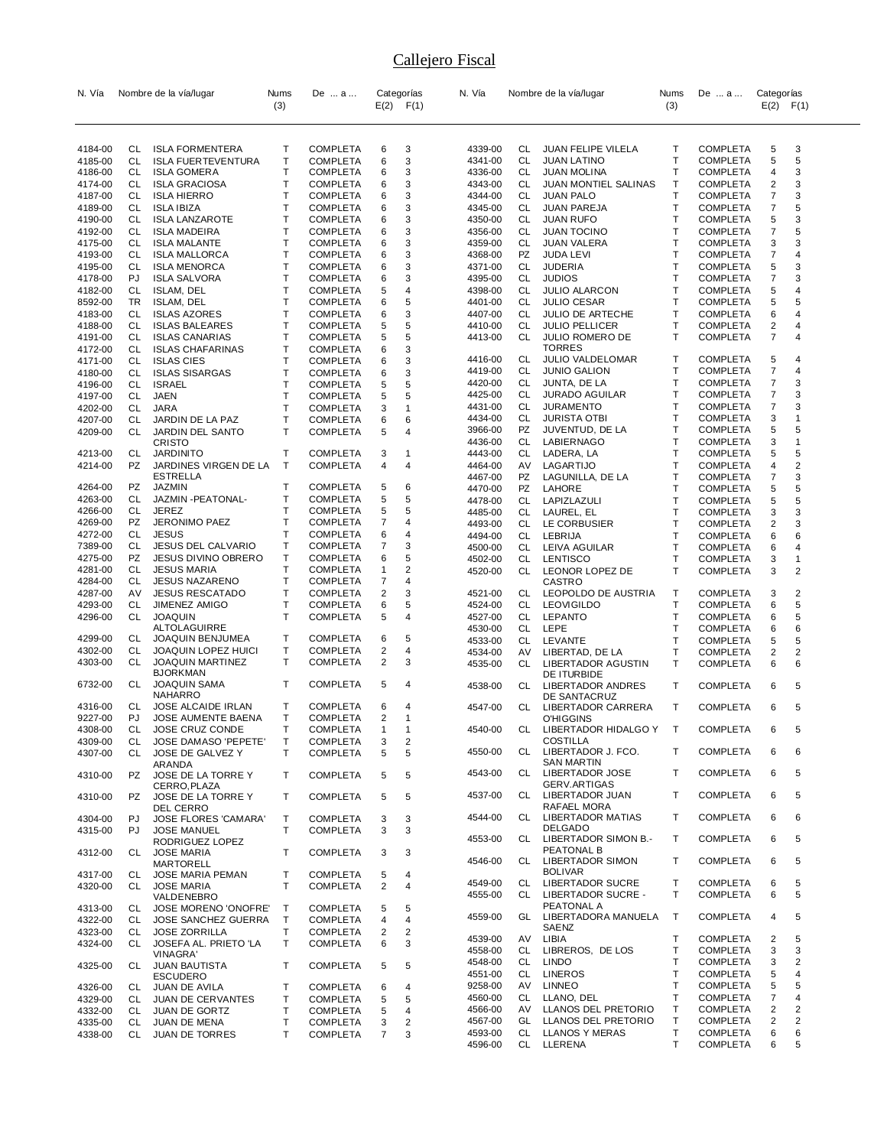| N. Vía             |          | Nombre de la vía/lugar                       | Nums   | De  a                              |                | Categorías     | N. Vía             |           | Nombre de la vía/lugar                 | Nums         | De  a                              | Categorías          |                |
|--------------------|----------|----------------------------------------------|--------|------------------------------------|----------------|----------------|--------------------|-----------|----------------------------------------|--------------|------------------------------------|---------------------|----------------|
|                    |          |                                              | (3)    |                                    |                | $E(2)$ $F(1)$  |                    |           |                                        | (3)          |                                    | $E(2)$ $F(1)$       |                |
|                    |          |                                              |        |                                    |                |                |                    |           |                                        |              |                                    |                     |                |
|                    |          |                                              |        |                                    |                |                |                    |           |                                        |              |                                    |                     |                |
| 4184-00            | CL       | <b>ISLA FORMENTERA</b>                       | Т      | <b>COMPLETA</b>                    | 6              | 3              | 4339-00            | CL        | JUAN FELIPE VILELA                     | Т            | <b>COMPLETA</b>                    | 5                   | 3              |
| 4185-00            | CL       | <b>ISLA FUERTEVENTURA</b>                    | т      | COMPLETA                           | 6              | 3              | 4341-00            | <b>CL</b> | <b>JUAN LATINO</b>                     | Т            | <b>COMPLETA</b>                    | 5                   | 5              |
| 4186-00            | CL       | <b>ISLA GOMERA</b>                           | т      | <b>COMPLETA</b>                    | 6              | 3              | 4336-00            | CL        | JUAN MOLINA                            | T            | <b>COMPLETA</b>                    | 4                   | 3              |
| 4174-00            | CL       | <b>ISLA GRACIOSA</b>                         | т<br>т | <b>COMPLETA</b>                    | 6              | 3              | 4343-00            | CL<br>CL  | JUAN MONTIEL SALINAS                   | т<br>Т       | <b>COMPLETA</b>                    | 2<br>7              | 3<br>3         |
| 4187-00<br>4189-00 | CL<br>CL | <b>ISLA HIERRO</b><br><b>ISLA IBIZA</b>      | Т      | <b>COMPLETA</b><br><b>COMPLETA</b> | 6<br>6         | 3<br>3         | 4344-00<br>4345-00 | CL        | <b>JUAN PALO</b><br><b>JUAN PAREJA</b> | T            | <b>COMPLETA</b><br><b>COMPLETA</b> | 7                   | 5              |
| 4190-00            | CL       | <b>ISLA LANZAROTE</b>                        | т      | <b>COMPLETA</b>                    | 6              | 3              | 4350-00            | CL        | <b>JUAN RUFO</b>                       | T            | <b>COMPLETA</b>                    | 5                   | 3              |
| 4192-00            | CL       | <b>ISLA MADEIRA</b>                          | Т      | <b>COMPLETA</b>                    | 6              | 3              | 4356-00            | CL        | <b>JUAN TOCINO</b>                     | Т            | <b>COMPLETA</b>                    | 7                   | 5              |
| 4175-00            | CL       | <b>ISLA MALANTE</b>                          | Т      | <b>COMPLETA</b>                    | 6              | 3              | 4359-00            | CL        | JUAN VALERA                            | Т            | <b>COMPLETA</b>                    | 3                   | 3              |
| 4193-00            | CL       | <b>ISLA MALLORCA</b>                         | т      | <b>COMPLETA</b>                    | 6              | 3              | 4368-00            | <b>PZ</b> | <b>JUDA LEVI</b>                       | T            | <b>COMPLETA</b>                    | 7                   | 4              |
| 4195-00            | CL       | <b>ISLA MENORCA</b>                          | Т      | <b>COMPLETA</b>                    | 6              | 3              | 4371-00            | CL        | <b>JUDERIA</b>                         | т            | <b>COMPLETA</b>                    | 5                   | 3              |
| 4178-00            | PJ       | <b>ISLA SALVORA</b>                          | T      | <b>COMPLETA</b>                    | 6              | 3              | 4395-00            | CL        | <b>JUDIOS</b>                          | Т            | <b>COMPLETA</b>                    | 7                   | 3              |
| 4182-00            | CL       | ISLAM, DEL                                   | Т      | <b>COMPLETA</b>                    | 5              | 4              | 4398-00            | CL        | <b>JULIO ALARCON</b>                   | Т            | <b>COMPLETA</b>                    | 5                   | 4              |
| 8592-00            | TR       | ISLAM, DEL                                   | T      | <b>COMPLETA</b>                    | 6              | 5              | 4401-00            | CL        | <b>JULIO CESAR</b>                     | T            | <b>COMPLETA</b>                    | 5                   | 5              |
| 4183-00            | CL       | <b>ISLAS AZORES</b>                          | Т      | COMPLETA                           | 6              | 3              | 4407-00            | CL        | JULIO DE ARTECHE                       | т            | <b>COMPLETA</b>                    | 6                   | 4              |
| 4188-00            | CL       | <b>ISLAS BALEARES</b>                        | Т      | COMPLETA                           | 5              | 5              | 4410-00            | CL        | <b>JULIO PELLICER</b>                  | Т            | <b>COMPLETA</b>                    | 2                   | 4              |
| 4191-00            | CL       | <b>ISLAS CANARIAS</b>                        | Т      | <b>COMPLETA</b>                    | 5              | 5              | 4413-00            | CL        | JULIO ROMERO DE                        | $\mathsf{T}$ | <b>COMPLETA</b>                    | $\overline{7}$      | 4              |
| 4172-00            | CL       | <b>ISLAS CHAFARINAS</b>                      | т      | <b>COMPLETA</b>                    | 6              | 3              |                    |           | <b>TORRES</b>                          |              |                                    |                     |                |
| 4171-00            | CL       | <b>ISLAS CIES</b>                            | т      | COMPLETA                           | 6              | 3              | 4416-00            | CL        | <b>JULIO VALDELOMAR</b>                | Т            | <b>COMPLETA</b>                    | 5                   | 4              |
| 4180-00            | CL       | <b>ISLAS SISARGAS</b>                        | т      | COMPLETA                           | 6              | 3              | 4419-00            | CL        | <b>JUNIO GALION</b>                    | T            | <b>COMPLETA</b>                    | 7                   | $\overline{4}$ |
| 4196-00            | CL       | <b>ISRAEL</b>                                | т      | <b>COMPLETA</b>                    | 5              | 5              | 4420-00            | CL<br>CL  | JUNTA, DE LA<br><b>JURADO AGUILAR</b>  | т<br>Т       | <b>COMPLETA</b>                    | 7                   | 3<br>3         |
| 4197-00            | CL       | JAEN                                         | Т      | COMPLETA                           | 5              | 5              | 4425-00<br>4431-00 | CL        | <b>JURAMENTO</b>                       | T            | <b>COMPLETA</b><br><b>COMPLETA</b> | 7<br>7              | 3              |
| 4202-00            | CL       | <b>JARA</b>                                  | т      | <b>COMPLETA</b>                    | 3              | 1              | 4434-00            | CL        | <b>JURISTA OTBI</b>                    | т            | <b>COMPLETA</b>                    | 3                   | 1              |
| 4207-00            | СL       | JARDIN DE LA PAZ                             | т      | <b>COMPLETA</b>                    | 6              | 6              | 3966-00            | PZ        | JUVENTUD, DE LA                        | Т            | <b>COMPLETA</b>                    | 5                   | 5              |
| 4209-00            | СL       | JARDIN DEL SANTO<br><b>CRISTO</b>            | т      | <b>COMPLETA</b>                    | 5              | 4              | 4436-00            | CL        | LABIERNAGO                             | T            | <b>COMPLETA</b>                    | 3                   | $\mathbf{1}$   |
| 4213-00            | CL       | <b>JARDINITO</b>                             | т      | COMPLETA                           | 3              | 1              | 4443-00            | CL        | LADERA, LA                             | Т            | <b>COMPLETA</b>                    | 5                   | 5              |
| 4214-00            | PZ       | JARDINES VIRGEN DE LA                        | Т      | COMPLETA                           | 4              | 4              | 4464-00            | AV        | LAGARTIJO                              | Т            | <b>COMPLETA</b>                    | 4                   | 2              |
|                    |          | <b>ESTRELLA</b>                              |        |                                    |                |                | 4467-00            | PZ        | LAGUNILLA, DE LA                       | Т            | <b>COMPLETA</b>                    | 7                   | 3              |
| 4264-00            | PZ       | <b>JAZMIN</b>                                | т      | COMPLETA                           | 5              | 6              | 4470-00            | PZ        | LAHORE                                 | т            | <b>COMPLETA</b>                    | 5                   | 5              |
| 4263-00            | CL       | JAZMIN - PEATONAL-                           | т      | COMPLETA                           | 5              | 5              | 4478-00            | CL        | LAPIZLAZULI                            | Т            | <b>COMPLETA</b>                    | 5                   | 5              |
| 4266-00            | СL       | <b>JEREZ</b>                                 | Т      | <b>COMPLETA</b>                    | 5              | 5              | 4485-00            | CL        | LAUREL, EL                             | Т            | <b>COMPLETA</b>                    | 3                   | 3              |
| 4269-00            | PZ       | JERONIMO PAEZ                                | т      | COMPLETA                           | 7              | 4              | 4493-00            | CL        | LE CORBUSIER                           | Т            | <b>COMPLETA</b>                    | 2                   | 3              |
| 4272-00            | CL       | <b>JESUS</b>                                 | т      | COMPLETA                           | 6              | 4              | 4494-00            | CL        | LEBRIJA                                | т            | <b>COMPLETA</b>                    | 6                   | 6              |
| 7389-00            | CL       | <b>JESUS DEL CALVARIO</b>                    | т      | <b>COMPLETA</b>                    | 7              | 3              | 4500-00            | CL        | LEIVA AGUILAR                          | Т            | <b>COMPLETA</b>                    | 6                   | 4              |
| 4275-00            | PZ       | JESUS DIVINO OBRERO                          | т      | <b>COMPLETA</b>                    | 6              | 5              | 4502-00            | CL        | LENTISCO                               | $\mathsf{T}$ | <b>COMPLETA</b>                    | 3                   | 1              |
| 4281-00            | СL       | <b>JESUS MARIA</b>                           | т      | COMPLETA                           | $\mathbf{1}$   | 2              | 4520-00            | CL        | LEONOR LOPEZ DE                        | Т            | <b>COMPLETA</b>                    | 3                   | 2              |
| 4284-00            | CL       | <b>JESUS NAZARENO</b>                        | Т      | COMPLETA                           | 7              | 4              |                    |           | <b>CASTRO</b>                          |              |                                    |                     |                |
| 4287-00            | AV       | <b>JESUS RESCATADO</b>                       | т      | <b>COMPLETA</b>                    | $\overline{2}$ | 3              | 4521-00            | CL        | LEOPOLDO DE AUSTRIA                    | Т            | <b>COMPLETA</b>                    | 3                   | 2              |
| 4293-00            | CL       | <b>JIMENEZ AMIGO</b>                         | т      | COMPLETA                           | 6              | 5              | 4524-00            | CL        | <b>LEOVIGILDO</b>                      | Т            | <b>COMPLETA</b>                    | 6                   | 5              |
| 4296-00            | CL       | <b>JOAQUIN</b><br>ALTOLAGUIRRE               | т      | <b>COMPLETA</b>                    | 5              | 4              | 4527-00            | CL        | <b>LEPANTO</b>                         | Т<br>T       | <b>COMPLETA</b>                    | 6                   | 5<br>6         |
| 4299-00            | CL       | JOAQUIN BENJUMEA                             | т      | COMPLETA                           | 6              | 5              | 4530-00<br>4533-00 | CL<br>CL  | LEPE<br>LEVANTE                        | T            | <b>COMPLETA</b><br><b>COMPLETA</b> | 6<br>5              | 5              |
| 4302-00            | CL       | JOAQUIN LOPEZ HUICI                          | т      | <b>COMPLETA</b>                    | $\overline{2}$ | 4              | 4534-00            | AV        | LIBERTAD, DE LA                        | Т            | <b>COMPLETA</b>                    | 2                   | 2              |
| 4303-00            | CL       | JOAQUIN MARTINEZ                             | т      | <b>COMPLETA</b>                    | $\overline{2}$ | 3              | 4535-00            | CL        | LIBERTADOR AGUSTIN                     | т            | <b>COMPLETA</b>                    | 6                   | 6              |
|                    |          | <b>BJORKMAN</b>                              |        |                                    |                |                |                    |           | DE ITURBIDE                            |              |                                    |                     |                |
| 6732-00            | CL       | <b>JOAQUIN SAMA</b>                          | т      | <b>COMPLETA</b>                    | 5              | 4              | 4538-00            | CL        | LIBERTADOR ANDRES                      | т            | <b>COMPLETA</b>                    | 6                   | 5              |
|                    |          | <b>NAHARRO</b>                               |        |                                    |                |                |                    |           | DE SANTACRUZ                           |              |                                    |                     |                |
| 4316-00            | СL       | JOSE ALCAIDE IRLAN                           | т      | COMPLETA                           | 6              | 4              | 4547-00            | CL        | LIBERTADOR CARRERA                     | Т            | <b>COMPLETA</b>                    | 6                   | 5              |
| 9227-00            | PJ       | JOSE AUMENTE BAENA                           | т      | COMPLETA                           | $\overline{2}$ | 1              |                    |           | <b>O'HIGGINS</b>                       |              |                                    |                     |                |
| 4308-00            | СL       | JOSE CRUZ CONDE                              | T      | COMPLETA                           | $\mathbf{1}$   | 1              | 4540-00            | CL        | LIBERTADOR HIDALGO Y                   | $\mathsf{T}$ | <b>COMPLETA</b>                    | 6                   | 5              |
| 4309-00            | CL       | JOSE DAMASO 'PEPETE'                         | Т      | <b>COMPLETA</b>                    | 3              | $\overline{2}$ | 4550-00            | CL        | <b>COSTILLA</b><br>LIBERTADOR J. FCO.  | Т            | <b>COMPLETA</b>                    |                     |                |
| 4307-00            | CL       | JOSE DE GALVEZ Y                             | T      | <b>COMPLETA</b>                    | 5              | 5              |                    |           | <b>SAN MARTIN</b>                      |              |                                    | 6                   | 6              |
| 4310-00            | PZ       | ARANDA<br>JOSE DE LA TORRE Y                 | т      | <b>COMPLETA</b>                    | 5              | 5              | 4543-00            |           | CL LIBERTADOR JOSE                     | т            | <b>COMPLETA</b>                    | 6                   | 5              |
|                    |          | CERRO, PLAZA                                 |        |                                    |                |                |                    |           | <b>GERV.ARTIGAS</b>                    |              |                                    |                     |                |
| 4310-00            | PZ       | JOSE DE LA TORRE Y                           | т      | COMPLETA                           | 5              | 5              | 4537-00            | CL        | LIBERTADOR JUAN                        | T            | <b>COMPLETA</b>                    | 6                   | 5              |
|                    |          | DEL CERRO                                    |        |                                    |                |                |                    |           | RAFAEL MORA                            |              |                                    |                     |                |
| 4304-00            | PJ       | <b>JOSE FLORES 'CAMARA'</b>                  | Т      | COMPLETA                           | 3              | 3              | 4544-00            | CL        | LIBERTADOR MATIAS                      | T            | <b>COMPLETA</b>                    | 6                   | 6              |
| 4315-00            | PJ       | <b>JOSE MANUEL</b>                           | T      | <b>COMPLETA</b>                    | 3              | 3              |                    |           | <b>DELGADO</b>                         |              |                                    |                     |                |
|                    |          | RODRIGUEZ LOPEZ                              |        |                                    |                |                | 4553-00            | CL        | LIBERTADOR SIMON B.-                   | Т            | <b>COMPLETA</b>                    | 6                   | 5              |
| 4312-00            | CL.      | <b>JOSE MARIA</b>                            | т      | COMPLETA                           | 3              | 3              | 4546-00            |           | PEATONAL B<br>CL LIBERTADOR SIMON      | Т            | <b>COMPLETA</b>                    | 6                   | 5              |
|                    |          | <b>MARTORELL</b>                             |        |                                    |                |                |                    |           | <b>BOLIVAR</b>                         |              |                                    |                     |                |
| 4317-00            | CL<br>CL | <b>JOSE MARIA PEMAN</b><br><b>JOSE MARIA</b> | т<br>т | COMPLETA<br><b>COMPLETA</b>        | 5<br>2         | 4<br>4         | 4549-00            | CL        | <b>LIBERTADOR SUCRE</b>                | т            | <b>COMPLETA</b>                    | 6                   | 5              |
| 4320-00            |          | VALDENEBRO                                   |        |                                    |                |                | 4555-00            |           | CL LIBERTADOR SUCRE -                  | T            | <b>COMPLETA</b>                    | 6                   | 5              |
| 4313-00            | CL       | <b>JOSE MORENO 'ONOFRE'</b>                  | Т      | COMPLETA                           | 5              | 5              |                    |           | PEATONAL A                             |              |                                    |                     |                |
| 4322-00            | CL       | <b>JOSE SANCHEZ GUERRA</b>                   | т      | COMPLETA                           | 4              | 4              | 4559-00            | GL        | LIBERTADORA MANUELA                    | $\top$       | <b>COMPLETA</b>                    | 4                   | 5              |
| 4323-00            | CL       | <b>JOSE ZORRILLA</b>                         | т      | COMPLETA                           | 2              | 2              |                    |           | SAENZ                                  |              |                                    |                     |                |
| 4324-00            | CL       | JOSEFA AL. PRIETO 'LA                        | T      | COMPLETA                           | 6              | 3              | 4539-00            | AV        | LIBIA                                  | т            | <b>COMPLETA</b>                    | 2                   | 5              |
|                    |          | <b>VINAGRA</b>                               |        |                                    |                |                | 4558-00            | CL        | LIBREROS, DE LOS                       | Т            | <b>COMPLETA</b>                    | 3                   | 3              |
| 4325-00            | CL       | <b>JUAN BAUTISTA</b>                         | т      | <b>COMPLETA</b>                    | 5              | 5              | 4548-00            | CL        | <b>LINDO</b>                           | T            | <b>COMPLETA</b>                    | 3                   | 2              |
|                    |          | <b>ESCUDERO</b>                              |        |                                    |                |                | 4551-00            | CL        | <b>LINEROS</b>                         | T            | <b>COMPLETA</b>                    | 5                   | 4              |
| 4326-00            | CL       | JUAN DE AVILA                                | т      | COMPLETA                           | 6              | 4              | 9258-00            | AV        | <b>LINNEO</b>                          | T            | <b>COMPLETA</b>                    | 5                   | 5              |
| 4329-00            | CL       | JUAN DE CERVANTES                            | т      | COMPLETA                           | 5              | 5              | 4560-00            | <b>CL</b> | LLANO, DEL                             | T            | <b>COMPLETA</b>                    | 7                   | 4              |
| 4332-00            | CL       | <b>JUAN DE GORTZ</b>                         | T      | COMPLETA                           | 5              | 4              | 4566-00            | AV        | LLANOS DEL PRETORIO                    | т            | <b>COMPLETA</b>                    | 2                   | 2              |
| 4335-00            | CL       | JUAN DE MENA                                 | Т      | COMPLETA                           | 3              | 2              | 4567-00<br>4593-00 | GL<br>CL  | LLANOS DEL PRETORIO<br>LLANOS Y MERAS  | Т<br>T       | <b>COMPLETA</b><br><b>COMPLETA</b> | $\overline{2}$<br>6 | 2<br>6         |
| 4338-00            | CL       | <b>JUAN DE TORRES</b>                        | т      | COMPLETA                           | $\overline{7}$ | 3              | 4596-00            |           | CL LLERENA                             | Т            | <b>COMPLETA</b>                    | 6                   | 5              |
|                    |          |                                              |        |                                    |                |                |                    |           |                                        |              |                                    |                     |                |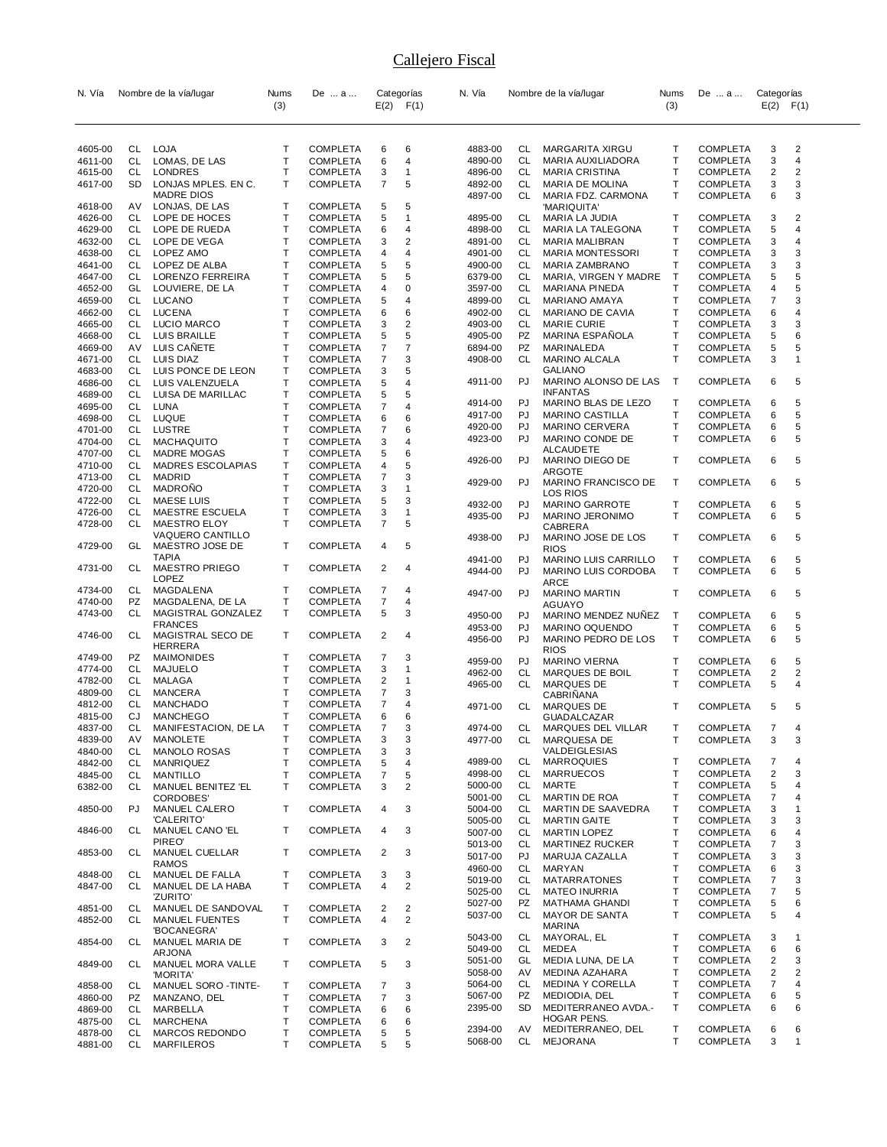| N. Vía             |           | Nombre de la vía/lugar                      | Nums   | De  a                              |                | Categorías                                | N. Vía             |           | Nombre de la vía/lugar                     | Nums   | De  a                              | Categorías                   |              |
|--------------------|-----------|---------------------------------------------|--------|------------------------------------|----------------|-------------------------------------------|--------------------|-----------|--------------------------------------------|--------|------------------------------------|------------------------------|--------------|
|                    |           |                                             | (3)    |                                    |                | $E(2)$ $F(1)$                             |                    |           |                                            | (3)    |                                    | $E(2)$ $F(1)$                |              |
|                    |           |                                             |        |                                    |                |                                           |                    |           |                                            |        |                                    |                              |              |
|                    |           |                                             |        |                                    |                |                                           |                    |           |                                            |        |                                    |                              |              |
| 4605-00            | CL        | LOJA                                        | т<br>T | <b>COMPLETA</b><br><b>COMPLETA</b> | 6              | 6                                         | 4883-00            | CL.       | MARGARITA XIRGU                            | т      | <b>COMPLETA</b>                    | 3                            | 2            |
| 4611-00<br>4615-00 | CL<br>CL  | LOMAS, DE LAS<br>LONDRES                    | Τ      | <b>COMPLETA</b>                    | 6<br>3         | 4<br>$\mathbf{1}$                         | 4890-00<br>4896-00 | CL.<br>CL | MARIA AUXILIADORA<br><b>MARIA CRISTINA</b> | т<br>Т | <b>COMPLETA</b><br><b>COMPLETA</b> | 3<br>2                       | 4<br>2       |
| 4617-00            | <b>SD</b> | LONJAS MPLES. EN C.                         | T      | <b>COMPLETA</b>                    | 7              | 5                                         | 4892-00            | CL.       | MARIA DE MOLINA                            | Т      | <b>COMPLETA</b>                    | 3                            | 3            |
|                    |           | <b>MADRE DIOS</b>                           |        |                                    |                |                                           | 4897-00            | CL.       | MARIA FDZ. CARMONA                         | т      | <b>COMPLETA</b>                    | 6                            | 3            |
| 4618-00            | AV        | LONJAS, DE LAS                              | т      | <b>COMPLETA</b>                    | 5              | 5                                         |                    |           | 'MARIQUITA'                                |        |                                    |                              |              |
| 4626-00            | CL        | LOPE DE HOCES                               | т      | <b>COMPLETA</b>                    | 5              | $\mathbf{1}$                              | 4895-00            | CL.       | MARIA LA JUDIA                             | т      | <b>COMPLETA</b>                    | 3                            | 2            |
| 4629-00<br>4632-00 | CL<br>CL  | LOPE DE RUEDA<br>LOPE DE VEGA               | T<br>T | <b>COMPLETA</b><br><b>COMPLETA</b> | 6<br>3         | 4<br>$\sqrt{2}$                           | 4898-00<br>4891-00 | CL<br>CL  | MARIA LA TALEGONA<br>MARIA MALIBRAN        | т<br>т | <b>COMPLETA</b><br><b>COMPLETA</b> | 5<br>3                       | 4<br>4       |
| 4638-00            | CL        | LOPEZ AMO                                   | т      | <b>COMPLETA</b>                    | 4              | $\overline{4}$                            | 4901-00            | CL        | <b>MARIA MONTESSORI</b>                    | Т      | <b>COMPLETA</b>                    | 3                            | 3            |
| 4641-00            | CL        | LOPEZ DE ALBA                               | T      | COMPLETA                           | 5              | 5                                         | 4900-00            | CL        | MARIA ZAMBRANO                             | т      | <b>COMPLETA</b>                    | 3                            | 3            |
| 4647-00            | CL        | LORENZO FERREIRA                            | Τ      | <b>COMPLETA</b>                    | 5              | 5                                         | 6379-00            | CL        | MARIA, VIRGEN Y MADRE                      | Т      | <b>COMPLETA</b>                    | 5                            | 5            |
| 4652-00            | GL        | LOUVIERE, DE LA                             | Τ      | <b>COMPLETA</b>                    | 4              | $\mathbf 0$                               | 3597-00            | CL        | MARIANA PINEDA                             | Т      | <b>COMPLETA</b>                    | 4                            | 5            |
| 4659-00            | CL        | LUCANO                                      | т      | COMPLETA                           | 5              | $\overline{4}$                            | 4899-00            | CL        | MARIANO AMAYA                              | т      | <b>COMPLETA</b>                    | 7                            | 3            |
| 4662-00            | CL<br>CL  | <b>LUCENA</b>                               | T<br>Τ | <b>COMPLETA</b>                    | 6              | 6                                         | 4902-00            | CL<br>CL  | MARIANO DE CAVIA                           | Т<br>T | <b>COMPLETA</b>                    | 6                            | 4<br>3       |
| 4665-00<br>4668-00 | CL        | LUCIO MARCO<br>LUIS BRAILLE                 | т      | COMPLETA<br><b>COMPLETA</b>        | 3<br>5         | 2<br>5                                    | 4903-00<br>4905-00 | PZ        | MARIE CURIE<br>MARINA ESPANOLA             | т      | <b>COMPLETA</b><br><b>COMPLETA</b> | 3<br>5                       | 6            |
| 4669-00            | AV        | LUIS CANETE                                 | т      | COMPLETA                           | 7              | $\overline{7}$                            | 6894-00            | PZ        | MARINALEDA                                 | т      | <b>COMPLETA</b>                    | 5                            | 5            |
| 4671-00            | CL        | LUIS DIAZ                                   | Τ      | <b>COMPLETA</b>                    | 7              | 3                                         | 4908-00            | CL        | MARINO ALCALA                              | T      | <b>COMPLETA</b>                    | 3                            | 1            |
| 4683-00            | CL        | LUIS PONCE DE LEON                          | Τ      | <b>COMPLETA</b>                    | 3              | 5                                         |                    |           | GALIANO                                    |        |                                    |                              |              |
| 4686-00            | CL        | LUIS VALENZUELA                             | т      | COMPLETA                           | 5              | $\overline{4}$                            | 4911-00            | PJ        | MARINO ALONSO DE LAS<br><b>INFANTAS</b>    | T      | <b>COMPLETA</b>                    | 6                            | 5            |
| 4689-00            | CL        | LUISA DE MARILLAC                           | Τ<br>T | <b>COMPLETA</b>                    | 5              | 5                                         | 4914-00            | PJ        | MARINO BLAS DE LEZO                        | т      | <b>COMPLETA</b>                    | 6                            | 5            |
| 4695-00<br>4698-00 | CL<br>CL  | LUNA<br>LUQUE                               | т      | COMPLETA<br><b>COMPLETA</b>        | 7<br>6         | 4<br>6                                    | 4917-00            | PJ        | <b>MARINO CASTILLA</b>                     | Т      | COMPLETA                           | 6                            | 5            |
| 4701-00            | CL        | <b>LUSTRE</b>                               | Τ      | <b>COMPLETA</b>                    | 7              | 6                                         | 4920-00            | PJ        | MARINO CERVERA                             | т      | <b>COMPLETA</b>                    | 6                            | 5            |
| 4704-00            | CL        | <b>MACHAQUITO</b>                           | Τ      | <b>COMPLETA</b>                    | 3              | 4                                         | 4923-00            | PJ        | MARINO CONDE DE                            | т      | <b>COMPLETA</b>                    | 6                            | 5            |
| 4707-00            | CL        | <b>MADRE MOGAS</b>                          | Τ      | COMPLETA                           | 5              | 6                                         | 4926-00            | PJ        | ALCAUDETE<br>MARINO DIEGO DE               | т      |                                    |                              | 5            |
| 4710-00            | CL        | <b>MADRES ESCOLAPIAS</b>                    | T      | COMPLETA                           | 4              | 5                                         |                    |           | ARGOTE                                     |        | <b>COMPLETA</b>                    | 6                            |              |
| 4713-00            | CL        | <b>MADRID</b>                               | T      | <b>COMPLETA</b>                    | 7              | 3                                         | 4929-00            | PJ        | MARINO FRANCISCO DE                        | т      | <b>COMPLETA</b>                    | 6                            | 5            |
| 4720-00<br>4722-00 | CL<br>CL  | <b>MADRONO</b><br><b>MAESE LUIS</b>         | Τ<br>т | COMPLETA<br>COMPLETA               | 3<br>5         | $\overline{1}$<br>3                       |                    |           | LOS RIOS                                   |        |                                    |                              |              |
| 4726-00            | CL        | MAESTRE ESCUELA                             | т      | COMPLETA                           | 3              | $\mathbf{1}$                              | 4932-00            | PJ        | MARINO GARROTE                             | т      | <b>COMPLETA</b>                    | 6                            | 5            |
| 4728-00            | CL        | <b>MAESTRO ELOY</b>                         | T      | COMPLETA                           | 7              | 5                                         | 4935-00            | PJ        | MARINO JERONIMO<br>CABRERA                 | т      | <b>COMPLETA</b>                    | 6                            | 5            |
|                    |           | VAQUERO CANTILLO                            |        |                                    |                |                                           | 4938-00            | PJ        | MARINO JOSE DE LOS                         | т      | <b>COMPLETA</b>                    | 6                            | 5            |
| 4729-00            | GL        | MAESTRO JOSE DE                             | т      | COMPLETA                           | 4              | 5                                         |                    |           | <b>RIOS</b>                                |        |                                    |                              |              |
| 4731-00            | CL        | <b>TAPIA</b><br><b>MAESTRO PRIEGO</b>       | т      | COMPLETA                           | 2              | 4                                         | 4941-00            | PJ        | MARINO LUIS CARRILLO                       | т      | <b>COMPLETA</b>                    | 6                            | 5            |
|                    |           | <b>LOPEZ</b>                                |        |                                    |                |                                           | 4944-00            | PJ        | MARINO LUIS CORDOBA                        | T      | <b>COMPLETA</b>                    | 6                            | 5            |
| 4734-00            | CL        | MAGDALENA                                   | т      | <b>COMPLETA</b>                    | 7              | 4                                         | 4947-00            | PJ        | ARCE<br><b>MARINO MARTIN</b>               | т      | <b>COMPLETA</b>                    | 6                            | 5            |
| 4740-00            | PZ        | MAGDALENA, DE LA                            | T      | COMPLETA                           | $\overline{7}$ | 4                                         |                    |           | AGUAYO                                     |        |                                    |                              |              |
| 4743-00            | CL        | MAGISTRAL GONZALEZ                          | т      | COMPLETA                           | 5              | 3                                         | 4950-00            | PJ        | MARINO MENDEZ NUNEZ                        | т      | <b>COMPLETA</b>                    | 6                            | 5            |
| 4746-00            | CL        | <b>FRANCES</b><br>MAGISTRAL SECO DE         | т      | COMPLETA                           | 2              | 4                                         | 4953-00            | PJ        | MARINO OQUENDO                             | Т      | <b>COMPLETA</b>                    | 6                            | 5            |
|                    |           | HERRERA                                     |        |                                    |                |                                           | 4956-00            | PJ        | MARINO PEDRO DE LOS                        | т      | <b>COMPLETA</b>                    | 6                            | 5            |
| 4749-00            | PZ        | <b>MAIMONIDES</b>                           | т      | <b>COMPLETA</b>                    | 7              | 3                                         | 4959-00            | PJ        | RIOS<br><b>MARINO VIERNA</b>               | т      | <b>COMPLETA</b>                    | 6                            | 5            |
| 4774-00            | CL        | MAJUELO                                     | т      | COMPLETA                           | 3              | $\mathbf{1}$                              | 4962-00            | CL        | MARQUES DE BOIL                            | т      | <b>COMPLETA</b>                    | 2                            | 2            |
| 4782-00            | CL        | MALAGA                                      | Τ      | <b>COMPLETA</b>                    | 2              | $\mathbf{1}$                              | 4965-00            | CL        | MARQUES DE                                 | т      | <b>COMPLETA</b>                    | 5                            | 4            |
| 4809-00            | CL        | MANCERA                                     | Τ      | <b>COMPLETA</b>                    | 7              | 3                                         |                    |           | CABRINANA                                  |        |                                    |                              |              |
| 4812-00<br>4815-00 | CL<br>CJ  | <b>MANCHADO</b><br><b>MANCHEGO</b>          | т<br>Τ | COMPLETA<br>COMPLETA               | 7<br>6         | $\overline{4}$<br>6                       | 4971-00            | CL        | MARQUES DE<br>GUADALCAZAR                  | т      | <b>COMPLETA</b>                    | 5                            | 5            |
| 4837-00            | <b>CL</b> | MANIFESTACION, DE LA                        | T      | COMPLETA                           | $\overline{7}$ | 3                                         | 4974-00            | CL        | MARQUES DEL VILLAR                         | т      | <b>COMPLETA</b>                    | 7                            | 4            |
| 4839-00            | AV        | MANOLETE                                    | Т      | COMPLETA                           | 3              | 3                                         | 4977-00            | CL        | MARQUESA DE                                | Т      | <b>COMPLETA</b>                    | 3                            | 3            |
| 4840-00            | CL        | <b>MANOLO ROSAS</b>                         | Τ      | COMPLETA                           | 3              | 3                                         |                    |           | VALDEIGLESIAS                              |        |                                    |                              |              |
| 4842-00            | CL        | MANRIQUEZ                                   | Т      | COMPLETA                           | 5              | 4                                         | 4989-00            | CL        | <b>MARROQUIES</b>                          | т      | <b>COMPLETA</b>                    | 7                            | 4            |
| 4845-00            | CL        | <b>MANTILLO</b>                             | T      | <b>COMPLETA</b>                    | 7              | 5                                         | 4998-00            | CL<br>CL  | <b>MARRUECOS</b><br><b>MARTE</b>           | Т<br>Т | <b>COMPLETA</b><br><b>COMPLETA</b> | $\overline{\mathbf{c}}$      | 3<br>4       |
| 6382-00            | <b>CL</b> | MANUEL BENITEZ 'EL<br><b>CORDOBES'</b>      | T      | COMPLETA                           | 3              | $\overline{2}$                            | 5000-00<br>5001-00 | CL        | MARTIN DE ROA                              | Т      | <b>COMPLETA</b>                    | 5<br>$\overline{7}$          | 4            |
| 4850-00            | PJ        | MANUEL CALERO                               | т      | COMPLETA                           | 4              | 3                                         | 5004-00            | CL        | MARTIN DE SAAVEDRA                         | T      | <b>COMPLETA</b>                    | 3                            | 1            |
|                    |           | 'CALERITO'                                  |        |                                    |                |                                           | 5005-00            | CL        | MARTIN GAITE                               | Т      | <b>COMPLETA</b>                    | 3                            | 3            |
| 4846-00            | CL        | MANUEL CANO 'EL                             | т      | COMPLETA                           | 4              | 3                                         | 5007-00            | CL        | MARTIN LOPEZ                               | T      | <b>COMPLETA</b>                    | 6                            | 4            |
| 4853-00            | CL        | PIREO <sup>®</sup><br>MANUEL CUELLAR        | т      | COMPLETA                           | 2              | 3                                         | 5013-00            | CL        | MARTINEZ RUCKER                            | Т      | <b>COMPLETA</b>                    | 7                            | 3            |
|                    |           | RAMOS                                       |        |                                    |                |                                           | 5017-00            | PJ        | MARUJA CAZALLA                             | T      | <b>COMPLETA</b>                    | 3                            | 3            |
| 4848-00            | CL        | MANUEL DE FALLA                             | т      | <b>COMPLETA</b>                    | 3              | 3                                         | 4960-00<br>5019-00 | CL<br>CL  | MARYAN<br>MATARRATONES                     | T<br>T | <b>COMPLETA</b><br><b>COMPLETA</b> | 6<br>$\overline{7}$          | 3<br>3       |
| 4847-00            | CL        | MANUEL DE LA HABA                           | т      | <b>COMPLETA</b>                    | 4              | $\overline{2}$                            | 5025-00            | CL        | <b>MATEO INURRIA</b>                       | T      | <b>COMPLETA</b>                    | 7                            | 5            |
|                    |           | 'ZURITO'                                    |        |                                    |                |                                           | 5027-00            | PZ        | <b>MATHAMA GHANDI</b>                      | Т      | <b>COMPLETA</b>                    | 5                            | 6            |
| 4851-00<br>4852-00 | CL<br>CL  | MANUEL DE SANDOVAL<br><b>MANUEL FUENTES</b> | Τ<br>т | <b>COMPLETA</b><br><b>COMPLETA</b> | 2<br>4         | $\overline{\mathbf{c}}$<br>$\overline{2}$ | 5037-00            | CL.       | MAYOR DE SANTA                             | т      | <b>COMPLETA</b>                    | 5                            | 4            |
|                    |           | 'BOCANEGRA'                                 |        |                                    |                |                                           |                    |           | MARINA                                     |        |                                    |                              |              |
| 4854-00            | CL        | MANUEL MARIA DE                             | Т      | COMPLETA                           | 3              | 2                                         | 5043-00            | CL        | MAYORAL, EL                                | т      | <b>COMPLETA</b>                    | 3                            | 1            |
|                    |           | <b>ARJONA</b>                               |        |                                    |                |                                           | 5049-00<br>5051-00 | CL<br>GL  | MEDEA<br>MEDIA LUNA, DE LA                 | T<br>T | <b>COMPLETA</b><br><b>COMPLETA</b> | 6<br>$\overline{\mathbf{c}}$ | 6<br>3       |
| 4849-00            | CL        | MANUEL MORA VALLE<br>'MORITA'               | Т      | COMPLETA                           | 5              | 3                                         | 5058-00            | AV        | MEDINA AZAHARA                             | Т      | <b>COMPLETA</b>                    | 2                            | 2            |
| 4858-00            | CL        | MANUEL SORO - TINTE-                        | т      | COMPLETA                           | 7              | 3                                         | 5064-00            | CL        | <b>MEDINA Y CORELLA</b>                    | Т      | <b>COMPLETA</b>                    | $\overline{7}$               | 4            |
| 4860-00            | PZ        | MANZANO, DEL                                | T      | COMPLETA                           | $\overline{7}$ | 3                                         | 5067-00            | PZ        | MEDIODIA, DEL                              | т      | <b>COMPLETA</b>                    | 6                            | 5            |
| 4869-00            | CL        | MARBELLA                                    | T      | COMPLETA                           | 6              | 6                                         | 2395-00            | SD        | MEDITERRANEO AVDA.-                        | T      | <b>COMPLETA</b>                    | 6                            | 6            |
| 4875-00            | CL        | <b>MARCHENA</b>                             | Т      | COMPLETA                           | 6              | 6                                         | 2394-00            | AV        | HOGAR PENS.<br>MEDITERRANEO, DEL           | Т      | <b>COMPLETA</b>                    | 6                            | 6            |
| 4878-00            | CL        | MARCOS REDONDO                              | T      | COMPLETA                           | 5              | 5                                         | 5068-00            | CL        | MEJORANA                                   | T      | <b>COMPLETA</b>                    | 3                            | $\mathbf{1}$ |
| 4881-00            | CL        | <b>MARFILEROS</b>                           | т      | <b>COMPLETA</b>                    | 5              | 5                                         |                    |           |                                            |        |                                    |                              |              |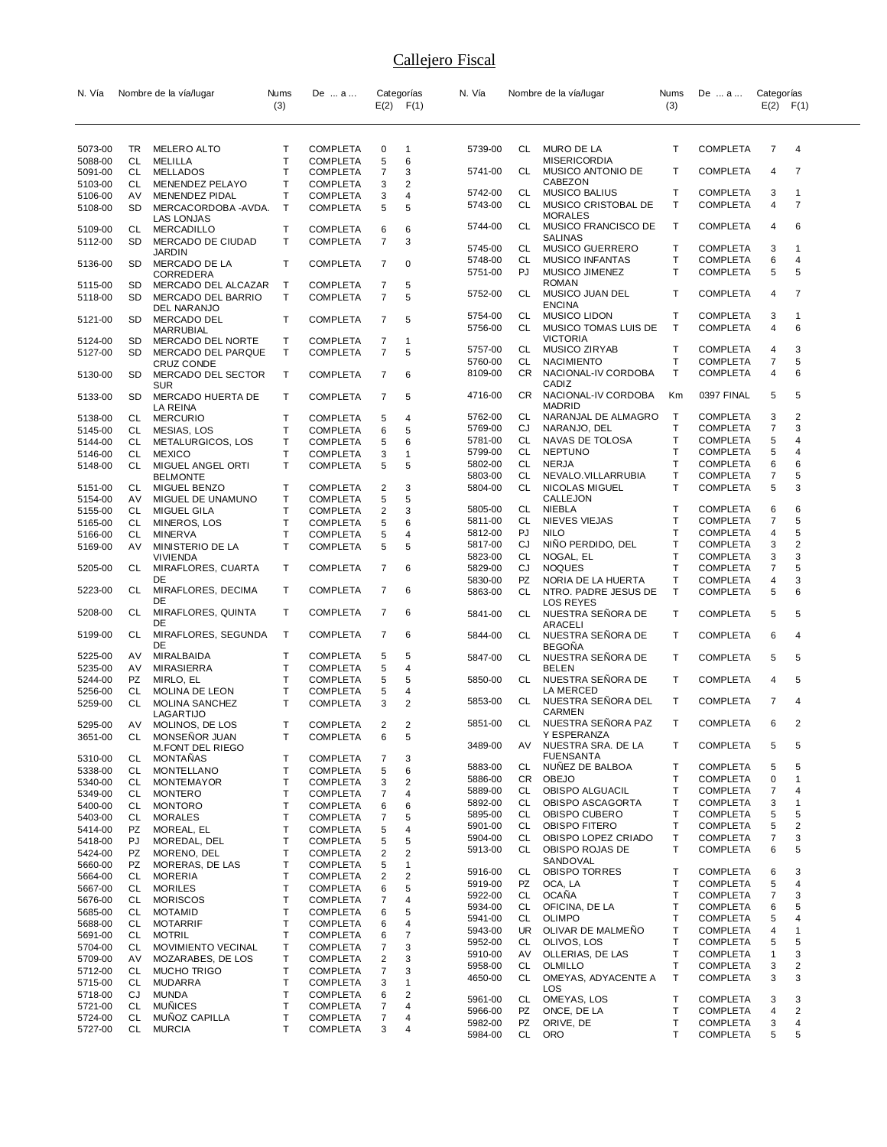| N. Vía             |           | Nombre de la vía/lugar                         | Nums   | De  a                              |                | Categorías          | N. Vía             |           | Nombre de la vía/lugar                | Nums         | De  a                              | Categorías |                   |
|--------------------|-----------|------------------------------------------------|--------|------------------------------------|----------------|---------------------|--------------------|-----------|---------------------------------------|--------------|------------------------------------|------------|-------------------|
|                    |           |                                                | (3)    |                                    |                | $E(2)$ $F(1)$       |                    |           |                                       | (3)          |                                    |            | $E(2)$ $F(1)$     |
|                    |           |                                                |        |                                    |                |                     |                    |           |                                       |              |                                    |            |                   |
| 5073-00<br>5088-00 | TR<br>CL  | MELERO ALTO<br><b>MELILLA</b>                  | Т<br>T | <b>COMPLETA</b><br><b>COMPLETA</b> | 0<br>5         | $\mathbf{1}$<br>6   | 5739-00            | CL        | MURO DE LA<br><b>MISERICORDIA</b>     | Т            | <b>COMPLETA</b>                    | 7          | $\overline{4}$    |
| 5091-00            | CL        | <b>MELLADOS</b>                                | Т      | <b>COMPLETA</b>                    | 7              | 3                   | 5741-00            | CL        | MUSICO ANTONIO DE                     | T            | <b>COMPLETA</b>                    | 4          | 7                 |
| 5103-00            | CL        | MENENDEZ PELAYO                                | T      | <b>COMPLETA</b>                    | 3              | 2                   |                    |           | CABEZON                               |              |                                    |            |                   |
| 5106-00            | AV        | MENENDEZ PIDAL                                 | т      | <b>COMPLETA</b>                    | 3              | 4                   | 5742-00            | CL        | MUSICO BALIUS                         | т            | <b>COMPLETA</b>                    | 3          | $\mathbf{1}$      |
| 5108-00            | SD        | MERCACORDOBA -AVDA.                            | Τ      | <b>COMPLETA</b>                    | 5              | 5                   | 5743-00            | CL        | MUSICO CRISTOBAL DE                   | Т            | <b>COMPLETA</b>                    | 4          | $\overline{7}$    |
|                    |           | <b>LAS LONJAS</b>                              |        |                                    |                |                     | 5744-00            | CL        | <b>MORALES</b><br>MUSICO FRANCISCO DE | T            | <b>COMPLETA</b>                    | 4          | 6                 |
| 5109-00            | CL        | MERCADILLO                                     | Τ      | <b>COMPLETA</b>                    | 6              | 6                   |                    |           | <b>SALINAS</b>                        |              |                                    |            |                   |
| 5112-00            | SD        | MERCADO DE CIUDAD<br><b>JARDIN</b>             | Т      | <b>COMPLETA</b>                    | $\overline{7}$ | 3                   | 5745-00            | CL        | <b>MUSICO GUERRERO</b>                | T            | <b>COMPLETA</b>                    | 3          | 1                 |
| 5136-00            | SD        | MERCADO DE LA                                  | Τ      | <b>COMPLETA</b>                    | 7              | $\mathbf 0$         | 5748-00            | CL        | <b>MUSICO INFANTAS</b>                | Т            | <b>COMPLETA</b>                    | 6          | 4                 |
|                    |           | CORREDERA                                      |        |                                    |                |                     | 5751-00            | PJ        | MUSICO JIMENEZ                        | T            | <b>COMPLETA</b>                    | 5          | 5                 |
| 5115-00            | SD        | MERCADO DEL ALCAZAR                            | Т      | <b>COMPLETA</b>                    | 7              | 5                   |                    | CL        | <b>ROMAN</b>                          | T            | <b>COMPLETA</b>                    |            | 7                 |
| 5118-00            | <b>SD</b> | MERCADO DEL BARRIO                             | T      | <b>COMPLETA</b>                    | $\overline{7}$ | 5                   | 5752-00            |           | MUSICO JUAN DEL<br><b>ENCINA</b>      |              |                                    | 4          |                   |
| 5121-00            | SD        | DEL NARANJO<br>MERCADO DEL                     | т      | <b>COMPLETA</b>                    | 7              | 5                   | 5754-00            | CL.       | <b>MUSICO LIDON</b>                   | т            | <b>COMPLETA</b>                    | 3          | $\mathbf{1}$      |
|                    |           | <b>MARRUBIAL</b>                               |        |                                    |                |                     | 5756-00            | CL        | MUSICO TOMAS LUIS DE                  | $\mathsf{T}$ | <b>COMPLETA</b>                    | 4          | 6                 |
| 5124-00            | SD        | MERCADO DEL NORTE                              | т      | COMPLETA                           | 7              | $\mathbf{1}$        |                    |           | <b>VICTORIA</b>                       |              |                                    |            |                   |
| 5127-00            | SD        | MERCADO DEL PARQUE                             | т      | <b>COMPLETA</b>                    | 7              | 5                   | 5757-00            | CL        | MUSICO ZIRYAB                         | Т            | <b>COMPLETA</b>                    | 4          | 3                 |
|                    |           | <b>CRUZ CONDE</b>                              |        |                                    |                |                     | 5760-00            | CL        | <b>NACIMIENTO</b>                     | Т<br>T       | <b>COMPLETA</b>                    | 7          | 5                 |
| 5130-00            | SD        | MERCADO DEL SECTOR<br><b>SUR</b>               | т      | COMPLETA                           | 7              | 6                   | 8109-00            | CR.       | NACIONAL-IV CORDOBA<br>CADIZ          |              | <b>COMPLETA</b>                    | 4          | 6                 |
| 5133-00            | SD        | MERCADO HUERTA DE                              | T      | <b>COMPLETA</b>                    | 7              | 5                   | 4716-00            | CR        | NACIONAL-IV CORDOBA                   | Кm           | 0397 FINAL                         | 5          | 5                 |
|                    |           | LA REINA                                       |        |                                    |                |                     |                    |           | <b>MADRID</b>                         |              |                                    |            |                   |
| 5138-00            | CL        | <b>MERCURIO</b>                                | т      | <b>COMPLETA</b>                    | 5              | 4                   | 5762-00            | CL        | NARANJAL DE ALMAGRO                   | Т            | <b>COMPLETA</b>                    | 3          | $\overline{2}$    |
| 5145-00            | CL        | MESIAS, LOS                                    | Т      | <b>COMPLETA</b>                    | 6              | 5                   | 5769-00            | CJ        | NARANJO, DEL                          | Т            | <b>COMPLETA</b>                    | 7          | 3                 |
| 5144-00            | CL        | METALURGICOS, LOS                              | Т      | <b>COMPLETA</b>                    | 5              | 6                   | 5781-00            | CL        | NAVAS DE TOLOSA                       | Т            | <b>COMPLETA</b>                    | 5          | 4                 |
| 5146-00            | CL        | <b>MEXICO</b>                                  | T      | <b>COMPLETA</b>                    | 3              | $\mathbf{1}$        | 5799-00            | CL.<br>CL | <b>NEPTUNO</b>                        | T<br>T       | <b>COMPLETA</b>                    | 5          | 4                 |
| 5148-00            | CL        | MIGUEL ANGEL ORTI<br><b>BELMONTE</b>           | т      | <b>COMPLETA</b>                    | 5              | 5                   | 5802-00<br>5803-00 | CL        | <b>NERJA</b><br>NEVALO.VILLARRUBIA    | T            | <b>COMPLETA</b><br><b>COMPLETA</b> | 6<br>7     | 6<br>5            |
| 5151-00            | CL        | MIGUEL BENZO                                   | т      | <b>COMPLETA</b>                    | 2              | 3                   | 5804-00            | CL.       | NICOLAS MIGUEL                        | T            | <b>COMPLETA</b>                    | 5          | 3                 |
| 5154-00            | AV        | MIGUEL DE UNAMUNO                              | т      | <b>COMPLETA</b>                    | 5              | 5                   |                    |           | CALLEJON                              |              |                                    |            |                   |
| 5155-00            | CL        | MIGUEL GILA                                    | T      | <b>COMPLETA</b>                    | 2              | 3                   | 5805-00            | CL        | NIEBLA                                | T            | <b>COMPLETA</b>                    | 6          | 6                 |
| 5165-00            | CL        | MINEROS, LOS                                   | т      | <b>COMPLETA</b>                    | 5              | 6                   | 5811-00            | CL        | NIEVES VIEJAS                         | Т            | <b>COMPLETA</b>                    | 7          | 5                 |
| 5166-00            | CL        | MINERVA                                        | T      | COMPLETA                           | 5              | 4                   | 5812-00            | PJ        | <b>NILO</b>                           | T            | <b>COMPLETA</b>                    | 4          | 5                 |
| 5169-00            | AV        | MINISTERIO DE LA                               | Т      | <b>COMPLETA</b>                    | 5              | 5                   | 5817-00            | CJ        | NINO PERDIDO, DEL                     | т            | <b>COMPLETA</b>                    | 3          | $\overline{2}$    |
|                    |           | <b>VIVIENDA</b>                                |        |                                    |                |                     | 5823-00            | CL        | NOGAL, EL                             | T<br>Т       | <b>COMPLETA</b>                    | 3          | 3                 |
| 5205-00            | CL        | MIRAFLORES, CUARTA<br>DE                       | T      | <b>COMPLETA</b>                    | 7              | 6                   | 5829-00<br>5830-00 | CJ<br>PZ  | <b>NOQUES</b><br>NORIA DE LA HUERTA   | Т            | <b>COMPLETA</b><br><b>COMPLETA</b> | 7<br>4     | 5<br>3            |
| 5223-00            | CL        | MIRAFLORES, DECIMA                             | Т      | <b>COMPLETA</b>                    | 7              | 6                   | 5863-00            | CL.       | NTRO. PADRE JESUS DE                  | T            | <b>COMPLETA</b>                    | 5          | 6                 |
|                    |           | DE                                             |        |                                    |                |                     |                    |           | <b>LOS REYES</b>                      |              |                                    |            |                   |
| 5208-00            | CL        | MIRAFLORES, QUINTA                             | Т      | <b>COMPLETA</b>                    | 7              | 6                   | 5841-00            | CL        | NUESTRA SENORA DE                     | T            | <b>COMPLETA</b>                    | 5          | 5                 |
| 5199-00            | CL        | DE<br>MIRAFLORES, SEGUNDA                      | Τ      | COMPLETA                           | 7              | 6                   |                    |           | ARACELI                               |              |                                    |            |                   |
|                    |           | DE                                             |        |                                    |                |                     | 5844-00            | CL        | NUESTRA SEÑORA DE<br><b>BEGOÑA</b>    | т            | <b>COMPLETA</b>                    | 6          | 4                 |
| 5225-00            | AV        | MIRALBAIDA                                     | T      | COMPLETA                           | 5              | 5                   | 5847-00            | CL        | NUESTRA SENORA DE                     | Т            | <b>COMPLETA</b>                    | 5          | 5                 |
| 5235-00            | AV        | MIRASIERRA                                     | T      | <b>COMPLETA</b>                    | 5              | 4                   |                    |           | <b>BELEN</b>                          |              |                                    |            |                   |
| 5244-00            | PZ        | MIRLO, EL                                      | T      | <b>COMPLETA</b>                    | 5              | 5                   | 5850-00            | CL        | NUESTRA SEÑORA DE                     | т            | <b>COMPLETA</b>                    | 4          | 5                 |
| 5256-00            | CL        | MOLINA DE LEON                                 | т      | <b>COMPLETA</b>                    | 5              | 4                   |                    |           | LA MERCED                             |              |                                    |            |                   |
| 5259-00            | CL        | MOLINA SANCHEZ                                 | T      | <b>COMPLETA</b>                    | 3              | $\overline{2}$      | 5853-00            | CL        | NUESTRA SENORA DEL<br><b>CARMEN</b>   | Т            | <b>COMPLETA</b>                    | 7          | 4                 |
| 5295-00            | AV        | LAGARTIJO<br>MOLINOS, DE LOS                   | T      | <b>COMPLETA</b>                    | 2              | 2                   | 5851-00            | CL        | NUESTRA SEÑORA PAZ                    | T            | <b>COMPLETA</b>                    | 6          | 2                 |
| 3651-00            | CL.       | <b>MONSENOR JUAN</b>                           | Т      | <b>COMPLETA</b>                    | 6              | 5                   |                    |           | Y ESPERANZA                           |              |                                    |            |                   |
|                    |           | <b>M.FONT DEL RIEGO</b>                        |        |                                    |                |                     | 3489-00            | AV        | NUESTRA SRA. DE LA                    | T            | <b>COMPLETA</b>                    | 5          | 5                 |
| 5310-00            | CL        | <b>MONTANAS</b>                                | т      | COMPLETA                           | 7              | 3                   |                    |           | <b>FUENSANTA</b>                      |              |                                    |            |                   |
| 5338-00            | CL        | MONTELLANO                                     | Τ      | <b>COMPLETA</b>                    | 5              | 6                   | 5883-00            | CL        | NUNEZ DE BALBOA                       | Т            | <b>COMPLETA</b>                    | 5          | 5                 |
| 5340-00            | CL        | <b>MONTEMAYOR</b>                              | Т      | <b>COMPLETA</b>                    | 3              | 2                   | 5886-00<br>5889-00 | CR<br>CL  | <b>OBEJO</b><br>OBISPO ALGUACIL       | T<br>Т       | <b>COMPLETA</b><br><b>COMPLETA</b> | 0<br>7     | $\mathbf{1}$<br>4 |
| 5349-00            | CL        | <b>MONTERO</b>                                 | Т      | <b>COMPLETA</b>                    | 7              | 4                   | 5892-00            | CL        | OBISPO ASCAGORTA                      | T            | <b>COMPLETA</b>                    | 3          | 1                 |
| 5400-00            | CL        | <b>MONTORO</b>                                 | Τ<br>T | <b>COMPLETA</b>                    | 6              | 6                   | 5895-00            | CL        | OBISPO CUBERO                         | $\mathsf{T}$ | <b>COMPLETA</b>                    | 5          | 5                 |
| 5403-00<br>5414-00 | CL<br>PZ  | <b>MORALES</b><br>MOREAL, EL                   | Τ      | <b>COMPLETA</b><br><b>COMPLETA</b> | 7<br>5         | 5<br>4              | 5901-00            | CL        | <b>OBISPO FITERO</b>                  | T            | <b>COMPLETA</b>                    | 5          | 2                 |
| 5418-00            | PJ        | MOREDAL, DEL                                   | Т      | <b>COMPLETA</b>                    | 5              | 5                   | 5904-00            | CL        | OBISPO LOPEZ CRIADO                   | Т            | <b>COMPLETA</b>                    | 7          | 3                 |
| 5424-00            | PZ        | MORENO, DEL                                    | т      | <b>COMPLETA</b>                    | 2              | 2                   | 5913-00            | CL.       | OBISPO ROJAS DE                       | T            | <b>COMPLETA</b>                    | 6          | 5                 |
| 5660-00            | PZ        | MORERAS, DE LAS                                | T      | <b>COMPLETA</b>                    | 5              | $\mathbf{1}$        |                    |           | SANDOVAL                              |              |                                    |            |                   |
| 5664-00            | CL        | <b>MORERIA</b>                                 | Т      | <b>COMPLETA</b>                    | 2              | 2                   | 5916-00            | CL        | <b>OBISPO TORRES</b>                  | т            | <b>COMPLETA</b>                    | 6          | 3                 |
| 5667-00            | CL        | <b>MORILES</b>                                 | Τ      | <b>COMPLETA</b>                    | 6              | 5                   | 5919-00<br>5922-00 | PZ<br>CL  | OCA, LA<br><b>OCAÑA</b>               | T<br>T       | <b>COMPLETA</b><br><b>COMPLETA</b> | 5<br>7     | 4<br>3            |
| 5676-00            | CL        | <b>MORISCOS</b>                                | Т      | <b>COMPLETA</b>                    | 7              | 4                   | 5934-00            | CL        | OFICINA, DE LA                        | T            | <b>COMPLETA</b>                    | 6          | 5                 |
| 5685-00            | CL        | <b>MOTAMID</b>                                 | T      | COMPLETA                           | 6              | 5                   | 5941-00            | CL        | <b>OLIMPO</b>                         | T            | <b>COMPLETA</b>                    | 5          | 4                 |
| 5688-00            | CL        | <b>MOTARRIF</b>                                | Т      | <b>COMPLETA</b>                    | 6              | 4                   | 5943-00            | UR        | OLIVAR DE MALMENO                     | Т            | <b>COMPLETA</b>                    | 4          | 1                 |
| 5691-00            | CL<br>CL  | <b>MOTRIL</b>                                  | Т<br>т | <b>COMPLETA</b>                    | 6<br>7         | $\overline{7}$<br>3 | 5952-00            | CL        | OLIVOS, LOS                           | $\mathsf{T}$ | <b>COMPLETA</b>                    | 5          | 5                 |
| 5704-00<br>5709-00 | AV        | <b>MOVIMIENTO VECINAL</b><br>MOZARABES, DE LOS | T      | COMPLETA<br><b>COMPLETA</b>        | 2              | 3                   | 5910-00            | AV        | OLLERIAS, DE LAS                      | $\mathsf{T}$ | <b>COMPLETA</b>                    | 1          | 3                 |
| 5712-00            | CL        | <b>MUCHO TRIGO</b>                             | Т      | <b>COMPLETA</b>                    | 7              | 3                   | 5958-00            | CL        | OLMILLO                               | Т            | <b>COMPLETA</b>                    | 3          | 2                 |
| 5715-00            | CL        | MUDARRA                                        | Т      | <b>COMPLETA</b>                    | 3              | $\mathbf{1}$        | 4650-00            | CL        | OMEYAS, ADYACENTE A                   | T            | <b>COMPLETA</b>                    | 3          | 3                 |
| 5718-00            | CJ        | MUNDA                                          | T      | <b>COMPLETA</b>                    | 6              | 2                   |                    |           | LOS                                   |              |                                    |            |                   |
| 5721-00            | CL        | <b>MUNICES</b>                                 | T      | <b>COMPLETA</b>                    | 7              | 4                   | 5961-00<br>5966-00 | CL<br>PZ  | OMEYAS, LOS<br>ONCE, DE LA            | Т<br>Т       | <b>COMPLETA</b><br><b>COMPLETA</b> | 3<br>4     | 3<br>2            |
| 5724-00            | CL        | MUNOZ CAPILLA                                  | т      | COMPLETA                           | 7              | 4                   | 5982-00            | PZ        | ORIVE, DE                             | T            | <b>COMPLETA</b>                    | 3          | 4                 |
| 5727-00            | CL        | <b>MURCIA</b>                                  | т      | COMPLETA                           | 3              | 4                   | 5984-00            | CL        | <b>ORO</b>                            | T            | <b>COMPLETA</b>                    | 5          | 5                 |
|                    |           |                                                |        |                                    |                |                     |                    |           |                                       |              |                                    |            |                   |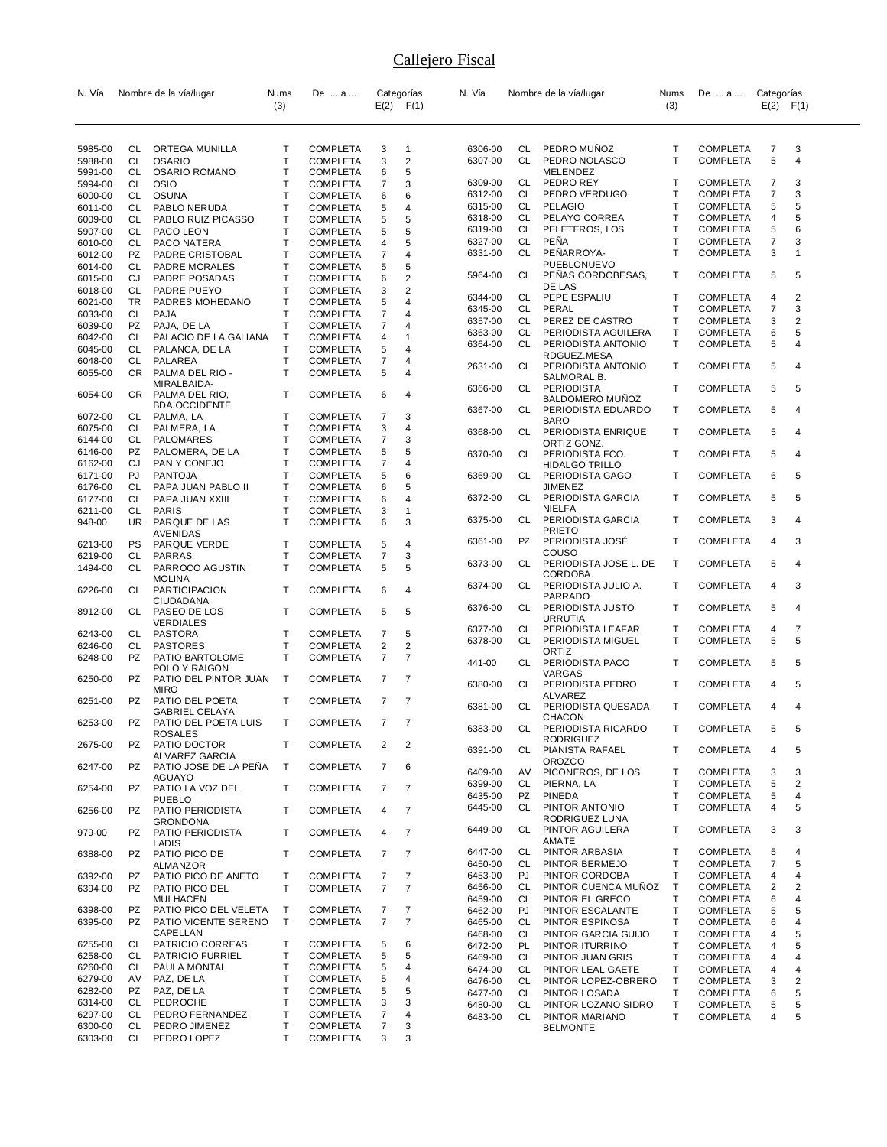| N. Vía             |           | Nombre de la vía/lugar                  | Nums         | De  a                              |                | Categorías          | N. Vía             |           | Nombre de la vía/lugar                 | Nums         | De  a                              | Categorías     |                         |
|--------------------|-----------|-----------------------------------------|--------------|------------------------------------|----------------|---------------------|--------------------|-----------|----------------------------------------|--------------|------------------------------------|----------------|-------------------------|
|                    |           |                                         | (3)          |                                    | E(2)           | F(1)                |                    |           |                                        | (3)          |                                    | $E(2)$ $F(1)$  |                         |
|                    |           |                                         |              |                                    |                |                     |                    |           |                                        |              |                                    |                |                         |
|                    |           |                                         |              |                                    |                |                     |                    |           |                                        |              |                                    |                |                         |
| 5985-00            | CL        | ORTEGA MUNILLA                          | Т            | <b>COMPLETA</b>                    | 3              | $\mathbf{1}$        | 6306-00            | CL        | PEDRO MUÑOZ                            | Т            | <b>COMPLETA</b>                    | 7              | 3                       |
| 5988-00<br>5991-00 | CL<br>CL  | <b>OSARIO</b><br><b>OSARIO ROMANO</b>   | Т<br>т       | <b>COMPLETA</b><br>COMPLETA        | 3<br>6         | $\overline{2}$<br>5 | 6307-00            | CL        | PEDRO NOLASCO<br>MELENDEZ              | T            | <b>COMPLETA</b>                    | 5              | 4                       |
| 5994-00            | <b>CL</b> | <b>OSIO</b>                             | T            | <b>COMPLETA</b>                    | 7              | 3                   | 6309-00            | CL        | PEDRO REY                              | Т            | <b>COMPLETA</b>                    | 7              | 3                       |
| 6000-00            | CL        | <b>OSUNA</b>                            | Т            | <b>COMPLETA</b>                    | 6              | 6                   | 6312-00            | CL        | PEDRO VERDUGO                          | т            | <b>COMPLETA</b>                    | $\overline{7}$ | 3                       |
| 6011-00            | CL        | PABLO NERUDA                            | т            | COMPLETA                           | 5              | $\overline{4}$      | 6315-00            | CL        | <b>PELAGIO</b>                         | T            | <b>COMPLETA</b>                    | 5              | 5                       |
| 6009-00            | CL        | PABLO RUIZ PICASSO                      | Т            | <b>COMPLETA</b>                    | 5              | 5                   | 6318-00            | CL        | PELAYO CORREA                          | Т            | <b>COMPLETA</b>                    | 4              | 5                       |
| 5907-00            | <b>CL</b> | PACO LEON                               | T            | <b>COMPLETA</b>                    | 5              | 5                   | 6319-00            | CL        | PELETEROS, LOS                         | Т            | <b>COMPLETA</b>                    | 5              | 6                       |
| 6010-00            | CL        | PACO NATERA                             | т            | <b>COMPLETA</b>                    | 4              | 5                   | 6327-00            | CL        | <b>PENA</b>                            | Т            | <b>COMPLETA</b>                    | 7              | 3                       |
| 6012-00            | PZ        | PADRE CRISTOBAL                         | T            | <b>COMPLETA</b>                    | 7              | 4                   | 6331-00            | <b>CL</b> | PEÑARROYA-<br>PUEBLONUEVO              | T            | <b>COMPLETA</b>                    | 3              | $\mathbf{1}$            |
| 6014-00<br>6015-00 | CL<br>CJ  | <b>PADRE MORALES</b><br>PADRE POSADAS   | Т<br>Т       | COMPLETA<br><b>COMPLETA</b>        | 5<br>6         | 5<br>$\overline{2}$ | 5964-00            | <b>CL</b> | PENAS CORDOBESAS,                      | Т            | <b>COMPLETA</b>                    | 5              | 5                       |
| 6018-00            | <b>CL</b> | PADRE PUEYO                             | T            | COMPLETA                           | 3              | $\overline{2}$      |                    |           | DE LAS                                 |              |                                    |                |                         |
| 6021-00            | TR        | PADRES MOHEDANO                         | Т            | <b>COMPLETA</b>                    | 5              | 4                   | 6344-00            | CL        | PEPE ESPALIU                           | Т            | <b>COMPLETA</b>                    | 4              | $\overline{2}$          |
| 6033-00            | <b>CL</b> | PAJA                                    | $\mathsf{T}$ | <b>COMPLETA</b>                    | 7              | $\overline{4}$      | 6345-00            | CL        | PERAL                                  | т            | <b>COMPLETA</b>                    | 7              | 3                       |
| 6039-00            | PZ        | PAJA, DE LA                             | т            | <b>COMPLETA</b>                    | 7              | 4                   | 6357-00            | CL        | PEREZ DE CASTRO                        | т            | <b>COMPLETA</b>                    | 3              | 2                       |
| 6042-00            | CL        | PALACIO DE LA GALIANA                   | T            | <b>COMPLETA</b>                    | 4              | $\mathbf{1}$        | 6363-00            | CL        | PERIODISTA AGUILERA                    | т            | <b>COMPLETA</b>                    | 6              | 5                       |
| 6045-00            | CL.       | PALANCA, DE LA                          | T            | COMPLETA                           | 5              | $\overline{4}$      | 6364-00            | CL        | PERIODISTA ANTONIO<br>RDGUEZ.MESA      | T            | <b>COMPLETA</b>                    | 5              | 4                       |
| 6048-00            | CL        | PALAREA                                 | Т            | <b>COMPLETA</b>                    | 7              | 4                   | 2631-00            | CL        | PERIODISTA ANTONIO                     | Т            | <b>COMPLETA</b>                    | 5              | 4                       |
| 6055-00            | CR.       | PALMA DEL RIO -                         | $\mathsf{T}$ | <b>COMPLETA</b>                    | 5              | $\overline{4}$      |                    |           | SALMORAL B.                            |              |                                    |                |                         |
| 6054-00            | CR        | MIRALBAIDA-<br>PALMA DEL RIO,           | Т            | <b>COMPLETA</b>                    | 6              | 4                   | 6366-00            | CL        | <b>PERIODISTA</b>                      | Т            | <b>COMPLETA</b>                    | 5              | 5                       |
|                    |           | <b>BDA.OCCIDENTE</b>                    |              |                                    |                |                     |                    |           | <b>BALDOMERO MUNOZ</b>                 |              |                                    |                |                         |
| 6072-00            | CL        | PALMA, LA                               | Т            | <b>COMPLETA</b>                    | 7              | 3                   | 6367-00            | CL        | PERIODISTA EDUARDO                     | Т            | <b>COMPLETA</b>                    | 5              | 4                       |
| 6075-00            | CL        | PALMERA, LA                             | T            | <b>COMPLETA</b>                    | 3              | 4                   | 6368-00            | CL        | <b>BARO</b><br>PERIODISTA ENRIQUE      | т            | <b>COMPLETA</b>                    | 5              | 4                       |
| 6144-00            | CL        | <b>PALOMARES</b>                        | Т            | COMPLETA                           | 7              | 3                   |                    |           | ORTIZ GONZ.                            |              |                                    |                |                         |
| 6146-00            | PZ        | PALOMERA, DE LA                         | Т            | <b>COMPLETA</b>                    | 5              | 5                   | 6370-00            | CL        | PERIODISTA FCO.                        | т            | <b>COMPLETA</b>                    | 5              | 4                       |
| 6162-00            | CJ        | PAN Y CONEJO                            | T            | <b>COMPLETA</b>                    | 7              | 4                   |                    |           | <b>HIDALGO TRILLO</b>                  |              |                                    |                |                         |
| 6171-00            | PJ        | <b>PANTOJA</b>                          | T            | COMPLETA                           | 5              | 6                   | 6369-00            | CL        | PERIODISTA GAGO                        | Т            | <b>COMPLETA</b>                    | 6              | 5                       |
| 6176-00            | CL        | PAPA JUAN PABLO II                      | Т            | <b>COMPLETA</b>                    | 6              | 5                   |                    |           | <b>JIMENEZ</b>                         |              |                                    |                |                         |
| 6177-00            | CL        | PAPA JUAN XXIII                         | T<br>T       | <b>COMPLETA</b>                    | 6              | 4                   | 6372-00            | CL        | PERIODISTA GARCIA<br>NIELFA            | Т            | <b>COMPLETA</b>                    | 5              | 5                       |
| 6211-00<br>948-00  | CL<br>UR. | PARIS<br>PARQUE DE LAS                  | $\mathsf{T}$ | <b>COMPLETA</b><br><b>COMPLETA</b> | 3<br>6         | $\mathbf{1}$<br>3   | 6375-00            | CL        | PERIODISTA GARCIA                      | Т            | <b>COMPLETA</b>                    | 3              | 4                       |
|                    |           | AVENIDAS                                |              |                                    |                |                     |                    |           | <b>PRIETO</b>                          |              |                                    |                |                         |
| 6213-00            | PS        | PARQUE VERDE                            | Т            | <b>COMPLETA</b>                    | 5              | $\overline{4}$      | 6361-00            | PZ        | PERIODISTA JOSÉ                        | Т            | <b>COMPLETA</b>                    | 4              | 3                       |
| 6219-00            | CL        | PARRAS                                  | T            | <b>COMPLETA</b>                    | 7              | 3                   |                    |           | COUSO                                  |              |                                    |                |                         |
| 1494-00            | CL        | PARROCO AGUSTIN                         | $\mathsf{T}$ | <b>COMPLETA</b>                    | 5              | 5                   | 6373-00            | CL        | PERIODISTA JOSE L. DE                  | Т            | <b>COMPLETA</b>                    | 5              | 4                       |
|                    |           | <b>MOLINA</b>                           |              |                                    |                |                     | 6374-00            | CL        | <b>CORDOBA</b><br>PERIODISTA JULIO A.  | Т            | <b>COMPLETA</b>                    | 4              | 3                       |
| 6226-00            | CL        | <b>PARTICIPACION</b>                    | Т            | <b>COMPLETA</b>                    | 6              | $\overline{4}$      |                    |           | PARRADO                                |              |                                    |                |                         |
| 8912-00            | CL        | CIUDADANA<br>PASEO DE LOS               | Т            | <b>COMPLETA</b>                    | 5              | 5                   | 6376-00            | CL        | PERIODISTA JUSTO                       | Т            | <b>COMPLETA</b>                    | 5              | 4                       |
|                    |           | <b>VERDIALES</b>                        |              |                                    |                |                     |                    |           | URRUTIA                                |              |                                    |                |                         |
| 6243-00            | CL        | PASTORA                                 | т            | <b>COMPLETA</b>                    | 7              | 5                   | 6377-00            | CL        | PERIODISTA LEAFAR                      | Т            | <b>COMPLETA</b>                    | 4              | 7                       |
| 6246-00            | CL        | <b>PASTORES</b>                         | Т            | <b>COMPLETA</b>                    | 2              | $\overline{2}$      | 6378-00            | CL        | PERIODISTA MIGUEL                      | T            | <b>COMPLETA</b>                    | 5              | 5                       |
| 6248-00            | <b>PZ</b> | PATIO BARTOLOME                         | т            | <b>COMPLETA</b>                    | 7              | $\overline{7}$      | 441-00             | CL        | ORTIZ<br>PERIODISTA PACO               | Т            | <b>COMPLETA</b>                    | 5              | 5                       |
|                    |           | POLO Y RAIGON                           |              |                                    |                |                     |                    |           | VARGAS                                 |              |                                    |                |                         |
| 6250-00            | PZ        | PATIO DEL PINTOR JUAN                   | T            | COMPLETA                           | $\overline{7}$ | 7                   | 6380-00            | CL        | PERIODISTA PEDRO                       | Т            | <b>COMPLETA</b>                    | 4              | 5                       |
| 6251-00            | PZ        | <b>MIRO</b><br>PATIO DEL POETA          | T            | <b>COMPLETA</b>                    | 7              | 7                   |                    |           | ALVAREZ                                |              |                                    |                |                         |
|                    |           | GABRIEL CELAYA                          |              |                                    |                |                     | 6381-00            | CL        | PERIODISTA QUESADA                     | Т            | <b>COMPLETA</b>                    | 4              | 4                       |
| 6253-00            | PZ        | PATIO DEL POETA LUIS                    | т            | <b>COMPLETA</b>                    | 7              | 7                   |                    |           | <b>CHACON</b>                          |              |                                    |                |                         |
|                    |           | <b>ROSALES</b>                          |              |                                    |                |                     | 6383-00            | CL        | PERIODISTA RICARDO<br><b>RODRIGUEZ</b> | т            | <b>COMPLETA</b>                    | 5              | 5                       |
| 2675-00            | PZ        | PATIO DOCTOR                            | T            | <b>COMPLETA</b>                    | 2              | $\overline{2}$      | 6391-00            | CL        | PIANISTA RAFAEL                        | Т            | <b>COMPLETA</b>                    | 4              | 5                       |
| 6247-00            | <b>PZ</b> | ALVAREZ GARCIA<br>PATIO JOSE DE LA PENA | $\mathsf{T}$ | <b>COMPLETA</b>                    | 7              | 6                   |                    |           | <b>OROZCO</b>                          |              |                                    |                |                         |
|                    |           | AGUAYO                                  |              |                                    |                |                     | 6409-00            | AV        | PICONEROS, DE LOS                      | т            | <b>COMPLETA</b>                    | 3              | 3                       |
| 6254-00            | PZ        | PATIO LA VOZ DEL                        | Τ            | <b>COMPLETA</b>                    | $\overline{7}$ | 7                   | 6399-00            | <b>CL</b> | PIERNA, LA                             | T            | <b>COMPLETA</b>                    | 5              | $\overline{\mathbf{c}}$ |
|                    |           | <b>PUEBLO</b>                           |              |                                    |                |                     | 6435-00            | PZ        | <b>PINEDA</b>                          | T            | <b>COMPLETA</b>                    | 5              | 4                       |
| 6256-00            | <b>PZ</b> | PATIO PERIODISTA                        | T.           | <b>COMPLETA</b>                    | 4              | 7                   | 6445-00            | CL        | PINTOR ANTONIO<br>RODRIGUEZ LUNA       | T            | <b>COMPLETA</b>                    | 4              | 5                       |
|                    |           | <b>GRONDONA</b>                         |              |                                    |                |                     | 6449-00            | CL        | PINTOR AGUILERA                        | т            | <b>COMPLETA</b>                    | 3              | 3                       |
| 979-00             | PZ        | PATIO PERIODISTA<br>LADIS               | T.           | <b>COMPLETA</b>                    | 4              | 7                   |                    |           | AMATE                                  |              |                                    |                |                         |
| 6388-00            | PZ        | PATIO PICO DE                           | T            | COMPLETA                           | 7              | 7                   | 6447-00            | CL        | PINTOR ARBASIA                         | т            | <b>COMPLETA</b>                    | 5              | 4                       |
|                    |           | <b>ALMANZOR</b>                         |              |                                    |                |                     | 6450-00            | <b>CL</b> | PINTOR BERMEJO                         | Т            | <b>COMPLETA</b>                    | $\overline{7}$ | 5                       |
| 6392-00            | PZ        | PATIO PICO DE ANETO                     | Τ            | COMPLETA                           | 7              | 7                   | 6453-00            | PJ        | PINTOR CORDOBA                         | T            | <b>COMPLETA</b>                    | 4              | 4                       |
| 6394-00            | <b>PZ</b> | PATIO PICO DEL                          | T.           | COMPLETA                           | $\overline{7}$ | $\overline{7}$      | 6456-00            | CL        | PINTOR CUENCA MUÑOZ                    | T            | <b>COMPLETA</b>                    | 2              | 2                       |
|                    |           | <b>MULHACEN</b>                         |              |                                    |                |                     | 6459-00            | CL        | PINTOR EL GRECO                        | T            | <b>COMPLETA</b>                    | 6              | 4                       |
| 6398-00            | PZ        | PATIO PICO DEL VELETA                   | Τ            | <b>COMPLETA</b>                    | 7              | 7                   | 6462-00            | PJ        | PINTOR ESCALANTE                       | т            | <b>COMPLETA</b>                    | 5              | 5                       |
| 6395-00            | PZ        | PATIO VICENTE SERENO<br>CAPELLAN        | T            | COMPLETA                           | 7              | $\overline{7}$      | 6465-00            | <b>CL</b> | PINTOR ESPINOSA                        | Т            | <b>COMPLETA</b>                    | 6              | 4                       |
| 6255-00            | CL        | PATRICIO CORREAS                        | т            | <b>COMPLETA</b>                    | 5              | 6                   | 6468-00<br>6472-00 | CL<br>PL. | PINTOR GARCIA GUIJO<br>PINTOR ITURRINO | т<br>Т       | <b>COMPLETA</b><br><b>COMPLETA</b> | 4<br>4         | 5<br>5                  |
| 6258-00            | CL        | PATRICIO FURRIEL                        | т            | COMPLETA                           | 5              | 5                   | 6469-00            | CL        | PINTOR JUAN GRIS                       | $\mathsf{T}$ | <b>COMPLETA</b>                    | 4              | 4                       |
| 6260-00            | CL        | PAULA MONTAL                            | T            | COMPLETA                           | 5              | 4                   | 6474-00            | CL        | PINTOR LEAL GAETE                      | т            | <b>COMPLETA</b>                    | 4              | 4                       |
| 6279-00            | AV        | PAZ, DE LA                              | Т            | <b>COMPLETA</b>                    | 5              | 4                   | 6476-00            | CL        | PINTOR LOPEZ-OBRERO                    | т            | <b>COMPLETA</b>                    | 3              | 2                       |
| 6282-00            | PZ        | PAZ, DE LA                              | т            | COMPLETA                           | 5              | 5                   | 6477-00            | CL        | PINTOR LOSADA                          | Т            | <b>COMPLETA</b>                    | 6              | 5                       |
| 6314-00            | CL        | PEDROCHE                                | Т            | COMPLETA                           | 3              | 3                   | 6480-00            | <b>CL</b> | PINTOR LOZANO SIDRO                    | Т            | <b>COMPLETA</b>                    | 5              | 5                       |
| 6297-00            | CL        | PEDRO FERNANDEZ                         | Т            | <b>COMPLETA</b>                    | 7              | 4                   | 6483-00            | CL        | PINTOR MARIANO                         | T            | <b>COMPLETA</b>                    | 4              | 5                       |
| 6300-00            | CL        | PEDRO JIMENEZ                           | Т            | COMPLETA                           | 7              | 3                   |                    |           | <b>BELMONTE</b>                        |              |                                    |                |                         |
| 6303-00            | CL        | PEDRO LOPEZ                             | T            | COMPLETA                           | 3              | 3                   |                    |           |                                        |              |                                    |                |                         |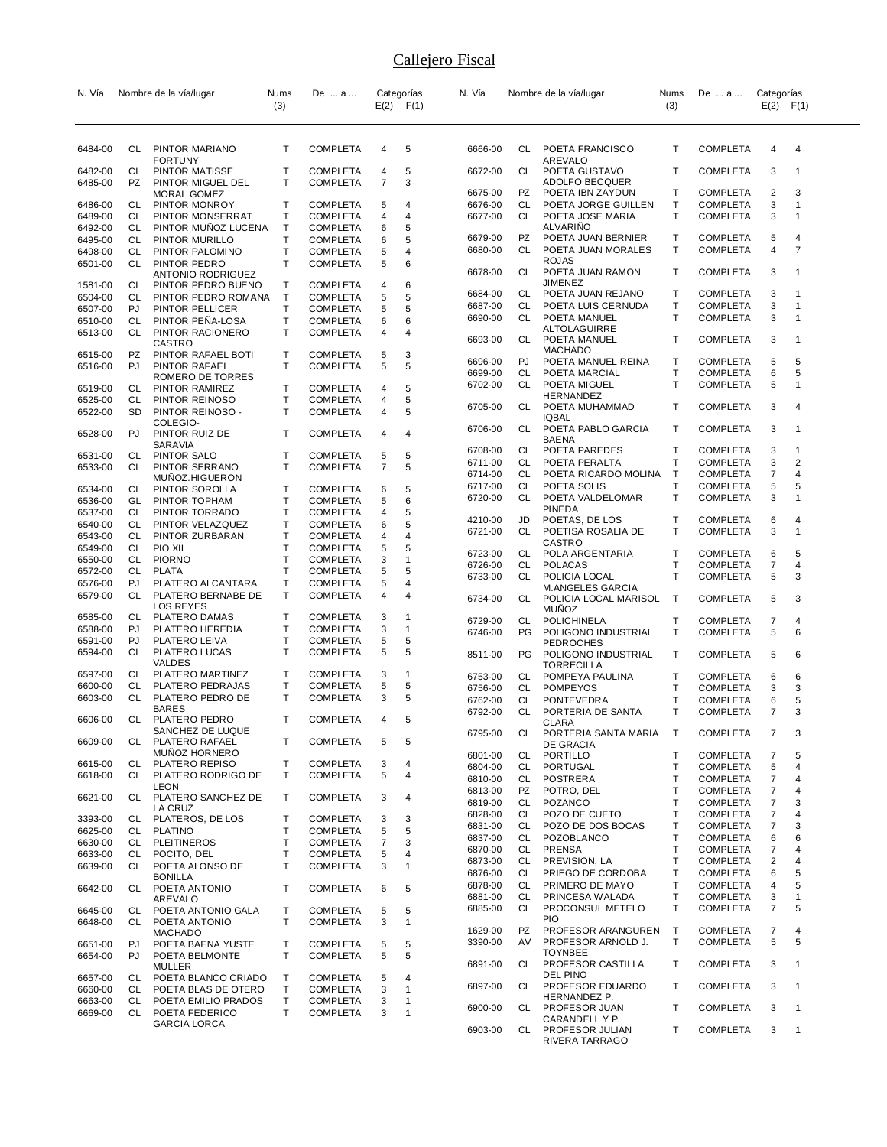| N. Vía             |            | Nombre de la vía/lugar                  | Nums              | De  a                              |        | Categorías   | N. Vía             |          | Nombre de la vía/lugar                 | Nums         | De  a                              | Categorías                       |                |
|--------------------|------------|-----------------------------------------|-------------------|------------------------------------|--------|--------------|--------------------|----------|----------------------------------------|--------------|------------------------------------|----------------------------------|----------------|
|                    |            |                                         | (3)               |                                    | E(2)   | F(1)         |                    |          |                                        | (3)          |                                    | $E(2)$ $F(1)$                    |                |
|                    |            |                                         |                   |                                    |        |              |                    |          |                                        |              |                                    |                                  |                |
| 6484-00            | CL.        | PINTOR MARIANO                          | T                 | <b>COMPLETA</b>                    | 4      | 5            | 6666-00            | CL       | POETA FRANCISCO                        | т            | <b>COMPLETA</b>                    | 4                                | 4              |
|                    |            | <b>FORTUNY</b>                          |                   |                                    |        |              |                    |          | AREVALO                                |              |                                    |                                  |                |
| 6482-00<br>6485-00 | CL<br>PZ   | PINTOR MATISSE<br>PINTOR MIGUEL DEL     | т<br>T            | <b>COMPLETA</b><br><b>COMPLETA</b> | 4<br>7 | 5<br>3       | 6672-00            | CL       | POETA GUSTAVO<br><b>ADOLFO BECQUER</b> | т            | <b>COMPLETA</b>                    | 3                                | 1              |
|                    |            | MORAL GOMEZ                             |                   |                                    |        |              | 6675-00            | PZ       | POETA IBN ZAYDUN                       | т            | <b>COMPLETA</b>                    | 2                                | 3              |
| 6486-00            | CL         | PINTOR MONROY                           | т                 | <b>COMPLETA</b>                    | 5      | 4            | 6676-00            | CL       | POETA JORGE GUILLEN                    | т            | <b>COMPLETA</b>                    | 3                                | 1              |
| 6489-00            | CL         | PINTOR MONSERRAT                        | Т                 | <b>COMPLETA</b>                    | 4      | 4            | 6677-00            | CL       | POETA JOSE MARIA                       | т            | <b>COMPLETA</b>                    | 3                                | 1              |
| 6492-00<br>6495-00 | CL<br>CL   | PINTOR MUÑOZ LUCENA<br>PINTOR MURILLO   | $\top$<br>Т       | <b>COMPLETA</b><br><b>COMPLETA</b> | 6      | 5<br>5       | 6679-00            | PZ       | <b>ALVARINO</b><br>POETA JUAN BERNIER  | Т            | <b>COMPLETA</b>                    | 5                                | 4              |
| 6498-00            | CL         | PINTOR PALOMINO                         | Τ                 | <b>COMPLETA</b>                    | 6<br>5 | 4            | 6680-00            | CL       | POETA JUAN MORALES                     | Τ            | <b>COMPLETA</b>                    | 4                                | 7              |
| 6501-00            | CL         | PINTOR PEDRO                            | T                 | <b>COMPLETA</b>                    | 5      | 6            |                    |          | <b>ROJAS</b>                           |              |                                    |                                  |                |
|                    |            | <b>ANTONIO RODRIGUEZ</b>                |                   |                                    |        |              | 6678-00            | CL       | POETA JUAN RAMON                       | т            | <b>COMPLETA</b>                    | 3                                | 1              |
| 1581-00            | CL         | PINTOR PEDRO BUENO                      | т                 | <b>COMPLETA</b>                    | 4      | 6            | 6684-00            | CL       | <b>JIMENEZ</b><br>POETA JUAN REJANO    | т            | <b>COMPLETA</b>                    | 3                                | 1              |
| 6504-00            | CL.<br>PJ  | PINTOR PEDRO ROMANA                     | $\mathsf{T}$<br>т | <b>COMPLETA</b>                    | 5      | 5<br>5       | 6687-00            | CL       | POETA LUIS CERNUDA                     | Т            | <b>COMPLETA</b>                    | 3                                | $\mathbf 1$    |
| 6507-00<br>6510-00 | CL         | PINTOR PELLICER<br>PINTOR PENA-LOSA     | Т                 | <b>COMPLETA</b><br><b>COMPLETA</b> | 5<br>6 | 6            | 6690-00            | CL       | POETA MANUEL                           | т            | <b>COMPLETA</b>                    | 3                                | -1             |
| 6513-00            | CL.        | PINTOR RACIONERO                        | T                 | COMPLETA                           | 4      | 4            |                    |          | ALTOLAGUIRRE                           |              |                                    |                                  |                |
|                    |            | CASTRO                                  |                   |                                    |        |              | 6693-00            | CL       | POETA MANUEL                           | Т            | <b>COMPLETA</b>                    | 3                                | -1             |
| 6515-00            | PZ         | PINTOR RAFAEL BOTI                      | т                 | <b>COMPLETA</b>                    | 5      | 3            | 6696-00            | PJ       | <b>MACHADO</b><br>POETA MANUEL REINA   | Т            | <b>COMPLETA</b>                    | 5                                | 5              |
| 6516-00            | PJ         | PINTOR RAFAEL<br>ROMERO DE TORRES       | т                 | <b>COMPLETA</b>                    | 5      | 5            | 6699-00            | СL       | POETA MARCIAL                          | т            | <b>COMPLETA</b>                    | 6                                | 5              |
| 6519-00            | CL         | PINTOR RAMIREZ                          | т                 | <b>COMPLETA</b>                    | 4      | 5            | 6702-00            | CL       | POETA MIGUEL                           | т            | <b>COMPLETA</b>                    | 5                                | 1              |
| 6525-00            | CL         | PINTOR REINOSO                          | Т                 | <b>COMPLETA</b>                    | 4      | 5            |                    |          | HERNANDEZ                              |              |                                    |                                  |                |
| 6522-00            | <b>SD</b>  | PINTOR REINOSO -                        | T                 | <b>COMPLETA</b>                    | 4      | 5            | 6705-00            | CL       | POETA MUHAMMAD<br>IQBAL                | т            | <b>COMPLETA</b>                    | 3                                | 4              |
|                    |            | COLEGIO-                                |                   |                                    |        |              | 6706-00            | CL       | POETA PABLO GARCIA                     | т            | <b>COMPLETA</b>                    | 3                                | 1              |
| 6528-00            | PJ         | PINTOR RUIZ DE<br>SARAVIA               | т                 | <b>COMPLETA</b>                    | 4      | 4            |                    |          | <b>BAENA</b>                           |              |                                    |                                  |                |
| 6531-00            | CL         | PINTOR SALO                             | Τ                 | <b>COMPLETA</b>                    | 5      | 5            | 6708-00            | CL       | POETA PAREDES                          | т            | <b>COMPLETA</b>                    | 3                                | 1              |
| 6533-00            | CL.        | PINTOR SERRANO                          | T                 | <b>COMPLETA</b>                    | 7      | 5            | 6711-00            | CL       | POETA PERALTA                          | T            | <b>COMPLETA</b>                    | 3                                | $\overline{2}$ |
|                    |            | MUNOZ.HIGUERON                          |                   |                                    |        |              | 6714-00<br>6717-00 | CL<br>CL | POETA RICARDO MOLINA<br>POETA SOLIS    | Т<br>т       | <b>COMPLETA</b><br><b>COMPLETA</b> | 7<br>5                           | 4<br>5         |
| 6534-00            | CL         | PINTOR SOROLLA<br>PINTOR TOPHAM         | т                 | <b>COMPLETA</b>                    | 6      | 5            | 6720-00            | CL       | POETA VALDELOMAR                       | T            | <b>COMPLETA</b>                    | 3                                | 1              |
| 6536-00<br>6537-00 | GL<br>CL   | PINTOR TORRADO                          | т<br>т            | <b>COMPLETA</b><br><b>COMPLETA</b> | 5<br>4 | 6<br>5       |                    |          | PINEDA                                 |              |                                    |                                  |                |
| 6540-00            | CL         | PINTOR VELAZQUEZ                        | т                 | <b>COMPLETA</b>                    | 6      | 5            | 4210-00            | JD       | POETAS, DE LOS                         | т            | <b>COMPLETA</b>                    | 6                                | 4              |
| 6543-00            | <b>CL</b>  | PINTOR ZURBARAN                         | Τ                 | COMPLETA                           | 4      | 4            | 6721-00            | CL       | POETISA ROSALIA DE                     | Τ            | <b>COMPLETA</b>                    | 3                                | $\mathbf 1$    |
| 6549-00            | CL         | PIO XII                                 | т                 | <b>COMPLETA</b>                    | 5      | 5            | 6723-00            | CL       | <b>CASTRO</b><br>POLA ARGENTARIA       | т            | <b>COMPLETA</b>                    | 6                                | 5              |
| 6550-00            | CL         | <b>PIORNO</b>                           | Τ                 | <b>COMPLETA</b>                    | 3      | $\mathbf{1}$ | 6726-00            | CL       | <b>POLACAS</b>                         | т            | <b>COMPLETA</b>                    | 7                                | 4              |
| 6572-00            | CL         | <b>PLATA</b>                            | T                 | <b>COMPLETA</b>                    | 5      | 5            | 6733-00            | CL       | POLICIA LOCAL                          | т            | <b>COMPLETA</b>                    | 5                                | 3              |
| 6576-00<br>6579-00 | PJ.<br>CL. | PLATERO ALCANTARA<br>PLATERO BERNABE DE | T<br>T            | <b>COMPLETA</b><br><b>COMPLETA</b> | 5<br>4 | 4<br>4       |                    |          | <b>M.ANGELES GARCIA</b>                |              |                                    |                                  |                |
|                    |            | LOS REYES                               |                   |                                    |        |              | 6734-00            | CL       | POLICIA LOCAL MARISOL<br><b>MUÑOZ</b>  | Т            | <b>COMPLETA</b>                    | 5                                | 3              |
| 6585-00            | CL         | <b>PLATERO DAMAS</b>                    | т                 | <b>COMPLETA</b>                    | 3      | -1           | 6729-00            | CL       | <b>POLICHINELA</b>                     | т            | <b>COMPLETA</b>                    | $\overline{7}$                   | 4              |
| 6588-00            | PJ         | PLATERO HEREDIA                         | Τ                 | <b>COMPLETA</b>                    | 3      | $\mathbf{1}$ | 6746-00            | PG       | POLIGONO INDUSTRIAL                    | Τ            | <b>COMPLETA</b>                    | 5                                | 6              |
| 6591-00            | PJ         | PLATERO LEIVA                           | T                 | COMPLETA                           | 5      | 5            |                    |          | <b>PEDROCHES</b>                       |              |                                    |                                  |                |
| 6594-00            | CL         | PLATERO LUCAS<br><b>VALDES</b>          | Т                 | <b>COMPLETA</b>                    | 5      | 5            | 8511-00            | PG       | POLIGONO INDUSTRIAL                    | т            | <b>COMPLETA</b>                    | 5                                | 6              |
| 6597-00            | CL         | PLATERO MARTINEZ                        | т                 | <b>COMPLETA</b>                    | 3      | $\mathbf{1}$ | 6753-00            | CL       | TORRECILLA<br>POMPEYA PAULINA          | т            | <b>COMPLETA</b>                    | 6                                | 6              |
| 6600-00            | CL         | PLATERO PEDRAJAS                        | т                 | <b>COMPLETA</b>                    | 5      | 5            | 6756-00            | CL       | <b>POMPEYOS</b>                        | T            | <b>COMPLETA</b>                    | 3                                | 3              |
| 6603-00            | CL         | PLATERO PEDRO DE                        | т                 | <b>COMPLETA</b>                    | 3      | 5            | 6762-00            | CL       | <b>PONTEVEDRA</b>                      | т            | <b>COMPLETA</b>                    | 6                                | 5              |
|                    |            | BARES                                   |                   |                                    |        |              | 6792-00            | CL       | PORTERIA DE SANTA                      | T            | <b>COMPLETA</b>                    | 7                                | 3              |
| 6606-00            | CL         | PLATERO PEDRO<br>SANCHEZ DE LUQUE       | т                 | <b>COMPLETA</b>                    | 4      | 5            |                    |          | <b>CLARA</b>                           |              |                                    | $\overline{7}$                   | ঽ              |
| 6609-00            | CL         | PLATERO RAFAEL                          | Τ                 | <b>COMPLETA</b>                    | 5      | 5            | 6795-00            | CL       | PORTERIA SANTA MARIA<br>DE GRACIA      | $\mathsf{T}$ | <b>COMPLETA</b>                    |                                  |                |
|                    |            | MUÑOZ HORNERO                           |                   |                                    |        |              | 6801-00            | CL       | PORTILLO                               | т            | <b>COMPLETA</b>                    | 7                                | 5              |
| 6615-00            | CL         | PLATERO REPISO                          | т                 | COMPLETA                           | 3      | 4            | 6804-00            | CL       | PORTUGAL                               | T            | <b>COMPLETA</b>                    | 5                                | 4              |
| 6618-00            | CL.        | PLATERO RODRIGO DE<br>LEON              | Τ                 | <b>COMPLETA</b>                    | 5      | 4            | 6810-00            | CL       | <b>POSTRERA</b>                        | Т            | <b>COMPLETA</b>                    | $\overline{7}$                   | 4              |
| 6621-00            | CL         | PLATERO SANCHEZ DE                      | T                 | <b>COMPLETA</b>                    | 3      | 4            | 6813-00            | PZ       | POTRO, DEL<br>CL POZANCO               | Т<br>T       | <b>COMPLETA</b>                    | $\overline{7}$                   | 4              |
|                    |            | LA CRUZ                                 |                   |                                    |        |              | 6819-00<br>6828-00 | CL       | POZO DE CUETO                          | Т            | <b>COMPLETA</b><br><b>COMPLETA</b> | $\overline{7}$<br>$\overline{7}$ | 3<br>4         |
| 3393-00            | CL.        | PLATEROS, DE LOS                        | т                 | COMPLETA                           | 3      | 3            | 6831-00            | CL       | POZO DE DOS BOCAS                      | Τ            | <b>COMPLETA</b>                    | $\overline{7}$                   | 3              |
| 6625-00            | CL<br>CL   | <b>PLATINO</b><br><b>PLEITINEROS</b>    | Τ<br>т            | <b>COMPLETA</b><br>COMPLETA        | 5<br>7 | 5<br>3       | 6837-00            | CL       | POZOBLANCO                             | Т            | <b>COMPLETA</b>                    | 6                                | 6              |
| 6630-00<br>6633-00 | CL.        | POCITO, DEL                             | T                 | <b>COMPLETA</b>                    | 5      | 4            | 6870-00            | CL       | <b>PRENSA</b>                          | T            | <b>COMPLETA</b>                    | 7                                | 4              |
| 6639-00            | CL         | POETA ALONSO DE                         | T                 | <b>COMPLETA</b>                    | 3      | $\mathbf{1}$ | 6873-00            | CL       | PREVISION, LA                          | т            | <b>COMPLETA</b>                    | 2                                | 4              |
|                    |            | <b>BONILLA</b>                          |                   |                                    |        |              | 6876-00            | CL       | PRIEGO DE CORDOBA                      | T            | <b>COMPLETA</b>                    | 6                                | 5              |
| 6642-00            | CL         | POETA ANTONIO                           | Τ                 | <b>COMPLETA</b>                    | 6      | 5            | 6878-00<br>6881-00 | CL<br>CL | PRIMERO DE MAYO<br>PRINCESA WALADA     | T<br>Т       | <b>COMPLETA</b><br><b>COMPLETA</b> | 4<br>3                           | 5<br>1         |
| 6645-00            | CL         | AREVALO<br>POETA ANTONIO GALA           | т                 | <b>COMPLETA</b>                    | 5      | 5            | 6885-00            | CL.      | PROCONSUL METELO                       | Τ            | <b>COMPLETA</b>                    | $\overline{7}$                   | 5              |
| 6648-00            | CL.        | POETA ANTONIO                           | T                 | <b>COMPLETA</b>                    | 3      | $\mathbf{1}$ |                    |          | <b>PIO</b>                             |              |                                    |                                  |                |
|                    |            | <b>MACHADO</b>                          |                   |                                    |        |              | 1629-00            | PZ       | PROFESOR ARANGUREN                     | Т            | <b>COMPLETA</b>                    | $\overline{7}$                   | 4              |
| 6651-00            | PJ         | POETA BAENA YUSTE                       | т                 | <b>COMPLETA</b>                    | 5      | 5            | 3390-00            | AV       | PROFESOR ARNOLD J.                     | т            | <b>COMPLETA</b>                    | 5                                | 5              |
| 6654-00            | PJ         | POETA BELMONTE<br><b>MULLER</b>         | T.                | <b>COMPLETA</b>                    | 5      | 5            | 6891-00            | CL       | <b>TOYNBEE</b><br>PROFESOR CASTILLA    | т            | <b>COMPLETA</b>                    | 3                                | 1              |
| 6657-00            | CL         | POETA BLANCO CRIADO                     | Τ                 | <b>COMPLETA</b>                    | 5      | 4            |                    |          | DEL PINO                               |              |                                    |                                  |                |
| 6660-00            | CL         | POETA BLAS DE OTERO                     | Τ                 | <b>COMPLETA</b>                    | 3      | $\mathbf{1}$ | 6897-00            | CL       | PROFESOR EDUARDO                       | Τ            | <b>COMPLETA</b>                    | 3                                | 1              |
| 6663-00            | CL.        | POETA EMILIO PRADOS                     | т                 | <b>COMPLETA</b>                    | 3      | $\mathbf{1}$ | 6900-00            | CL       | HERNANDEZ P.<br>PROFESOR JUAN          | Τ            | <b>COMPLETA</b>                    | 3                                | 1              |
| 6669-00            | CL.        | POETA FEDERICO                          | T                 | <b>COMPLETA</b>                    | 3      | $\mathbf{1}$ |                    |          | CARANDELL Y P.                         |              |                                    |                                  |                |
|                    |            | <b>GARCIA LORCA</b>                     |                   |                                    |        |              | 6903-00            | CL       | PROFESOR JULIAN<br>RIVERA TARRAGO      | т            | <b>COMPLETA</b>                    | 3                                | $\mathbf{1}$   |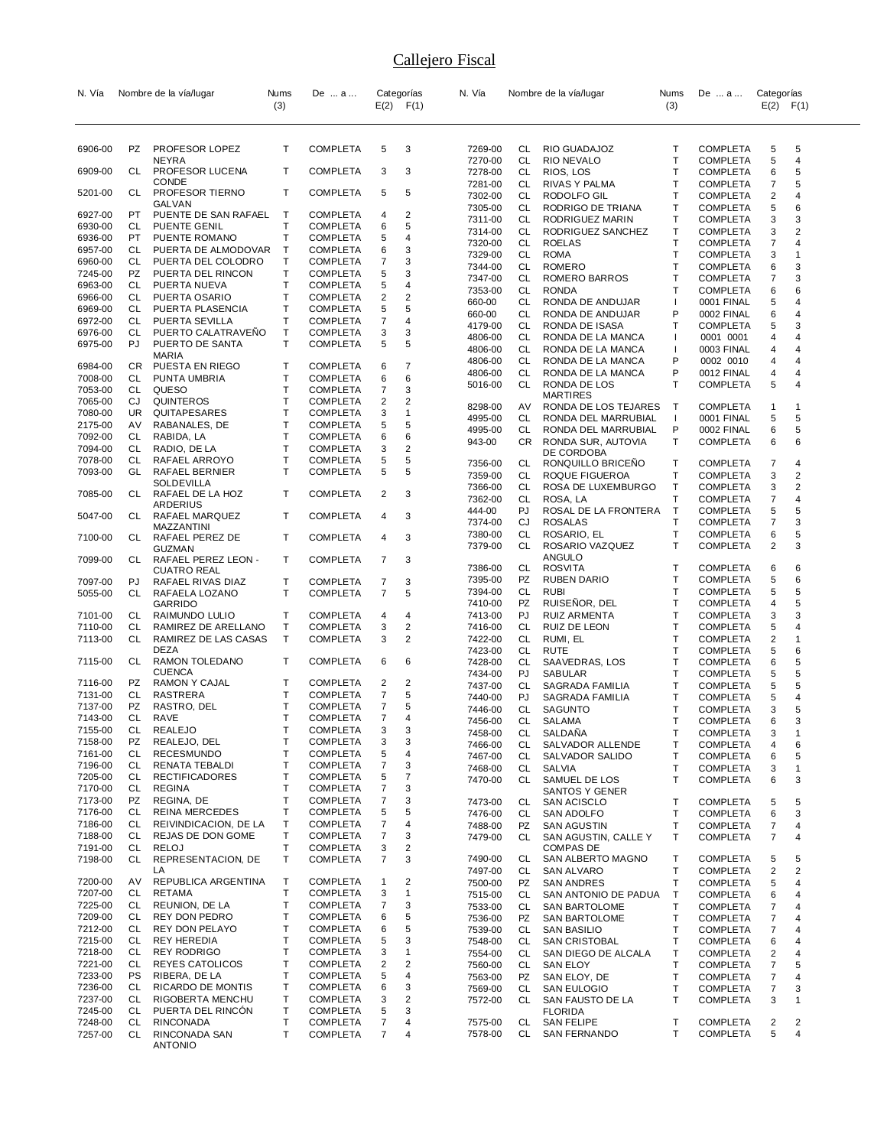| N. Vía             |                 | Nombre de la vía/lugar                      | Nums   | De  a                              |                     | Categorías              | N. Vía             |                 | Nombre de la vía/lugar                    | Nums                         | De  a                              | Categorías                   |                     |
|--------------------|-----------------|---------------------------------------------|--------|------------------------------------|---------------------|-------------------------|--------------------|-----------------|-------------------------------------------|------------------------------|------------------------------------|------------------------------|---------------------|
|                    |                 |                                             | (3)    |                                    |                     | $E(2)$ $F(1)$           |                    |                 |                                           | (3)                          |                                    | $E(2)$ $F(1)$                |                     |
|                    |                 |                                             |        |                                    |                     |                         |                    |                 |                                           |                              |                                    |                              |                     |
| 6906-00            | PZ              | PROFESOR LOPEZ                              | т      | <b>COMPLETA</b>                    | 5                   | 3                       | 7269-00            | CL              | RIO GUADAJOZ                              | Т                            | <b>COMPLETA</b>                    | 5                            | 5                   |
| 6909-00            | CL              | NEYRA<br>PROFESOR LUCENA                    | т      | <b>COMPLETA</b>                    | 3                   | 3                       | 7270-00<br>7278-00 | <b>CL</b><br>CL | RIO NEVALO<br>RIOS, LOS                   | T<br>T                       | <b>COMPLETA</b><br><b>COMPLETA</b> | 5<br>6                       | $\overline{4}$<br>5 |
|                    |                 | <b>CONDE</b>                                |        |                                    |                     |                         | 7281-00            | CL              | RIVAS Y PALMA                             | $\mathsf{T}$                 | <b>COMPLETA</b>                    | 7                            | 5                   |
| 5201-00            | CL              | PROFESOR TIERNO<br>GALVAN                   | т      | <b>COMPLETA</b>                    | 5                   | 5                       | 7302-00            | CL<br>CL        | RODOLFO GIL                               | $\mathsf{T}$<br>T            | <b>COMPLETA</b>                    | $\overline{2}$               | 4<br>6              |
| 6927-00            | PT              | PUENTE DE SAN RAFAEL                        | Т      | <b>COMPLETA</b>                    | 4                   | 2                       | 7305-00<br>7311-00 | CL.             | RODRIGO DE TRIANA<br>RODRIGUEZ MARIN      | T                            | <b>COMPLETA</b><br><b>COMPLETA</b> | 5<br>3                       | 3                   |
| 6930-00            | CL              | PUENTE GENIL                                | т      | <b>COMPLETA</b>                    | 6                   | 5                       | 7314-00            | CL              | RODRIGUEZ SANCHEZ                         | Т                            | <b>COMPLETA</b>                    | 3                            | 2                   |
| 6936-00<br>6957-00 | PT.<br>CL       | PUENTE ROMANO<br>PUERTA DE ALMODOVAR        | T<br>Т | <b>COMPLETA</b><br><b>COMPLETA</b> | 5<br>6              | 4<br>3                  | 7320-00            | CL              | <b>ROELAS</b>                             | Т                            | <b>COMPLETA</b>                    | 7                            | 4                   |
| 6960-00            | CL              | PUERTA DEL COLODRO                          | т      | <b>COMPLETA</b>                    | 7                   | 3                       | 7329-00            | CL.             | <b>ROMA</b>                               | $\mathsf{T}$                 | COMPLETA                           | 3                            | 1                   |
| 7245-00            | PZ              | PUERTA DEL RINCON                           | T      | <b>COMPLETA</b>                    | 5                   | 3                       | 7344-00<br>7347-00 | CL<br>CL        | <b>ROMERO</b><br>ROMERO BARROS            | T<br>T                       | <b>COMPLETA</b><br><b>COMPLETA</b> | 6<br>7                       | 3<br>3              |
| 6963-00            | CL              | PUERTA NUEVA                                | T      | <b>COMPLETA</b>                    | 5                   | 4                       | 7353-00            | CL              | <b>RONDA</b>                              | Т                            | <b>COMPLETA</b>                    | 6                            | 6                   |
| 6966-00            | CL              | PUERTA OSARIO                               | T      | <b>COMPLETA</b>                    | 2                   | $\overline{2}$          | 660-00             | CL              | RONDA DE ANDUJAR                          | $\mathbf{I}$                 | 0001 FINAL                         | 5                            | 4                   |
| 6969-00            | CL<br>CL        | PUERTA PLASENCIA                            | т<br>T | <b>COMPLETA</b>                    | 5<br>7              | 5<br>4                  | 660-00             | CL              | RONDA DE ANDUJAR                          | P                            | 0002 FINAL                         | 6                            | 4                   |
| 6972-00<br>6976-00 | CL              | PUERTA SEVILLA<br>PUERTO CALATRAVENO        | T      | <b>COMPLETA</b><br><b>COMPLETA</b> | 3                   | 3                       | 4179-00            | CL              | RONDA DE ISASA                            | т                            | <b>COMPLETA</b>                    | 5                            | 3                   |
| 6975-00            | PJ              | PUERTO DE SANTA                             | т      | <b>COMPLETA</b>                    | 5                   | 5                       | 4806-00            | CL              | RONDA DE LA MANCA                         | ı                            | 0001 0001                          | 4                            | 4                   |
|                    |                 | MARIA                                       |        |                                    |                     |                         | 4806-00<br>4806-00 | CL<br>CL        | RONDA DE LA MANCA<br>RONDA DE LA MANCA    | $\mathbf{I}$<br>P            | 0003 FINAL<br>0002 0010            | 4<br>4                       | 4<br>4              |
| 6984-00            | CR.             | PUESTA EN RIEGO                             | т      | <b>COMPLETA</b>                    | 6                   | 7                       | 4806-00            | CL              | RONDA DE LA MANCA                         | P                            | 0012 FINAL                         | 4                            | 4                   |
| 7008-00            | CL              | PUNTA UMBRIA                                | T      | <b>COMPLETA</b>                    | 6                   | 6                       | 5016-00            | CL              | RONDA DE LOS                              | $\mathsf{T}$                 | <b>COMPLETA</b>                    | 5                            | 4                   |
| 7053-00<br>7065-00 | CL<br>CJ        | QUESO<br>QUINTEROS                          | T<br>T | <b>COMPLETA</b><br><b>COMPLETA</b> | 7<br>2              | 3<br>2                  |                    |                 | <b>MARTIRES</b>                           |                              |                                    |                              |                     |
| 7080-00            | UR.             | QUITAPESARES                                | T      | <b>COMPLETA</b>                    | 3                   | 1                       | 8298-00            | AV              | RONDA DE LOS TEJARES                      | $\mathsf{T}$                 | <b>COMPLETA</b>                    | 1                            | -1                  |
| 2175-00            | AV              | RABANALES, DE                               | T      | <b>COMPLETA</b>                    | 5                   | 5                       | 4995-00            | CL              | RONDA DEL MARRUBIAL                       | $\perp$                      | 0001 FINAL                         | 5                            | 5                   |
| 7092-00            | CL              | RABIDA, LA                                  | T      | <b>COMPLETA</b>                    | 6                   | 6                       | 4995-00<br>943-00  | CL<br>CR.       | RONDA DEL MARRUBIAL<br>RONDA SUR, AUTOVIA | P<br>Т                       | 0002 FINAL<br><b>COMPLETA</b>      | 6<br>6                       | 5<br>6              |
| 7094-00            | CL              | RADIO, DE LA                                | т      | <b>COMPLETA</b>                    | 3                   | 2                       |                    |                 | DE CORDOBA                                |                              |                                    |                              |                     |
| 7078-00            | CL              | RAFAEL ARROYO                               | T      | <b>COMPLETA</b>                    | 5                   | 5                       | 7356-00            | CL              | RONQUILLO BRICEÑO                         | Т                            | <b>COMPLETA</b>                    | 7                            | 4                   |
| 7093-00            | GL              | RAFAEL BERNIER<br>SOLDEVILLA                | т      | <b>COMPLETA</b>                    | 5                   | 5                       | 7359-00            | CL              | ROQUE FIGUEROA                            | $\mathsf{T}$                 | <b>COMPLETA</b>                    | 3                            | 2                   |
| 7085-00            | CL              | RAFAEL DE LA HOZ                            | т      | <b>COMPLETA</b>                    | 2                   | 3                       | 7366-00            | CL              | ROSA DE LUXEMBURGO                        | $\mathsf{T}$<br>Т            | <b>COMPLETA</b>                    | 3                            | 2                   |
|                    |                 | ARDERIUS                                    |        |                                    |                     |                         | 7362-00<br>444-00  | CL<br>PJ        | ROSA, LA<br>ROSAL DE LA FRONTERA          | Т                            | <b>COMPLETA</b><br><b>COMPLETA</b> | 7<br>5                       | 4<br>5              |
| 5047-00            | CL              | RAFAEL MARQUEZ                              | т      | <b>COMPLETA</b>                    | 4                   | 3                       | 7374-00            | CJ              | <b>ROSALAS</b>                            | T                            | <b>COMPLETA</b>                    | 7                            | 3                   |
| 7100-00            | CL              | MAZZANTINI<br>RAFAEL PEREZ DE               | т      | <b>COMPLETA</b>                    | 4                   | 3                       | 7380-00            | CL              | ROSARIO, EL                               | T                            | <b>COMPLETA</b>                    | 6                            | 5                   |
|                    |                 | GUZMAN                                      |        |                                    |                     |                         | 7379-00            | CL              | ROSARIO VAZQUEZ                           | T                            | <b>COMPLETA</b>                    | $\overline{2}$               | 3                   |
| 7099-00            | CL              | RAFAEL PEREZ LEON -                         | т      | <b>COMPLETA</b>                    | 7                   | 3                       | 7386-00            | CL              | ANGULO<br><b>ROSVITA</b>                  | Т                            | <b>COMPLETA</b>                    | 6                            | 6                   |
| 7097-00            | PJ              | CUATRO REAL<br>RAFAEL RIVAS DIAZ            | т      | <b>COMPLETA</b>                    | 7                   | 3                       | 7395-00            | PZ              | <b>RUBEN DARIO</b>                        | $\mathsf{T}$                 | <b>COMPLETA</b>                    | 5                            | 6                   |
| 5055-00            | CL              | RAFAELA LOZANO                              | т      | <b>COMPLETA</b>                    | $\overline{7}$      | 5                       | 7394-00            | CL              | <b>RUBI</b>                               | Т                            | <b>COMPLETA</b>                    | 5                            | 5                   |
|                    |                 | GARRIDO                                     |        |                                    |                     |                         | 7410-00            | PZ              | RUISENOR, DEL                             | $\mathsf{T}$                 | <b>COMPLETA</b>                    | 4                            | 5                   |
| 7101-00            | CL              | RAIMUNDO LULIO                              | т      | <b>COMPLETA</b>                    | 4                   | 4                       | 7413-00            | PJ              | RUIZ ARMENTA                              | $\mathsf{T}$                 | <b>COMPLETA</b>                    | 3                            | 3                   |
| 7110-00<br>7113-00 | CL<br>CL        | RAMIREZ DE ARELLANO<br>RAMIREZ DE LAS CASAS | T<br>Т | <b>COMPLETA</b><br><b>COMPLETA</b> | 3<br>3              | 2<br>2                  | 7416-00<br>7422-00 | CL<br>CL        | RUIZ DE LEON<br>RUMI, EL                  | $\mathsf{T}$<br>$\mathsf{T}$ | <b>COMPLETA</b><br><b>COMPLETA</b> | 5<br>$\overline{\mathbf{c}}$ | 4<br>1              |
|                    |                 | DEZA                                        |        |                                    |                     |                         | 7423-00            | CL              | RUTE                                      | $\mathsf{T}$                 | <b>COMPLETA</b>                    | 5                            | 6                   |
| 7115-00            | CL              | RAMON TOLEDANO                              | т      | COMPLETA                           | 6                   | 6                       | 7428-00            | CL              | SAAVEDRAS, LOS                            | $\mathsf{T}$                 | <b>COMPLETA</b>                    | 6                            | 5                   |
|                    |                 | <b>CUENCA</b>                               |        |                                    |                     |                         | 7434-00            | PJ              | SABULAR                                   | $\mathsf{T}$                 | <b>COMPLETA</b>                    | 5                            | 5                   |
| 7116-00            | PZ              | RAMON Y CAJAL<br><b>RASTRERA</b>            | т      | <b>COMPLETA</b>                    | 2                   | $\overline{\mathbf{c}}$ | 7437-00            | CL              | SAGRADA FAMILIA                           | T                            | <b>COMPLETA</b>                    | 5                            | 5                   |
| 7131-00<br>7137-00 | CL<br>PZ        | RASTRO, DEL                                 | T<br>т | <b>COMPLETA</b><br><b>COMPLETA</b> | 7<br>7              | 5<br>5                  | 7440-00            | PJ              | <b>SAGRADA FAMILIA</b>                    | $\mathsf{T}$                 | <b>COMPLETA</b>                    | 5                            | 4                   |
| 7143-00            | CL              | RAVE                                        | т      | <b>COMPLETA</b>                    | 7                   | 4                       | 7446-00<br>7456-00 | CL<br>CL        | <b>SAGUNTO</b><br>SALAMA                  | Т<br>T                       | <b>COMPLETA</b><br><b>COMPLETA</b> | 3<br>6                       | 5<br>3              |
| 7155-00            | CL              | <b>REALEJO</b>                              | T      | <b>COMPLETA</b>                    | 3                   | 3                       | 7458-00            | <b>CL</b>       | SALDANA                                   | T.                           | <b>COMPLETA</b>                    | 3                            | 1                   |
| 7158-00            | PZ              | REALEJO, DEL                                | т      | <b>COMPLETA</b>                    | 3                   | 3                       | 7466-00            | CL              | SALVADOR ALLENDE                          | Т                            | <b>COMPLETA</b>                    | 4                            | 6                   |
| 7161-00            | CL              | <b>RECESMUNDO</b>                           | T      | <b>COMPLETA</b>                    | 5                   | 4                       | 7467-00            | CL              | SALVADOR SALIDO                           | T                            | <b>COMPLETA</b>                    | 6                            | 5                   |
| 7196-00<br>7205-00 | CL<br>CL        | RENATA TEBALDI<br><b>RECTIFICADORES</b>     | T<br>T | COMPLETA<br><b>COMPLETA</b>        | 7<br>5              | 3<br>7                  | 7468-00            | CL              | SALVIA                                    | Т                            | <b>COMPLETA</b>                    | 3                            | 1                   |
| 7170-00            | CL              | <b>REGINA</b>                               | Τ      | <b>COMPLETA</b>                    | 7                   | 3                       | 7470-00            | CL              | SAMUEL DE LOS                             | $\mathsf{T}$                 | <b>COMPLETA</b>                    | 6                            | 3                   |
| 7173-00            | PZ              | REGINA, DE                                  | т      | <b>COMPLETA</b>                    | 7                   | 3                       | 7473-00            | CL              | SANTOS Y GENER<br>SAN ACISCLO             | Т                            | <b>COMPLETA</b>                    | 5                            | 5                   |
| 7176-00            | CL              | <b>REINA MERCEDES</b>                       | T      | <b>COMPLETA</b>                    | 5                   | 5                       | 7476-00            | CL              | SAN ADOLFO                                | $\mathsf{T}$                 | <b>COMPLETA</b>                    | 6                            | 3                   |
| 7186-00            | CL              | REIVINDICACION, DE LA                       | т      | <b>COMPLETA</b>                    | 7                   | 4                       | 7488-00            | PZ              | <b>SAN AGUSTIN</b>                        | т                            | <b>COMPLETA</b>                    | 7                            | 4                   |
| 7188-00            | CL              | REJAS DE DON GOME                           | т      | <b>COMPLETA</b>                    | 7                   | 3                       | 7479-00            | CL              | SAN AGUSTIN, CALLE Y                      | $\mathsf{T}$                 | <b>COMPLETA</b>                    | 7                            | 4                   |
| 7191-00<br>7198-00 | CL<br>CL        | <b>RELOJ</b><br>REPRESENTACION, DE          | т<br>Τ | <b>COMPLETA</b><br><b>COMPLETA</b> | 3<br>$\overline{7}$ | 2<br>3                  | 7490-00            | CL              | <b>COMPAS DE</b><br>SAN ALBERTO MAGNO     | т                            | <b>COMPLETA</b>                    | 5                            | 5                   |
|                    |                 | LA                                          |        |                                    |                     |                         | 7497-00            | CL              | <b>SAN ALVARO</b>                         | T                            | <b>COMPLETA</b>                    | $\overline{\mathbf{c}}$      | 2                   |
| 7200-00            | AV              | REPUBLICA ARGENTINA                         | Т      | <b>COMPLETA</b>                    | $\mathbf{1}$        | 2                       | 7500-00            | PZ              | <b>SAN ANDRES</b>                         | T                            | <b>COMPLETA</b>                    | 5                            | 4                   |
| 7207-00            | CL              | <b>RETAMA</b>                               | T      | <b>COMPLETA</b>                    | 3                   | $\mathbf{1}$            | 7515-00            | CL              | SAN ANTONIO DE PADUA                      | $\mathsf{T}$                 | <b>COMPLETA</b>                    | 6                            | 4                   |
| 7225-00            | CL              | REUNION, DE LA                              | Т      | COMPLETA                           | 7                   | 3                       | 7533-00            | CL              | <b>SAN BARTOLOME</b>                      | $\mathsf{T}$                 | <b>COMPLETA</b>                    | 7                            | 4                   |
| 7209-00<br>7212-00 | CL<br>CL        | REY DON PEDRO<br>REY DON PELAYO             | T<br>т | <b>COMPLETA</b><br><b>COMPLETA</b> | 6<br>6              | 5<br>5                  | 7536-00            | PZ<br>CL        | <b>SAN BARTOLOME</b>                      | $\mathsf{T}$<br>T            | <b>COMPLETA</b>                    | 7                            | 4<br>4              |
| 7215-00            | CL              | <b>REY HEREDIA</b>                          | T      | <b>COMPLETA</b>                    | 5                   | 3                       | 7539-00<br>7548-00 | CL              | <b>SAN BASILIO</b><br>SAN CRISTOBAL       | T                            | <b>COMPLETA</b><br><b>COMPLETA</b> | 7<br>6                       | 4                   |
| 7218-00            | CL              | <b>REY RODRIGO</b>                          | т      | COMPLETA                           | 3                   | 1                       | 7554-00            | CL              | SAN DIEGO DE ALCALA                       | Т                            | <b>COMPLETA</b>                    | 2                            | 4                   |
| 7221-00            | CL              | <b>REYES CATOLICOS</b>                      | T      | <b>COMPLETA</b>                    | 2                   | 2                       | 7560-00            | CL              | <b>SAN ELOY</b>                           | Т                            | <b>COMPLETA</b>                    | 7                            | 5                   |
| 7233-00            | <b>PS</b>       | RIBERA, DE LA                               | T      | <b>COMPLETA</b>                    | 5                   | 4                       | 7563-00            | PZ              | SAN ELOY, DE                              | T                            | <b>COMPLETA</b>                    | 7                            | 4                   |
| 7236-00            | CL              | RICARDO DE MONTIS                           | т      | <b>COMPLETA</b>                    | 6                   | 3                       | 7569-00            | CL              | <b>SAN EULOGIO</b>                        | $\mathsf{T}$                 | <b>COMPLETA</b>                    | 7                            | 3                   |
| 7237-00            | CL<br><b>CL</b> | RIGOBERTA MENCHU                            | т      | <b>COMPLETA</b>                    | 3                   | 2                       | 7572-00            | CL              | SAN FAUSTO DE LA                          | $\mathsf{T}$                 | <b>COMPLETA</b>                    | 3                            | 1                   |
| 7245-00<br>7248-00 | CL              | PUERTA DEL RINCON<br>RINCONADA              | т<br>т | <b>COMPLETA</b><br><b>COMPLETA</b> | 5<br>7              | 3<br>4                  | 7575-00            | CL              | <b>FLORIDA</b><br><b>SAN FELIPE</b>       | $\mathsf{T}$                 | <b>COMPLETA</b>                    | 2                            | 2                   |
| 7257-00            | CL              | RINCONADA SAN<br><b>ANTONIO</b>             | т      | COMPLETA                           | 7                   | 4                       | 7578-00            | CL              | SAN FERNANDO                              | $\mathsf{T}$                 | <b>COMPLETA</b>                    | 5                            | 4                   |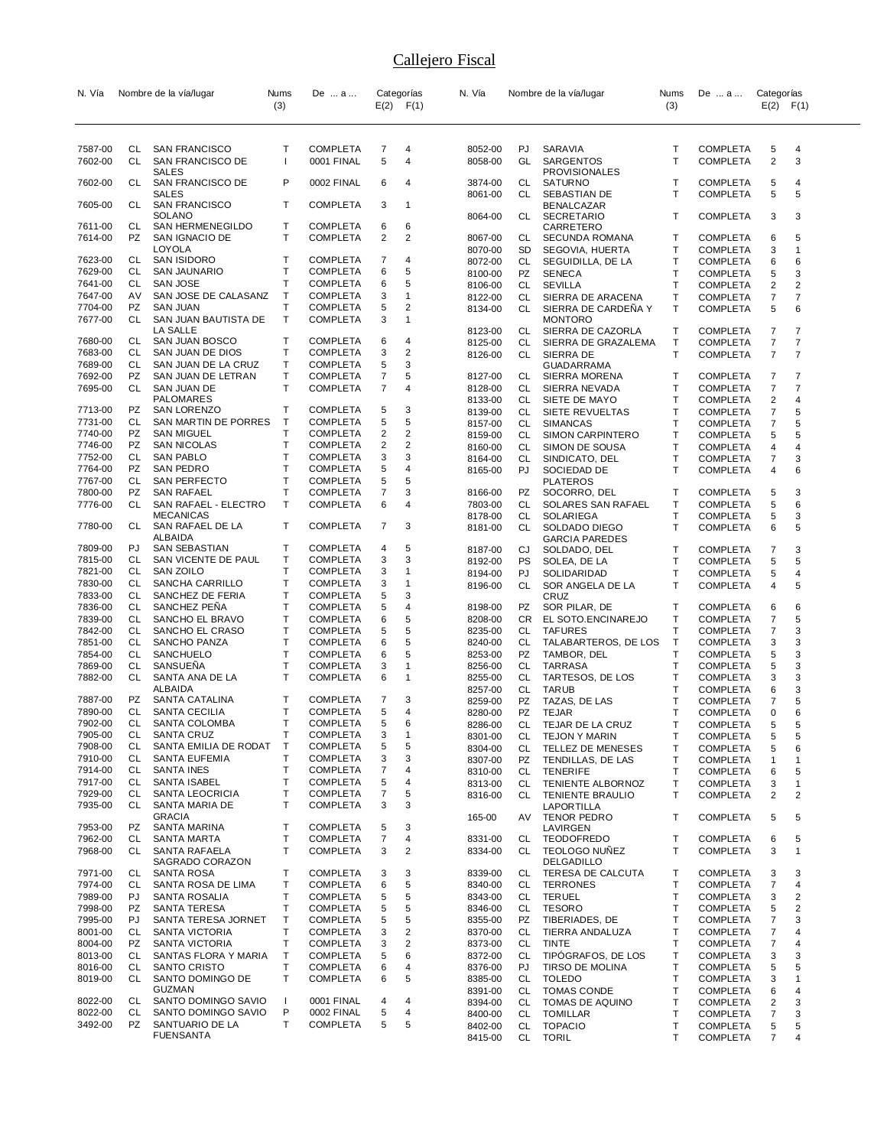| N. Vía             | Nombre de la vía/lugar |                                           | Nums         | De  a                       |        | Categorías              | N. Vía             | Nombre de la vía/lugar |                                          | Nums         | De  a                              | Categorías<br>$E(2)$ $F(1)$  |                         |
|--------------------|------------------------|-------------------------------------------|--------------|-----------------------------|--------|-------------------------|--------------------|------------------------|------------------------------------------|--------------|------------------------------------|------------------------------|-------------------------|
|                    |                        |                                           | (3)          |                             | E(2)   | F(1)                    |                    |                        |                                          | (3)          |                                    |                              |                         |
|                    |                        |                                           |              |                             |        |                         |                    |                        |                                          |              |                                    |                              |                         |
|                    |                        |                                           |              |                             |        |                         |                    |                        |                                          |              |                                    |                              |                         |
| 7587-00<br>7602-00 | CL<br><b>CL</b>        | <b>SAN FRANCISCO</b><br>SAN FRANCISCO DE  | т<br>ı       | COMPLETA<br>0001 FINAL      | 7<br>5 | 4<br>4                  | 8052-00<br>8058-00 | PJ<br>GL               | SARAVIA<br>SARGENTOS                     | Т<br>T       | <b>COMPLETA</b><br><b>COMPLETA</b> | 5<br>$\overline{\mathbf{c}}$ | 4<br>3                  |
|                    |                        | SALES                                     |              |                             |        |                         |                    |                        | <b>PROVISIONALES</b>                     |              |                                    |                              |                         |
| 7602-00            | CL                     | SAN FRANCISCO DE                          | P            | 0002 FINAL                  | 6      | 4                       | 3874-00            | CL                     | <b>SATURNO</b>                           | т            | <b>COMPLETA</b>                    | 5                            | 4                       |
| 7605-00            | CL                     | SALES<br>SAN FRANCISCO                    | т            | COMPLETA                    | 3      | $\mathbf{1}$            | 8061-00            | CL                     | SEBASTIAN DE                             | T            | <b>COMPLETA</b>                    | 5                            | 5                       |
|                    |                        | SOLANO                                    |              |                             |        |                         | 8064-00            | CL                     | BENALCAZAR<br><b>SECRETARIO</b>          | т            | <b>COMPLETA</b>                    | 3                            | 3                       |
| 7611-00            | СL                     | SAN HERMENEGILDO                          | т            | COMPLETA                    | 6      | 6                       |                    |                        | CARRETERO                                |              |                                    |                              |                         |
| 7614-00            | PZ                     | SAN IGNACIO DE                            | т            | COMPLETA                    | 2      | 2                       | 8067-00            | CL                     | SECUNDA ROMANA                           | Т            | <b>COMPLETA</b>                    | 6                            | 5                       |
| 7623-00            | CL                     | LOYOLA<br><b>SAN ISIDORO</b>              | т            | COMPLETA                    | 7      | 4                       | 8070-00            | SD                     | SEGOVIA, HUERTA                          | Τ            | <b>COMPLETA</b>                    | 3                            | $\mathbf{1}$            |
| 7629-00            | CL                     | SAN JAUNARIO                              | T            | COMPLETA                    | 6      | 5                       | 8072-00<br>8100-00 | CL<br>PZ               | SEGUIDILLA, DE LA<br><b>SENECA</b>       | т<br>Τ       | <b>COMPLETA</b><br>COMPLETA        | 6<br>5                       | 6<br>3                  |
| 7641-00            | CL                     | <b>SAN JOSE</b>                           | т            | COMPLETA                    | 6      | 5                       | 8106-00            | CL                     | <b>SEVILLA</b>                           | Т            | COMPLETA                           | 2                            | 2                       |
| 7647-00            | AV                     | SAN JOSE DE CALASANZ                      | Т            | COMPLETA                    | 3      | $\mathbf{1}$            | 8122-00            | CL                     | SIERRA DE ARACENA                        | Τ            | <b>COMPLETA</b>                    | 7                            | $\overline{7}$          |
| 7704-00            | PZ                     | <b>SAN JUAN</b>                           | T            | COMPLETA                    | 5      | $\overline{2}$          | 8134-00            | CL                     | SIERRA DE CARDENA Y                      | т            | <b>COMPLETA</b>                    | 5                            | 6                       |
| 7677-00            | CL                     | SAN JUAN BAUTISTA DE                      | T            | COMPLETA                    | 3      | $\mathbf{1}$            |                    |                        | <b>MONTORO</b>                           |              |                                    |                              |                         |
| 7680-00            | CL                     | LA SALLE<br>SAN JUAN BOSCO                | т            | COMPLETA                    | 6      | 4                       | 8123-00<br>8125-00 | CL<br>CL               | SIERRA DE CAZORLA<br>SIERRA DE GRAZALEMA | т<br>Т       | <b>COMPLETA</b><br><b>COMPLETA</b> | 7<br>$\overline{7}$          | 7<br>7                  |
| 7683-00            | CL                     | SAN JUAN DE DIOS                          | т            | COMPLETA                    | 3      | $\overline{2}$          | 8126-00            | CL                     | SIERRA DE                                | T            | <b>COMPLETA</b>                    | $\overline{7}$               | $\overline{7}$          |
| 7689-00            | CL                     | SAN JUAN DE LA CRUZ                       | т            | COMPLETA                    | 5      | 3                       |                    |                        | GUADARRAMA                               |              |                                    |                              |                         |
| 7692-00            | PZ                     | SAN JUAN DE LETRAN                        | T            | COMPLETA                    | 7      | 5                       | 8127-00            | CL                     | SIERRA MORENA                            | Т            | <b>COMPLETA</b>                    | 7                            | 7                       |
| 7695-00            | CL                     | SAN JUAN DE                               | т            | COMPLETA                    | 7      | $\overline{4}$          | 8128-00            | CL                     | SIERRA NEVADA                            | т            | <b>COMPLETA</b>                    | 7                            | 7                       |
| 7713-00            | PZ                     | PALOMARES<br><b>SAN LORENZO</b>           | т            | COMPLETA                    | 5      | 3                       | 8133-00            | CL                     | SIETE DE MAYO                            | т            | <b>COMPLETA</b>                    | 2                            | 4                       |
| 7731-00            | CL                     | SAN MARTIN DE PORRES                      | $\mathsf T$  | COMPLETA                    | 5      | 5                       | 8139-00<br>8157-00 | CL<br>CL               | SIETE REVUELTAS<br><b>SIMANCAS</b>       | Τ<br>т       | <b>COMPLETA</b><br>COMPLETA        | 7<br>7                       | 5<br>5                  |
| 7740-00            | PZ                     | <b>SAN MIGUEL</b>                         | T            | COMPLETA                    | 2      | $\overline{2}$          | 8159-00            | CL                     | <b>SIMON CARPINTERO</b>                  | т            | <b>COMPLETA</b>                    | 5                            | 5                       |
| 7746-00            | PZ                     | <b>SAN NICOLAS</b>                        | T            | COMPLETA                    | 2      | $\overline{2}$          | 8160-00            | CL                     | SIMON DE SOUSA                           | Τ            | <b>COMPLETA</b>                    | 4                            | 4                       |
| 7752-00            | CL                     | <b>SAN PABLO</b>                          | T            | <b>COMPLETA</b>             | 3      | 3                       | 8164-00            | CL                     | SINDICATO, DEL                           | т            | COMPLETA                           | 7                            | 3                       |
| 7764-00            | PZ                     | SAN PEDRO                                 | T            | <b>COMPLETA</b>             | 5      | 4                       | 8165-00            | PJ                     | SOCIEDAD DE                              | т            | <b>COMPLETA</b>                    | 4                            | 6                       |
| 7767-00            | CL                     | SAN PERFECTO                              | T<br>T       | COMPLETA                    | 5      | 5                       |                    |                        | <b>PLATEROS</b>                          |              |                                    |                              |                         |
| 7800-00<br>7776-00 | PZ<br>CL               | <b>SAN RAFAEL</b><br>SAN RAFAEL - ELECTRO | T            | COMPLETA<br>COMPLETA        | 7<br>6 | 3<br>$\overline{4}$     | 8166-00<br>7803-00 | PZ<br>CL               | SOCORRO, DEL<br>SOLARES SAN RAFAEL       | т<br>T       | <b>COMPLETA</b><br><b>COMPLETA</b> | 5<br>5                       | 3<br>6                  |
|                    |                        | <b>MECANICAS</b>                          |              |                             |        |                         | 8178-00            | CL                     | SOLARIEGA                                | Τ            | <b>COMPLETA</b>                    | 5                            | 3                       |
| 7780-00            | CL                     | SAN RAFAEL DE LA                          | Τ            | COMPLETA                    | 7      | 3                       | 8181-00            | CL                     | SOLDADO DIEGO                            | т            | <b>COMPLETA</b>                    | 6                            | 5                       |
|                    |                        | ALBAIDA                                   |              |                             |        |                         |                    |                        | <b>GARCIA PAREDES</b>                    |              |                                    |                              |                         |
| 7809-00            | PJ<br>CL               | SAN SEBASTIAN                             | т<br>т       | COMPLETA                    | 4      | 5<br>3                  | 8187-00            | CJ                     | SOLDADO, DEL                             | Т            | COMPLETA                           | 7                            | 3                       |
| 7815-00<br>7821-00 | CL                     | SAN VICENTE DE PAUL<br>SAN ZOILO          | Т            | COMPLETA<br>COMPLETA        | 3<br>3 | $\mathbf{1}$            | 8192-00            | <b>PS</b><br>PJ        | SOLEA, DE LA                             | т            | <b>COMPLETA</b>                    | 5                            | 5                       |
| 7830-00            | CL                     | SANCHA CARRILLO                           | T            | COMPLETA                    | 3      | $\mathbf{1}$            | 8194-00<br>8196-00 | CL                     | SOLIDARIDAD<br>SOR ANGELA DE LA          | т<br>T       | <b>COMPLETA</b><br><b>COMPLETA</b> | 5<br>4                       | 4<br>5                  |
| 7833-00            | CL                     | SANCHEZ DE FERIA                          | T            | COMPLETA                    | 5      | 3                       |                    |                        | CRUZ                                     |              |                                    |                              |                         |
| 7836-00            | CL                     | SANCHEZ PENA                              | Т            | COMPLETA                    | 5      | 4                       | 8198-00            | PZ                     | SOR PILAR, DE                            | т            | <b>COMPLETA</b>                    | 6                            | 6                       |
| 7839-00            | <b>CL</b>              | SANCHO EL BRAVO                           | T            | COMPLETA                    | 6      | 5                       | 8208-00            | <b>CR</b>              | EL SOTO.ENCINAREJO                       | $\mathsf{T}$ | <b>COMPLETA</b>                    | $\overline{7}$               | 5                       |
| 7842-00            | CL                     | SANCHO EL CRASO                           | т            | COMPLETA                    | 5      | 5                       | 8235-00            | CL                     | <b>TAFURES</b>                           | т            | <b>COMPLETA</b>                    | 7                            | 3                       |
| 7851-00<br>7854-00 | CL<br>CL               | SANCHO PANZA<br>SANCHUELO                 | T<br>T       | COMPLETA<br>COMPLETA        | 6<br>6 | 5<br>5                  | 8240-00<br>8253-00 | CL<br>PZ               | TALABARTEROS, DE LOS<br>TAMBOR, DEL      | Т<br>Τ       | <b>COMPLETA</b><br>COMPLETA        | 3<br>5                       | 3<br>3                  |
| 7869-00            | CL                     | SANSUENA                                  | T            | COMPLETA                    | 3      | $\mathbf{1}$            | 8256-00            | CL                     | <b>TARRASA</b>                           | Τ            | <b>COMPLETA</b>                    | 5                            | 3                       |
| 7882-00            | CL                     | SANTA ANA DE LA                           | T            | COMPLETA                    | 6      | $\mathbf{1}$            | 8255-00            | CL                     | TARTESOS, DE LOS                         | т            | COMPLETA                           | 3                            | 3                       |
|                    |                        | ALBAIDA                                   |              |                             |        |                         | 8257-00            | CL                     | <b>TARUB</b>                             | T            | COMPLETA                           | 6                            | 3                       |
| 7887-00            | PZ                     | SANTA CATALINA                            | т            | COMPLETA                    | 7      | 3                       | 8259-00            | PZ                     | TAZAS, DE LAS                            | т            | COMPLETA                           | 7                            | 5                       |
| 7890-00            | CL                     | SANTA CECILIA                             | т            | COMPLETA                    | 5      | 4                       | 8280-00            | PZ                     | <b>TEJAR</b>                             | т            | COMPLETA                           | 0                            | 6                       |
| 7902-00<br>7905-00 | <b>CL</b><br>CL        | <b>SANTA COLOMBA</b><br>SANTA CRUZ        | T<br>Τ       | COMPLETA<br>COMPLETA        | 5<br>3 | 6                       | 8286-00            | CL                     | TEJAR DE LA CRUZ                         | T            | <b>COMPLETA</b>                    | 5                            | 5                       |
| 7908-00            | CL                     | SANTA EMILIA DE RODAT                     | $\top$       | <b>COMPLETA</b>             | 5      | 5                       | 8301-00<br>8304-00 | CL.<br>CL              | TEJON Y MARIN<br>TELLEZ DE MENESES       | т<br>т       | <b>COMPLETA</b><br><b>COMPLETA</b> | 5<br>5                       | 5<br>6                  |
| 7910-00            | CL                     | <b>SANTA EUFEMIA</b>                      | T            | COMPLETA                    | 3      | 3                       | 8307-00            | PZ                     | TENDILLAS, DE LAS                        | Τ            | <b>COMPLETA</b>                    | $\mathbf{1}$                 | $\mathbf{1}$            |
| 7914-00            | CL                     | <b>SANTA INES</b>                         | T            | COMPLETA                    | 7      | 4                       | 8310-00            | CL                     | <b>TENERIFE</b>                          | т            | <b>COMPLETA</b>                    | 6                            | 5                       |
| 7917-00            | CL                     | SANTA ISABEL                              | T            | COMPLETA                    | 5      | $\overline{4}$          | 8313-00            | CL                     | TENIENTE ALBORNOZ                        | Т            | <b>COMPLETA</b>                    | 3                            | $\mathbf{1}$            |
| 7929-00            | CL                     | <b>SANTA LEOCRICIA</b>                    | T            | <b>COMPLETA</b>             | 7      | 5                       | 8316-00            | CL.                    | <b>TENIENTE BRAULIO</b>                  | т            | <b>COMPLETA</b>                    | 2                            | $\overline{2}$          |
| 7935-00            | CL                     | SANTA MARIA DE<br><b>GRACIA</b>           | т            | COMPLETA                    | 3      | 3                       | 165-00             | AV                     | LAPORTILLA<br>TENOR PEDRO                | T            | <b>COMPLETA</b>                    | 5                            | 5                       |
| 7953-00            | PZ                     | SANTA MARINA                              | т            | COMPLETA                    | 5      | 3                       |                    |                        | LAVIRGEN                                 |              |                                    |                              |                         |
| 7962-00            | CL                     | SANTA MARTA                               | T            | COMPLETA                    | 7      | 4                       | 8331-00            | CL                     | <b>TEODOFREDO</b>                        | т            | COMPLETA                           | 6                            | 5                       |
| 7968-00            | CL                     | SANTA RAFAELA                             | т            | COMPLETA                    | 3      | $\overline{2}$          | 8334-00            | CL                     | <b>TEOLOGO NUNEZ</b>                     | т            | <b>COMPLETA</b>                    | 3                            | $\mathbf{1}$            |
|                    |                        | SAGRADO CORAZON                           |              |                             |        |                         |                    |                        | DELGADILLO                               |              |                                    |                              |                         |
| 7971-00<br>7974-00 | CL<br>CL               | SANTA ROSA<br>SANTA ROSA DE LIMA          | Т<br>Τ       | COMPLETA<br><b>COMPLETA</b> | 3<br>6 | 3<br>5                  | 8339-00<br>8340-00 | CL<br>CL               | TERESA DE CALCUTA<br><b>TERRONES</b>     | Т<br>Т       | COMPLETA<br><b>COMPLETA</b>        | 3<br>7                       | 3<br>4                  |
| 7989-00            | PJ                     | SANTA ROSALIA                             | T            | COMPLETA                    | 5      | 5                       | 8343-00            | CL                     | <b>TERUEL</b>                            | $\mathsf{T}$ | <b>COMPLETA</b>                    | 3                            | $\overline{\mathbf{c}}$ |
| 7998-00            | PZ                     | SANTA TERESA                              | Τ            | COMPLETA                    | 5      | 5                       | 8346-00            | CL                     | <b>TESORO</b>                            | Τ            | <b>COMPLETA</b>                    | 5                            | $\overline{2}$          |
| 7995-00            | PJ                     | SANTA TERESA JORNET                       | T            | <b>COMPLETA</b>             | 5      | 5                       | 8355-00            | PZ                     | TIBERIADES, DE                           | Т            | <b>COMPLETA</b>                    | 7                            | 3                       |
| 8001-00            | CL                     | SANTA VICTORIA                            | Т            | COMPLETA                    | 3      | $\overline{\mathbf{c}}$ | 8370-00            | <b>CL</b>              | TIERRA ANDALUZA                          | Τ            | COMPLETA                           | 7                            | $\overline{4}$          |
| 8004-00            | PZ                     | SANTA VICTORIA                            | Τ            | COMPLETA                    | 3      | $\overline{\mathbf{c}}$ | 8373-00            | CL                     | TINTE                                    | т            | <b>COMPLETA</b>                    | 7                            | 4                       |
| 8013-00            | CL                     | SANTAS FLORA Y MARIA                      | T            | COMPLETA                    | 5      | 6                       | 8372-00            | <b>CL</b>              | TIPÓGRAFOS, DE LOS                       | Τ            | <b>COMPLETA</b>                    | 3                            | 3                       |
| 8016-00<br>8019-00 | CL<br>CL               | SANTO CRISTO<br>SANTO DOMINGO DE          | T<br>Τ       | COMPLETA<br>COMPLETA        | 6<br>6 | 4<br>5                  | 8376-00<br>8385-00 | PJ<br>CL               | <b>TIRSO DE MOLINA</b><br><b>TOLEDO</b>  | Τ<br>T       | <b>COMPLETA</b><br><b>COMPLETA</b> | 5<br>3                       | 5<br>$\mathbf{1}$       |
|                    |                        | GUZMAN                                    |              |                             |        |                         | 8391-00            | CL                     | <b>TOMAS CONDE</b>                       | т            | <b>COMPLETA</b>                    | 6                            | 4                       |
| 8022-00            | CL                     | SANTO DOMINGO SAVIO                       | $\mathbf{I}$ | 0001 FINAL                  | 4      | 4                       | 8394-00            | CL                     | TOMAS DE AQUINO                          | Τ            | <b>COMPLETA</b>                    | 2                            | 3                       |
| 8022-00            | <b>CL</b>              | SANTO DOMINGO SAVIO                       | P            | 0002 FINAL                  | 5      | 4                       | 8400-00            | CL                     | <b>TOMILLAR</b>                          | Τ            | <b>COMPLETA</b>                    | $\overline{7}$               | 3                       |
| 3492-00            | PZ                     | SANTUARIO DE LA                           | T            | COMPLETA                    | 5      | 5                       | 8402-00            | CL                     | <b>TOPACIO</b>                           | т            | <b>COMPLETA</b>                    | 5                            | 5                       |
|                    |                        | <b>FUENSANTA</b>                          |              |                             |        |                         | 8415-00            | CL                     | <b>TORIL</b>                             | T            | <b>COMPLETA</b>                    | 7                            | $\overline{4}$          |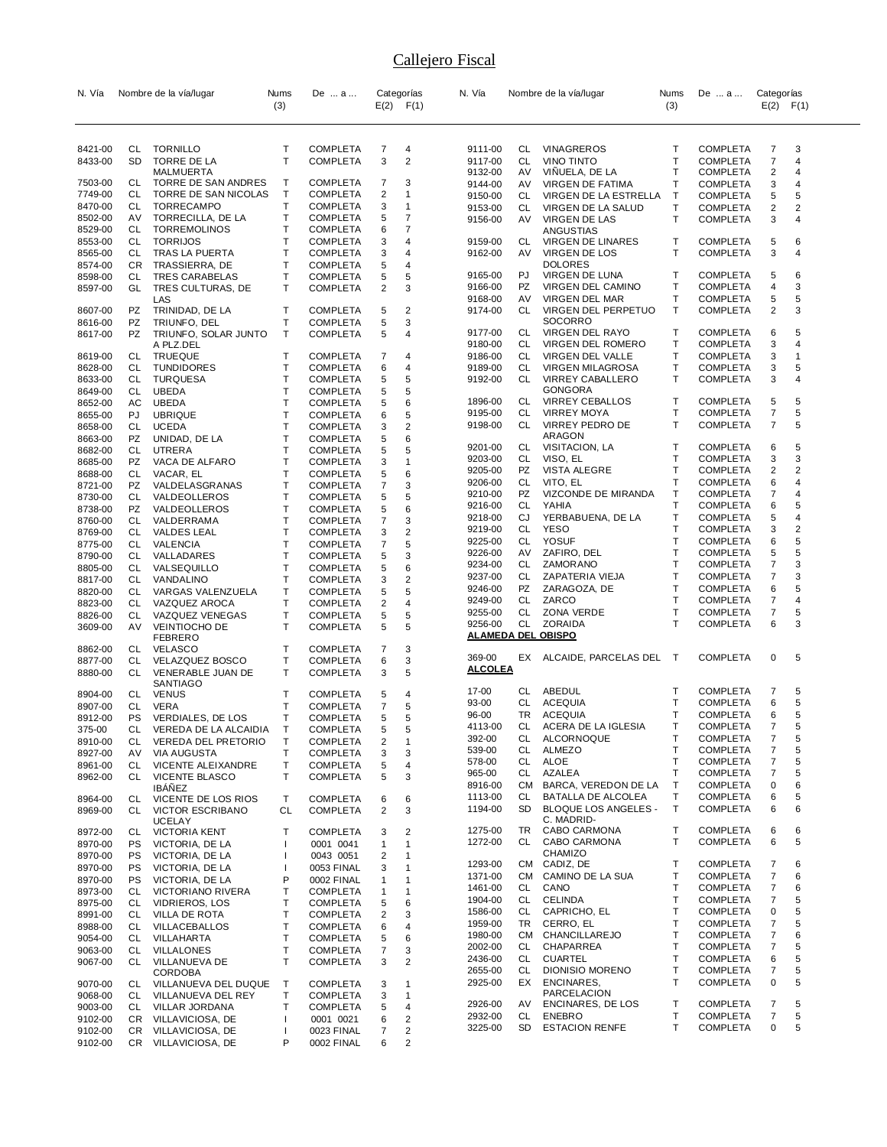| N. Vía             |                  | Nombre de la vía/lugar                      | Nums              | De  a                              |        | Categorías                   | N. Vía             |           | Nombre de la vía/lugar                             | Nums         | De  a                              | Categorías          |                     |
|--------------------|------------------|---------------------------------------------|-------------------|------------------------------------|--------|------------------------------|--------------------|-----------|----------------------------------------------------|--------------|------------------------------------|---------------------|---------------------|
|                    |                  |                                             | (3)               |                                    | E(2)   | F(1)                         |                    |           |                                                    | (3)          |                                    | $E(2)$ $F(1)$       |                     |
|                    |                  |                                             |                   |                                    |        |                              |                    |           |                                                    |              |                                    |                     |                     |
|                    |                  |                                             |                   |                                    |        |                              |                    |           |                                                    |              |                                    |                     |                     |
| 8421-00            | CL.<br><b>SD</b> | <b>TORNILLO</b>                             | Т<br>$\mathsf{T}$ | <b>COMPLETA</b><br><b>COMPLETA</b> | 7<br>3 | 4<br>$\overline{2}$          | 9111-00            | CL        | <b>VINAGREROS</b>                                  | т<br>Т       | <b>COMPLETA</b>                    | 7<br>$\overline{7}$ | 3                   |
| 8433-00            |                  | TORRE DE LA<br>MALMUERTA                    |                   |                                    |        |                              | 9117-00<br>9132-00 | CL<br>AV  | <b>VINO TINTO</b><br>VINUELA, DE LA                | Т            | <b>COMPLETA</b><br><b>COMPLETA</b> | 2                   | 4<br>$\overline{4}$ |
| 7503-00            | CL               | TORRE DE SAN ANDRES                         | Τ                 | <b>COMPLETA</b>                    | 7      | 3                            | 9144-00            | AV        | VIRGEN DE FATIMA                                   | T            | <b>COMPLETA</b>                    | 3                   | $\overline{4}$      |
| 7749-00            | CL               | TORRE DE SAN NICOLAS                        | Т                 | <b>COMPLETA</b>                    | 2      | $\mathbf 1$                  | 9150-00            | CL        | VIRGEN DE LA ESTRELLA                              | Т            | <b>COMPLETA</b>                    | 5                   | 5                   |
| 8470-00            | CL               | <b>TORRECAMPO</b>                           | Т                 | <b>COMPLETA</b>                    | 3      | $\mathbf{1}$                 | 9153-00            | CL        | VIRGEN DE LA SALUD                                 | т            | <b>COMPLETA</b>                    | 2                   | $\overline{2}$      |
| 8502-00            | AV               | TORRECILLA, DE LA                           | Т                 | <b>COMPLETA</b>                    | 5      | $\overline{7}$               | 9156-00            | AV        | VIRGEN DE LAS                                      | T            | COMPLETA                           | 3                   | $\overline{4}$      |
| 8529-00            | CL               | <b>TORREMOLINOS</b>                         | Т                 | <b>COMPLETA</b>                    | 6      | 7                            |                    |           | ANGUSTIAS                                          |              |                                    |                     |                     |
| 8553-00            | CL               | <b>TORRIJOS</b>                             | т                 | <b>COMPLETA</b>                    | 3      | 4                            | 9159-00            | CL        | VIRGEN DE LINARES                                  | Т            | COMPLETA                           | 5                   | 6                   |
| 8565-00            | CL               | TRAS LA PUERTA                              | Т                 | <b>COMPLETA</b>                    | 3      | 4                            | 9162-00            | AV        | VIRGEN DE LOS                                      | т            | <b>COMPLETA</b>                    | 3                   | 4                   |
| 8574-00<br>8598-00 | CR               | TRASSIERRA, DE<br><b>TRES CARABELAS</b>     | Т<br>Т            | COMPLETA                           | 5      | 4                            | 9165-00            | PJ        | <b>DOLORES</b><br>VIRGEN DE LUNA                   | Т            | <b>COMPLETA</b>                    | 5                   | 6                   |
| 8597-00            | CL<br>GL         | TRES CULTURAS, DE                           | т                 | <b>COMPLETA</b><br><b>COMPLETA</b> | 5<br>2 | 5<br>3                       | 9166-00            | PZ        | VIRGEN DEL CAMINO                                  | т            | <b>COMPLETA</b>                    | 4                   | 3                   |
|                    |                  | LAS                                         |                   |                                    |        |                              | 9168-00            | AV        | VIRGEN DEL MAR                                     | Т            | COMPLETA                           | 5                   | 5                   |
| 8607-00            | <b>PZ</b>        | TRINIDAD, DE LA                             | т                 | COMPLETA                           | 5      | 2                            | 9174-00            | CL        | VIRGEN DEL PERPETUO                                | T            | COMPLETA                           | 2                   | 3                   |
| 8616-00            | PZ               | TRIUNFO, DEL                                | т                 | <b>COMPLETA</b>                    | 5      | 3                            |                    |           | SOCORRO                                            |              |                                    |                     |                     |
| 8617-00            | <b>PZ</b>        | TRIUNFO, SOLAR JUNTO                        | Т                 | <b>COMPLETA</b>                    | 5      | $\overline{4}$               | 9177-00            | CL        | VIRGEN DEL RAYO                                    | т            | <b>COMPLETA</b>                    | 6                   | 5                   |
|                    |                  | A PLZ.DEL                                   |                   |                                    |        |                              | 9180-00            | CL        | VIRGEN DEL ROMERO                                  | Т            | <b>COMPLETA</b>                    | 3                   | 4                   |
| 8619-00            | CL               | <b>TRUEQUE</b>                              | т                 | <b>COMPLETA</b>                    | 7      | 4                            | 9186-00            | CL        | VIRGEN DEL VALLE                                   | т            | <b>COMPLETA</b>                    | 3                   | $\mathbf{1}$        |
| 8628-00<br>8633-00 | CL<br>CL         | <b>TUNDIDORES</b><br><b>TURQUESA</b>        | T<br>Т            | <b>COMPLETA</b><br><b>COMPLETA</b> | 6<br>5 | 4<br>5                       | 9189-00<br>9192-00 | CL<br>CL  | <b>VIRGEN MILAGROSA</b><br><b>VIRREY CABALLERO</b> | т<br>т       | <b>COMPLETA</b><br><b>COMPLETA</b> | 3<br>3              | 5<br>4              |
| 8649-00            | CL               | <b>UBEDA</b>                                | T                 | <b>COMPLETA</b>                    | 5      | 5                            |                    |           | <b>GONGORA</b>                                     |              |                                    |                     |                     |
| 8652-00            | AC               | <b>UBEDA</b>                                | T                 | <b>COMPLETA</b>                    | 5      | 6                            | 1896-00            | CL        | <b>VIRREY CEBALLOS</b>                             | Т            | <b>COMPLETA</b>                    | 5                   | 5                   |
| 8655-00            | PJ               | <b>UBRIQUE</b>                              | T                 | COMPLETA                           | 6      | 5                            | 9195-00            | CL        | <b>VIRREY MOYA</b>                                 | т            | <b>COMPLETA</b>                    | 7                   | 5                   |
| 8658-00            | CL               | <b>UCEDA</b>                                | Т                 | <b>COMPLETA</b>                    | 3      | $\overline{2}$               | 9198-00            | CL        | <b>VIRREY PEDRO DE</b>                             | т            | <b>COMPLETA</b>                    | 7                   | 5                   |
| 8663-00            | PZ               | UNIDAD, DE LA                               | T                 | <b>COMPLETA</b>                    | 5      | 6                            |                    |           | ARAGON                                             |              |                                    |                     |                     |
| 8682-00            | CL               | UTRERA                                      | Т                 | COMPLETA                           | 5      | 5                            | 9201-00            | CL        | VISITACION, LA                                     | т            | <b>COMPLETA</b>                    | 6                   | 5                   |
| 8685-00            | PZ               | VACA DE ALFARO                              | T                 | <b>COMPLETA</b>                    | 3      | $\mathbf{1}$                 | 9203-00            | CL        | VISO, EL                                           | Т            | <b>COMPLETA</b>                    | 3                   | 3                   |
| 8688-00            | CL               | VACAR, EL                                   | Т                 | COMPLETA                           | 5      | 6                            | 9205-00            | PZ        | VISTA ALEGRE                                       | Т            | <b>COMPLETA</b>                    | 2                   | 2                   |
| 8721-00            | PZ               | VALDELASGRANAS                              | Т                 | <b>COMPLETA</b>                    | 7      | 3                            | 9206-00<br>9210-00 | CL<br>PZ  | VITO, EL<br>VIZCONDE DE MIRANDA                    | Т<br>т       | <b>COMPLETA</b><br><b>COMPLETA</b> | 6<br>7              | 4<br>4              |
| 8730-00            | CL               | VALDEOLLEROS                                | T                 | COMPLETA                           | 5      | 5                            | 9216-00            | <b>CL</b> | YAHIA                                              | Т            | <b>COMPLETA</b>                    | 6                   | 5                   |
| 8738-00            | PZ               | VALDEOLLEROS                                | Т                 | <b>COMPLETA</b>                    | 5      | 6                            | 9218-00            | CJ        | YERBABUENA, DE LA                                  | т            | <b>COMPLETA</b>                    | 5                   | 4                   |
| 8760-00<br>8769-00 | CL<br>CL         | VALDERRAMA<br>VALDES LEAL                   | T<br>T            | <b>COMPLETA</b><br>COMPLETA        | 7<br>3 | 3<br>$\overline{2}$          | 9219-00            | CL        | <b>YESO</b>                                        | Т            | <b>COMPLETA</b>                    | 3                   | $\overline{c}$      |
| 8775-00            | CL               | VALENCIA                                    | Т                 | <b>COMPLETA</b>                    | 7      | 5                            | 9225-00            | CL        | <b>YOSUF</b>                                       | Т            | <b>COMPLETA</b>                    | 6                   | 5                   |
| 8790-00            | CL               | VALLADARES                                  | Т                 | <b>COMPLETA</b>                    | 5      | 3                            | 9226-00            | AV        | ZAFIRO, DEL                                        | Т            | <b>COMPLETA</b>                    | 5                   | 5                   |
| 8805-00            | CL               | VALSEQUILLO                                 | T                 | <b>COMPLETA</b>                    | 5      | 6                            | 9234-00            | CL        | ZAMORANO                                           | т            | <b>COMPLETA</b>                    | 7                   | 3                   |
| 8817-00            | CL               | VANDALINO                                   | Т                 | COMPLETA                           | 3      | $\overline{2}$               | 9237-00            | CL        | ZAPATERIA VIEJA                                    | т            | <b>COMPLETA</b>                    | $\overline{7}$      | 3                   |
| 8820-00            | CL               | VARGAS VALENZUELA                           | Т                 | <b>COMPLETA</b>                    | 5      | 5                            | 9246-00            | PZ        | ZARAGOZA, DE                                       | Т            | <b>COMPLETA</b>                    | 6                   | 5                   |
| 8823-00            | CL               | VAZQUEZ AROCA                               | Т                 | <b>COMPLETA</b>                    | 2      | 4                            | 9249-00            | CL        | ZARCO                                              | т            | <b>COMPLETA</b>                    | 7                   | 4                   |
| 8826-00            | CL               | VAZQUEZ VENEGAS                             | Т                 | COMPLETA                           | 5      | 5                            | 9255-00            | CL        | ZONA VERDE                                         | Т            | <b>COMPLETA</b>                    | 7                   | 5                   |
| 3609-00            | AV               | <b>VEINTIOCHO DE</b>                        | т                 | <b>COMPLETA</b>                    | 5      | 5                            | 9256-00            | CL        | ZORAIDA                                            | T            | COMPLETA                           | 6                   | 3                   |
|                    |                  | <b>FEBRERO</b><br><b>VELASCO</b>            |                   |                                    |        |                              |                    |           | ALAMEDA DEL OBISPO                                 |              |                                    |                     |                     |
| 8862-00<br>8877-00 | CL<br>CL         | VELAZQUEZ BOSCO                             | т<br>Т            | <b>COMPLETA</b><br><b>COMPLETA</b> | 7<br>6 | 3<br>3                       | 369-00             | EX        | ALCAIDE, PARCELAS DEL T                            |              | <b>COMPLETA</b>                    | 0                   | 5                   |
| 8880-00            | CL               | VENERABLE JUAN DE                           | Т                 | <b>COMPLETA</b>                    | 3      | 5                            | <b>ALCOLEA</b>     |           |                                                    |              |                                    |                     |                     |
|                    |                  | SANTIAGO                                    |                   |                                    |        |                              |                    |           |                                                    |              |                                    |                     |                     |
| 8904-00            | CL               | <b>VENUS</b>                                | т                 | <b>COMPLETA</b>                    | 5      | 4                            | 17-00              | CL        | ABEDUL                                             | Т            | <b>COMPLETA</b>                    | 7                   | 5                   |
| 8907-00            | CL               | VERA                                        | T                 | COMPLETA                           | 7      | 5                            | 93-00              | CL        | <b>ACEQUIA</b>                                     | Т            | <b>COMPLETA</b>                    | 6                   | 5                   |
| 8912-00            | PS               | VERDIALES, DE LOS                           | Т                 | <b>COMPLETA</b>                    | 5      | 5                            | 96-00              | TR        | <b>ACEQUIA</b>                                     | т            | <b>COMPLETA</b>                    | 6                   | 5                   |
| 375-00             | <b>CL</b>        | VEREDA DE LA ALCAIDIA                       | $\mathsf{T}$      | COMPLETA                           | 5      | 5                            | 4113-00<br>392-00  | CL<br>CL  | ACERA DE LA IGLESIA<br>ALCORNOQUE                  | T<br>Τ       | <b>COMPLETA</b><br><b>COMPLETA</b> | 7<br>7              | 5<br>5              |
| 8910-00            | CL               | <b>VEREDA DEL PRETORIO</b>                  | Т                 | <b>COMPLETA</b>                    | 2      | $\mathbf{1}$                 | 539-00             | CL        | <b>ALMEZO</b>                                      | Т            | <b>COMPLETA</b>                    | 7                   | 5                   |
| 8927-00            | AV               | VIA AUGUSTA                                 | Т<br>Т            | COMPLETA<br><b>COMPLETA</b>        | 3      | 3                            | 578-00             | <b>CL</b> | <b>ALOE</b>                                        | T            | <b>COMPLETA</b>                    | $\overline{7}$      | 5                   |
| 8961-00<br>8962-00 | CL<br>CL.        | VICENTE ALEIXANDRE<br><b>VICENTE BLASCO</b> | T.                | COMPLETA                           | 5<br>5 | 4<br>3                       | 965-00             | CL        | AZALEA                                             | т            | <b>COMPLETA</b>                    | 7                   | 5                   |
|                    |                  | <b>IBANEZ</b>                               |                   |                                    |        |                              | 8916-00            | СM        | BARCA, VEREDON DE LA                               | T            | <b>COMPLETA</b>                    | 0                   | 6                   |
| 8964-00            | CL               | VICENTE DE LOS RIOS                         | Τ                 | <b>COMPLETA</b>                    | 6      | 6                            | 1113-00            | CL        | BATALLA DE ALCOLEA                                 | Т            | <b>COMPLETA</b>                    | 6                   | 5                   |
| 8969-00            | CL.              | <b>VICTOR ESCRIBANO</b>                     | <b>CL</b>         | <b>COMPLETA</b>                    | 2      | 3                            | 1194-00            | SD        | BLOQUE LOS ANGELES -                               | $\mathsf{T}$ | <b>COMPLETA</b>                    | 6                   | 6                   |
|                    |                  | <b>UCELAY</b>                               |                   |                                    |        |                              |                    |           | C. MADRID-                                         |              |                                    |                     |                     |
| 8972-00            | CL               | <b>VICTORIA KENT</b>                        | т                 | <b>COMPLETA</b>                    | 3      | $\overline{2}$               | 1275-00            | TR        | CABO CARMONA                                       | Т            | <b>COMPLETA</b>                    | 6                   | 6                   |
| 8970-00            | PS               | VICTORIA, DE LA                             | ı                 | 0001 0041                          | 1      | $\mathbf{1}$                 | 1272-00            | CL        | CABO CARMONA<br>CHAMIZO                            | Т            | <b>COMPLETA</b>                    | 6                   | 5                   |
| 8970-00            | PS               | VICTORIA, DE LA                             | T                 | 0043 0051                          | 2      | $\mathbf{1}$                 | 1293-00            | СM        | CADIZ, DE                                          | т            | <b>COMPLETA</b>                    | 7                   | 6                   |
| 8970-00            | PS<br>PS         | VICTORIA, DE LA                             | ı<br>P            | 0053 FINAL                         | 3      | $\mathbf{1}$<br>$\mathbf{1}$ | 1371-00            | СM        | CAMINO DE LA SUA                                   | Т            | <b>COMPLETA</b>                    | 7                   | 6                   |
| 8970-00<br>8973-00 | CL               | VICTORIA, DE LA<br>VICTORIANO RIVERA        | Т                 | 0002 FINAL<br>COMPLETA             | 1<br>1 | $\mathbf{1}$                 | 1461-00            | CL        | CANO                                               | Т            | <b>COMPLETA</b>                    | $\overline{7}$      | 6                   |
| 8975-00            | CL               | VIDRIEROS, LOS                              | Т                 | COMPLETA                           | 5      | 6                            | 1904-00            | CL        | <b>CELINDA</b>                                     | Т            | <b>COMPLETA</b>                    | 7                   | 5                   |
| 8991-00            | CL               | VILLA DE ROTA                               | Т                 | <b>COMPLETA</b>                    | 2      | 3                            | 1586-00            | CL        | CAPRICHO, EL                                       | Т            | <b>COMPLETA</b>                    | 0                   | 5                   |
| 8988-00            | CL               | VILLACEBALLOS                               | Т                 | COMPLETA                           | 6      | 4                            | 1959-00            | TR        | CERRO, EL                                          | Т            | <b>COMPLETA</b>                    | 7                   | 5                   |
| 9054-00            | CL               | VILLAHARTA                                  | Т                 | COMPLETA                           | 5      | 6                            | 1980-00            | СM        | CHANCILLAREJO                                      | Т            | <b>COMPLETA</b>                    | 7                   | 6                   |
| 9063-00            | CL               | VILLALONES                                  | Т                 | <b>COMPLETA</b>                    | 7      | 3                            | 2002-00            | CL        | CHAPARREA                                          | Т            | <b>COMPLETA</b>                    | $\overline{7}$      | 5                   |
| 9067-00            | <b>CL</b>        | VILLANUEVA DE                               | T                 | <b>COMPLETA</b>                    | 3      | $\overline{2}$               | 2436-00            | CL        | <b>CUARTEL</b>                                     | Т            | <b>COMPLETA</b>                    | 6                   | 5                   |
|                    |                  | <b>CORDOBA</b>                              |                   |                                    |        |                              | 2655-00            | CL        | <b>DIONISIO MORENO</b>                             | Т            | <b>COMPLETA</b>                    | 7                   | 5                   |
| 9070-00            | CL               | VILLANUEVA DEL DUQUE                        | T                 | <b>COMPLETA</b>                    | 3      | $\mathbf 1$                  | 2925-00            | EX        | ENCINARES,<br>PARCELACION                          | T            | <b>COMPLETA</b>                    | 0                   | 5                   |
| 9068-00            | CL               | VILLANUEVA DEL REY                          | T<br>Т            | COMPLETA                           | 3      | $\mathbf{1}$                 | 2926-00            | AV        | ENCINARES, DE LOS                                  | т            | <b>COMPLETA</b>                    | $\overline{7}$      | 5                   |
| 9003-00<br>9102-00 | CL<br>CR.        | VILLAR JORDANA<br>VILLAVICIOSA, DE          | T                 | COMPLETA<br>0001 0021              | 5<br>6 | 4<br>$\overline{2}$          | 2932-00            | CL        | ENEBRO                                             | т            | <b>COMPLETA</b>                    | 7                   | 5                   |
| 9102-00            | CR               | VILLAVICIOSA, DE                            | I                 | 0023 FINAL                         | 7      | 2                            | 3225-00            | SD        | <b>ESTACION RENFE</b>                              | Т            | <b>COMPLETA</b>                    | 0                   | 5                   |
| 9102-00            | CR               | VILLAVICIOSA, DE                            | P                 | 0002 FINAL                         | 6      | $\overline{2}$               |                    |           |                                                    |              |                                    |                     |                     |
|                    |                  |                                             |                   |                                    |        |                              |                    |           |                                                    |              |                                    |                     |                     |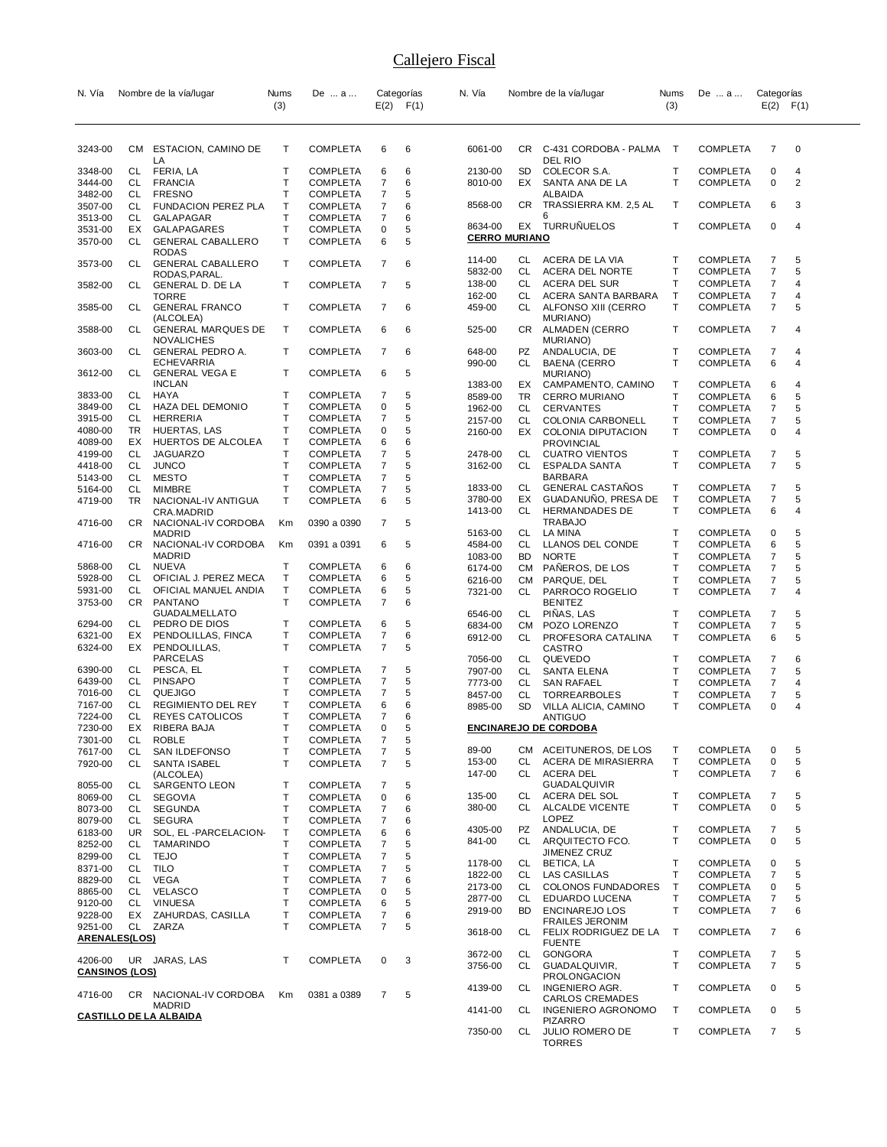| N. Vía                |     | Nombre de la vía/lugar                    | Nums | De  a                |             | Categorías    | N. Vía                          |           | Nombre de la vía/lugar                   | Nums                         | De  a           | Categorías          |                |
|-----------------------|-----|-------------------------------------------|------|----------------------|-------------|---------------|---------------------------------|-----------|------------------------------------------|------------------------------|-----------------|---------------------|----------------|
|                       |     |                                           | (3)  |                      |             | $E(2)$ $F(1)$ |                                 |           |                                          | (3)                          |                 | $E(2)$ $F(1)$       |                |
|                       |     |                                           |      |                      |             |               |                                 |           |                                          |                              |                 |                     |                |
|                       |     |                                           |      |                      |             |               |                                 |           |                                          |                              |                 |                     |                |
| 3243-00               | CM  | ESTACION, CAMINO DE<br>LA                 | Т    | COMPLETA             | 6           | 6             | 6061-00                         |           | CR C-431 CORDOBA - PALMA T<br>DEL RIO    |                              | <b>COMPLETA</b> | 7                   | $\mathbf 0$    |
| 3348-00               | CL  | FERIA, LA                                 | т    | COMPLETA             | 6           | 6             | 2130-00                         | SD        | COLECOR S.A.                             | Т                            | <b>COMPLETA</b> | 0                   | 4              |
| 3444-00               | CL. | <b>FRANCIA</b>                            | T    | COMPLETA             | 7           | 6             | 8010-00                         | EX        | SANTA ANA DE LA                          | $\mathsf{T}$                 | <b>COMPLETA</b> | $\pmb{0}$           | $\overline{c}$ |
| 3482-00               | CL  | FRESNO                                    | T    | COMPLETA             | 7           | 5             |                                 |           | ALBAIDA                                  |                              |                 |                     |                |
| 3507-00               | CL  | FUNDACION PEREZ PLA                       | T    | COMPLETA             | 7           | 6             | 8568-00                         | CR        | TRASSIERRA KM. 2,5 AL                    | Т                            | <b>COMPLETA</b> | 6                   | 3              |
| 3513-00               | CL  | GALAPAGAR                                 | T    | COMPLETA             | 7           | 6             |                                 |           |                                          |                              |                 |                     |                |
| 3531-00               | EX  | GALAPAGARES                               | т    | COMPLETA             | 0           | 5             | 8634-00<br><b>CERRO MURIANO</b> |           | EX TURRUÑUELOS                           | т                            | <b>COMPLETA</b> | 0                   | 4              |
| 3570-00               | CL  | <b>GENERAL CABALLERO</b>                  | T    | COMPLETA             | 6           | 5             |                                 |           |                                          |                              |                 |                     |                |
|                       |     | <b>RODAS</b>                              | Т    | COMPLETA             | 7           | 6             | 114-00                          | CL        | ACERA DE LA VIA                          | т                            | <b>COMPLETA</b> | 7                   | 5              |
| 3573-00               | CL. | <b>GENERAL CABALLERO</b><br>RODAS, PARAL. |      |                      |             |               | 5832-00                         | CL        | ACERA DEL NORTE                          | $\mathsf{T}$                 | <b>COMPLETA</b> | $\overline{7}$      | 5              |
| 3582-00               | CL. | GENERAL D. DE LA                          | т    | COMPLETA             | 7           | 5             | 138-00                          | CL.       | <b>ACERA DEL SUR</b>                     | т                            | <b>COMPLETA</b> | 7                   | 4              |
|                       |     | TORRE                                     |      |                      |             |               | 162-00                          | CL        | ACERA SANTA BARBARA                      | т                            | <b>COMPLETA</b> | $\overline{7}$      | 4              |
| 3585-00               | CL. | <b>GENERAL FRANCO</b>                     | т    | COMPLETA             | 7           | 6             | 459-00                          | CL        | ALFONSO XIII (CERRO                      | $\mathsf{T}$                 | <b>COMPLETA</b> | $\overline{7}$      | 5              |
|                       |     | (ALCOLEA)                                 |      |                      |             |               |                                 |           | MURIANO)                                 |                              |                 |                     |                |
| 3588-00               | CL. | <b>GENERAL MARQUES DE</b>                 | т    | COMPLETA             | 6           | 6             | 525-00                          |           | CR ALMADEN (CERRO                        | $\mathsf{T}$                 | <b>COMPLETA</b> | 7                   | 4              |
|                       |     | NOVALICHES                                |      |                      |             |               |                                 |           | MURIANO)                                 |                              |                 |                     |                |
| 3603-00               | CL  | GENERAL PEDRO A.<br><b>ECHEVARRIA</b>     | Τ    | COMPLETA             | 7           | 6             | 648-00                          | PZ        | ANDALUCIA, DE                            | T<br>$\mathsf{T}$            | <b>COMPLETA</b> | 7                   | 4              |
| 3612-00               | CL  | <b>GENERAL VEGA E</b>                     | т    | COMPLETA             | 6           | 5             | 990-00                          | CL        | <b>BAENA (CERRO</b><br>MURIANO)          |                              | <b>COMPLETA</b> | 6                   | 4              |
|                       |     | <b>INCLAN</b>                             |      |                      |             |               | 1383-00                         | EX        | CAMPAMENTO, CAMINO                       | Т                            | <b>COMPLETA</b> | 6                   | 4              |
| 3833-00               | CL. | HAYA                                      | т    | COMPLETA             | 7           | 5             | 8589-00                         | TR        | <b>CERRO MURIANO</b>                     | T                            | <b>COMPLETA</b> | 6                   | 5              |
| 3849-00               | CL  | HAZA DEL DEMONIO                          | т    | COMPLETA             | 0           | 5             | 1962-00                         | CL        | CERVANTES                                | Т                            | <b>COMPLETA</b> | 7                   | 5              |
| 3915-00               | CL. | HERRERIA                                  | т    | COMPLETA             | 7           | 5             | 2157-00                         | CL        | COLONIA CARBONELL                        | T                            | COMPLETA        | 7                   | 5              |
| 4080-00               | TR  | HUERTAS, LAS                              | т    | COMPLETA             | 0           | 5             | 2160-00                         | EX        | COLONIA DIPUTACION                       | $\mathsf{T}$                 | <b>COMPLETA</b> | 0                   | 4              |
| 4089-00               | EX  | HUERTOS DE ALCOLEA                        | т    | COMPLETA             | 6           | 6             |                                 |           | <b>PROVINCIAL</b>                        |                              |                 |                     |                |
| 4199-00               | CL  | <b>JAGUARZO</b>                           | т    | COMPLETA             | 7           | 5             | 2478-00                         | CL        | <b>CUATRO VIENTOS</b>                    | Т                            | <b>COMPLETA</b> | 7                   | 5              |
| 4418-00               | CL  | <b>JUNCO</b>                              | Τ    | COMPLETA             | 7           | 5             | 3162-00                         | CL        | <b>ESPALDA SANTA</b>                     | $\mathsf{T}$                 | <b>COMPLETA</b> | $\overline{7}$      | 5              |
| 5143-00               | CL  | <b>MESTO</b>                              | т    | COMPLETA             | 7           | 5             |                                 |           | BARBARA                                  |                              |                 |                     |                |
| 5164-00               | CL  | MIMBRE                                    | T    | COMPLETA             | 7           | 5             | 1833-00                         | CL        | <b>GENERAL CASTANOS</b>                  | т                            | <b>COMPLETA</b> | 7                   | 5              |
| 4719-00               | TR. | NACIONAL-IV ANTIGUA                       | т    | COMPLETA             | 6           | 5             | 3780-00                         | EX        | GUADANUNO, PRESA DE                      | Т                            | <b>COMPLETA</b> | 7                   | 5              |
|                       |     | CRA.MADRID                                |      |                      |             |               | 1413-00                         | CL.       | <b>HERMANDADES DE</b>                    | $\mathsf{T}$                 | <b>COMPLETA</b> | 6                   | 4              |
| 4716-00               | CR  | NACIONAL-IV CORDOBA                       | Кm   | 0390 a 0390          | 7           | 5             |                                 |           | <b>TRABAJO</b>                           |                              |                 |                     |                |
|                       |     | MADRID                                    |      |                      |             |               | 5163-00                         | CL.       | LA MINA                                  | $\mathsf{T}$                 | COMPLETA        | 0                   | 5              |
| 4716-00               | CR. | NACIONAL-IV CORDOBA                       | Кm   | 0391 a 0391          | 6           | 5             | 4584-00                         | CL        | LLANOS DEL CONDE                         | Т                            | <b>COMPLETA</b> | 6                   | 5              |
|                       |     | <b>MADRID</b>                             |      |                      |             |               | 1083-00                         | BD        | <b>NORTE</b>                             | Т                            | <b>COMPLETA</b> | 7                   | 5              |
| 5868-00               | CL. | NUEVA                                     | т    | COMPLETA             | 6           | 6             | 6174-00                         |           | CM PANEROS, DE LOS                       | T                            | <b>COMPLETA</b> | $\overline{7}$      | 5              |
| 5928-00               | CL. | OFICIAL J. PEREZ MECA                     | Т    | COMPLETA             | 6           | 5             | 6216-00                         | CM        | PARQUE, DEL                              | $\mathsf{T}$                 | COMPLETA        | $\overline{7}$      | 5              |
| 5931-00               | CL  | OFICIAL MANUEL ANDIA                      | т    | COMPLETA             | 6           | 5             | 7321-00                         | CL        | PARROCO ROGELIO                          | $\mathsf{T}$                 | <b>COMPLETA</b> | 7                   | 4              |
| 3753-00               | CR. | PANTANO                                   | T    | COMPLETA             | 7           | 6             |                                 |           | <b>BENITEZ</b>                           |                              |                 |                     |                |
|                       | CL  | GUADALMELLATO                             | т    |                      |             | 5             | 6546-00                         | CL        | PINAS, LAS                               | Т                            | <b>COMPLETA</b> | 7                   | 5              |
| 6294-00<br>6321-00    | EX  | PEDRO DE DIOS<br>PENDOLILLAS, FINCA       | т    | COMPLETA<br>COMPLETA | 6<br>7      | 6             | 6834-00                         | CM        | POZO LORENZO                             | Т                            | <b>COMPLETA</b> | $\overline{7}$      | 5              |
| 6324-00               | EX  | PENDOLILLAS,                              | T    | COMPLETA             | 7           | 5             | 6912-00                         | CL        | PROFESORA CATALINA                       | $\mathsf{T}$                 | <b>COMPLETA</b> | 6                   | 5              |
|                       |     | PARCELAS                                  |      |                      |             |               | 7056-00                         | CL        | CASTRO<br>QUEVEDO                        | Т                            | COMPLETA        | 7                   | 6              |
| 6390-00               | CL  | PESCA, EL                                 | Т    | COMPLETA             | 7           | 5             | 7907-00                         | CL        | <b>SANTA ELENA</b>                       | T                            | <b>COMPLETA</b> | 7                   | 5              |
| 6439-00               | CL  | <b>PINSAPO</b>                            | т    | COMPLETA             | 7           | 5             | 7773-00                         | CL.       | <b>SAN RAFAEL</b>                        | T                            | COMPLETA        | $\overline{7}$      | 4              |
| 7016-00               | CL  | QUEJIGO                                   | T    | COMPLETA             | 7           | 5             | 8457-00                         | CL        | <b>TORREARBOLES</b>                      | т                            | <b>COMPLETA</b> | $\overline{7}$      | 5              |
| 7167-00               | CL. | <b>REGIMIENTO DEL REY</b>                 | т    | COMPLETA             | 6           | 6             | 8985-00                         | <b>SD</b> | VILLA ALICIA, CAMINO                     | Т                            | <b>COMPLETA</b> | 0                   | 4              |
| 7224-00               | CL  | REYES CATOLICOS                           | т    | COMPLETA             | 7           | 6             |                                 |           | ANTIGUO                                  |                              |                 |                     |                |
| 7230-00               | ЕX  | RIBERA BAJA                               | T    | COMPLETA             | $\mathbf 0$ | 5             |                                 |           | <u>ENCINAREJO DE CORDOBA</u>             |                              |                 |                     |                |
| 7301-00               | CL  | <b>ROBLE</b>                              | Т    | COMPLETA             | 7           | 5             |                                 |           |                                          |                              |                 |                     |                |
| 7617-00               | CL  | SAN ILDEFONSO                             | T    | COMPLETA             | 7           | 5             | 89-00                           |           | CM ACEITUNEROS, DE LOS                   | Т                            | <b>COMPLETA</b> | 0                   | 5              |
| 7920-00               | CL  | SANTA ISABEL                              | T    | <b>COMPLETA</b>      | 7           | 5             | 153-00                          | CL        | ACERA DE MIRASIERRA                      | Т                            | <b>COMPLETA</b> | 0                   | 5              |
|                       |     | (ALCOLEA)                                 |      |                      |             |               | 147-00                          | CL        | <b>ACERA DEL</b>                         | $\mathsf{T}$                 | <b>COMPLETA</b> | 7                   | 6              |
| 8055-00               | CL. | SARGENTO LEON                             | т    | COMPLETA             | 7           | 5             |                                 |           | GUADALQUIVIR                             |                              |                 |                     |                |
| 8069-00               | CL  | <b>SEGOVIA</b>                            | T    | COMPLETA             | 0           | 6             | 135-00                          | CL        | ACERA DEL SOL                            | T                            | <b>COMPLETA</b> | $\overline{7}$      | 5              |
| 8073-00               | CL. | <b>SEGUNDA</b>                            | т    | COMPLETA             | 7           | 6             | 380-00                          | CL .      | <b>ALCALDE VICENTE</b>                   | $\mathsf{T}$                 | <b>COMPLETA</b> | 0                   | 5              |
| 8079-00               | CL  | <b>SEGURA</b>                             | Т    | COMPLETA             | 7           | 6             |                                 |           | <b>LOPEZ</b>                             |                              |                 |                     |                |
| 6183-00               | UR. | SOL, EL -PARCELACION-                     | Т    | COMPLETA             | 6           | 6             | 4305-00                         | PZ        | ANDALUCIA, DE                            | T                            | <b>COMPLETA</b> | 7                   | 5              |
| 8252-00               | CL. | TAMARINDO                                 | Т    | COMPLETA             | 7           | 5             | 841-00                          | CL.       | ARQUITECTO FCO.                          | $\mathsf{T}$                 | <b>COMPLETA</b> | $\pmb{0}$           | 5              |
| 8299-00               | CL  | <b>TEJO</b>                               | Т    | COMPLETA             | 7           | 5             |                                 |           | <b>JIMENEZ CRUZ</b>                      |                              |                 |                     |                |
| 8371-00               | CL  | <b>TILO</b>                               | Т    | COMPLETA             | 7           | 5             | 1178-00                         | CL<br>CL  | BETICA, LA                               | $\mathsf{T}$<br>$\mathsf{T}$ | <b>COMPLETA</b> | 0<br>7              | 5<br>5         |
| 8829-00               | CL  | <b>VEGA</b>                               | Т    | <b>COMPLETA</b>      | 7           | 6             | 1822-00                         |           | LAS CASILLAS                             |                              | <b>COMPLETA</b> |                     |                |
| 8865-00               | CL  | VELASCO                                   | Т    | COMPLETA             | 0           | 5             | 2173-00                         | CL<br>CL. | COLONOS FUNDADORES                       | Т<br>T                       | <b>COMPLETA</b> | 0                   | 5              |
| 9120-00               | CL  | <b>VINUESA</b>                            | т    | COMPLETA             | 6           | 5             | 2877-00                         | <b>BD</b> | EDUARDO LUCENA                           | $\mathsf{T}$                 | <b>COMPLETA</b> | 7<br>$\overline{7}$ | 5              |
| 9228-00               | EX  | ZAHURDAS, CASILLA                         | Т    | COMPLETA             | 7           | 6             | 2919-00                         |           | ENCINAREJO LOS<br><b>FRAILES JERONIM</b> |                              | <b>COMPLETA</b> |                     | 6              |
| 9251-00               | CL  | ZARZA                                     | т    | COMPLETA             | 7           | 5             | 3618-00                         | CL        | FELIX RODRIGUEZ DE LA                    | $\mathsf{T}$                 | <b>COMPLETA</b> | 7                   | 6              |
| <b>ARENALES(LOS)</b>  |     |                                           |      |                      |             |               |                                 |           | <b>FUENTE</b>                            |                              |                 |                     |                |
|                       |     |                                           |      |                      |             |               | 3672-00                         | CL        | <b>GONGORA</b>                           | Т                            | <b>COMPLETA</b> | 7                   | 5              |
| 4206-00               |     | UR JARAS, LAS                             | т    | COMPLETA             | 0           | 3             | 3756-00                         | CL.       | GUADALQUIVIR,                            | $\mathsf{T}$                 | <b>COMPLETA</b> | 7                   | 5              |
| <b>CANSINOS (LOS)</b> |     |                                           |      |                      |             |               |                                 |           | <b>PROLONGACION</b>                      |                              |                 |                     |                |
|                       |     |                                           |      |                      |             |               | 4139-00                         | CL        | INGENIERO AGR.                           | Т                            | <b>COMPLETA</b> | 0                   | 5              |
| 4716-00               | CR  | NACIONAL-IV CORDOBA<br><b>MADRID</b>      | Km   | 0381 a 0389          | 7           | 5             |                                 |           | CARLOS CREMADES                          |                              |                 |                     |                |
|                       |     | <b>CASTILLO DE LA ALBAIDA</b>             |      |                      |             |               | 4141-00                         | CL        | <b>INGENIERO AGRONOMO</b>                | Т                            | COMPLETA        | 0                   | 5              |
|                       |     |                                           |      |                      |             |               |                                 |           | <b>PIZARRO</b>                           |                              |                 |                     |                |
|                       |     |                                           |      |                      |             |               | 7350-00                         | CL        | <b>JULIO ROMERO DE</b><br><b>TORRES</b>  | $\mathsf{T}$                 | <b>COMPLETA</b> | 7                   | 5              |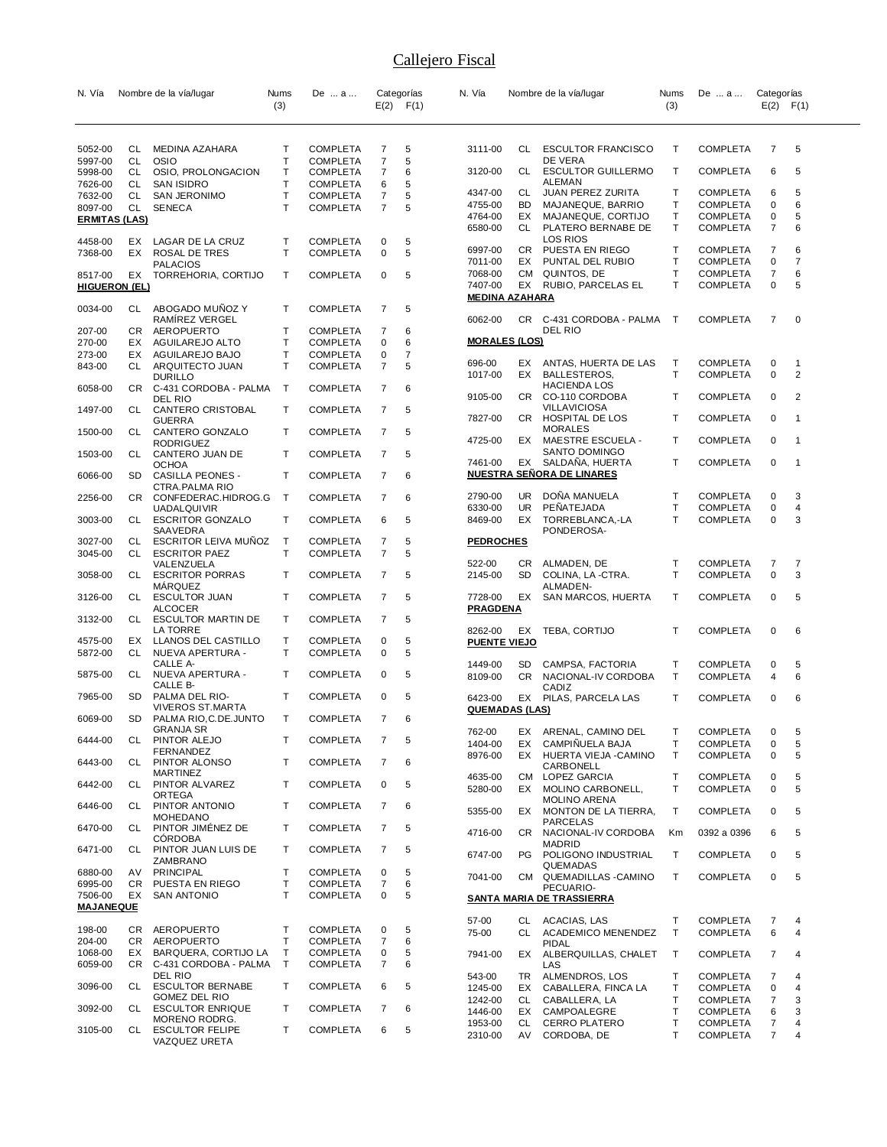| N. Vía                      |           | Nombre de la vía/lugar                             | Nums<br>(3)       | De  a                              |                | Categorías<br>$E(2)$ $F(1)$ | N. Vía                           |           | Nombre de la vía/lugar                      | Nums<br>(3)  | De  a                              | Categorías<br>$E(2)$ $F(1)$ |                |
|-----------------------------|-----------|----------------------------------------------------|-------------------|------------------------------------|----------------|-----------------------------|----------------------------------|-----------|---------------------------------------------|--------------|------------------------------------|-----------------------------|----------------|
|                             |           |                                                    |                   |                                    |                |                             |                                  |           |                                             |              |                                    |                             |                |
| 5052-00<br>5997-00          | CL<br>CL  | MEDINA AZAHARA<br><b>OSIO</b>                      | Т<br>Т            | <b>COMPLETA</b><br><b>COMPLETA</b> | 7<br>7         | 5<br>5                      | 3111-00                          |           | CL ESCULTOR FRANCISCO<br>DE VERA            | Т            | <b>COMPLETA</b>                    | 7                           | 5              |
| 5998-00<br>7626-00          | CL<br>CL. | OSIO, PROLONGACION<br><b>SAN ISIDRO</b>            | Т<br>$\mathsf{T}$ | <b>COMPLETA</b><br><b>COMPLETA</b> | 7<br>6         | 6<br>5                      | 3120-00                          | CL        | <b>ESCULTOR GUILLERMO</b><br>ALEMAN         | Т            | <b>COMPLETA</b>                    | 6                           | 5              |
| 7632-00                     | CL        | SAN JERONIMO                                       | Т                 | <b>COMPLETA</b>                    | 7              | 5                           | 4347-00                          | CL        | JUAN PEREZ ZURITA                           | T            | <b>COMPLETA</b>                    | 6                           | 5              |
| 8097-00                     | CL        | <b>SENECA</b>                                      | $\mathsf{T}$      | <b>COMPLETA</b>                    | 7              | 5                           | 4755-00<br>4764-00               | BD        | MAJANEQUE, BARRIO<br>EX MAJANEQUE, CORTIJO  | т<br>Т       | <b>COMPLETA</b><br><b>COMPLETA</b> | 0<br>0                      | 6<br>5         |
| <b>ERMITAS (LAS)</b>        |           |                                                    |                   |                                    |                |                             | 6580-00                          | CL        | PLATERO BERNABE DE                          | T            | <b>COMPLETA</b>                    | $\overline{7}$              | 6              |
| 4458-00                     | EX        | LAGAR DE LA CRUZ                                   | Т                 | <b>COMPLETA</b>                    | 0              | 5                           | 6997-00                          |           | <b>LOS RIOS</b><br>CR PUESTA EN RIEGO       | т            | <b>COMPLETA</b>                    | 7                           | 6              |
| 7368-00                     | EX.       | <b>ROSAL DE TRES</b><br><b>PALACIOS</b>            | $\mathsf{T}$      | <b>COMPLETA</b>                    | 0              | 5                           | 7011-00                          | EX        | PUNTAL DEL RUBIO                            | т            | <b>COMPLETA</b>                    | 0                           | 7              |
| 8517-00                     | EX        | TORREHORIA, CORTIJO                                | т                 | <b>COMPLETA</b>                    | 0              | 5                           | 7068-00                          | CM        | QUINTOS, DE                                 | T            | <b>COMPLETA</b>                    | 7                           | 6              |
| <b>HIGUERON (EL)</b>        |           |                                                    |                   |                                    |                |                             | 7407-00<br><b>MEDINA AZAHARA</b> |           | EX RUBIO, PARCELAS EL                       | T            | <b>COMPLETA</b>                    | 0                           | 5              |
| 0034-00                     | CL .      | ABOGADO MUNOZ Y                                    | T                 | <b>COMPLETA</b>                    | 7              | 5                           |                                  |           |                                             |              |                                    |                             |                |
| 207-00                      |           | RAMIREZ VERGEL<br>CR AEROPUERTO                    | Т                 | <b>COMPLETA</b>                    | 7              | 6                           | 6062-00                          |           | CR C-431 CORDOBA - PALMA<br>DEL RIO         | $\top$       | <b>COMPLETA</b>                    | 7                           | 0              |
| 270-00                      | EX        | AGUILAREJO ALTO                                    | Т                 | <b>COMPLETA</b>                    | 0              | 6                           | <b>MORALES (LOS)</b>             |           |                                             |              |                                    |                             |                |
| 273-00                      | EX        | AGUILAREJO BAJO<br>ARQUITECTO JUAN                 | Т<br>$\mathsf{T}$ | <b>COMPLETA</b>                    | 0              | 7<br>5                      | 696-00                           | EX        | ANTAS, HUERTA DE LAS                        | т            | <b>COMPLETA</b>                    | 0                           | $\mathbf{1}$   |
| 843-00                      | CL        | <b>DURILLO</b>                                     |                   | <b>COMPLETA</b>                    | 7              |                             | 1017-00                          | EX        | <b>BALLESTEROS</b>                          | Т            | <b>COMPLETA</b>                    | 0                           | 2              |
| 6058-00                     | CR        | C-431 CORDOBA - PALMA                              | Т                 | <b>COMPLETA</b>                    | 7              | 6                           | 9105-00                          | CR        | <b>HACIENDA LOS</b><br>CO-110 CORDOBA       | Т            | <b>COMPLETA</b>                    | 0                           | 2              |
| 1497-00                     | CL        | DEL RIO<br>CANTERO CRISTOBAL                       | $\mathsf{T}$      | <b>COMPLETA</b>                    | $\overline{7}$ | 5                           |                                  |           | <b>VILLAVICIOSA</b>                         |              |                                    |                             |                |
|                             | CL        | <b>GUERRA</b>                                      | Т                 | <b>COMPLETA</b>                    | 7              | 5                           | 7827-00                          | CR.       | HOSPITAL DE LOS<br><b>MORALES</b>           | Т            | <b>COMPLETA</b>                    | 0                           | $\mathbf{1}$   |
| 1500-00                     |           | CANTERO GONZALO<br><b>RODRIGUEZ</b>                |                   |                                    |                |                             | 4725-00                          | EX        | MAESTRE ESCUELA -                           | Т            | <b>COMPLETA</b>                    | 0                           | $\overline{1}$ |
| 1503-00                     | CL        | CANTERO JUAN DE<br><b>OCHOA</b>                    | Т                 | <b>COMPLETA</b>                    | 7              | 5                           | 7461-00                          |           | SANTO DOMINGO<br>EX SALDANA, HUERTA         | Т            | <b>COMPLETA</b>                    | 0                           | $\overline{1}$ |
| 6066-00                     | SD        | <b>CASILLA PEONES -</b>                            | $\mathsf{T}$      | <b>COMPLETA</b>                    | 7              | 6                           |                                  |           | <b>NUESTRA SENORA DE LINARES</b>            |              |                                    |                             |                |
| 2256-00                     | CR.       | CTRA. PALMA RIO<br>CONFEDERAC.HIDROG.G             | $\mathsf T$       | <b>COMPLETA</b>                    | 7              | 6                           | 2790-00                          |           | UR DOÑA MANUELA                             | т            | <b>COMPLETA</b>                    | 0                           | 3              |
|                             |           | <b>UADALQUIVIR</b>                                 |                   |                                    |                |                             | 6330-00                          | UR        | PENATEJADA                                  | т            | <b>COMPLETA</b>                    | 0                           | 4              |
| 3003-00                     | CL        | <b>ESCRITOR GONZALO</b><br>SAAVEDRA                | Т                 | <b>COMPLETA</b>                    | 6              | 5                           | 8469-00                          | EX        | TORREBLANCA,-LA<br>PONDEROSA-               | T            | <b>COMPLETA</b>                    | 0                           | 3              |
| 3027-00                     | CL        | <b>ESCRITOR LEIVA MUNOZ</b>                        | T                 | <b>COMPLETA</b>                    | 7              | 5                           | <b>PEDROCHES</b>                 |           |                                             |              |                                    |                             |                |
| 3045-00                     | CL        | <b>ESCRITOR PAEZ</b><br>VALENZUELA                 | T                 | <b>COMPLETA</b>                    | $\overline{7}$ | 5                           | 522-00                           | CR.       | ALMADEN, DE                                 | Т            | <b>COMPLETA</b>                    | 7                           | 7              |
| 3058-00                     | CL        | <b>ESCRITOR PORRAS</b>                             | Т                 | <b>COMPLETA</b>                    | 7              | 5                           | 2145-00                          | <b>SD</b> | COLINA, LA -CTRA.                           | T            | <b>COMPLETA</b>                    | $\mathbf 0$                 | 3              |
| 3126-00                     | CL        | MARQUEZ<br><b>ESCULTOR JUAN</b>                    | Т                 | <b>COMPLETA</b>                    | 7              | 5                           | 7728-00                          | EX        | ALMADEN-<br>SAN MARCOS, HUERTA              | T            | <b>COMPLETA</b>                    | 0                           | 5              |
| 3132-00                     | CL        | <b>ALCOCER</b><br><b>ESCULTOR MARTIN DE</b>        | Τ                 | <b>COMPLETA</b>                    | 7              | 5                           | <b>PRAGDENA</b>                  |           |                                             |              |                                    |                             |                |
|                             |           | LA TORRE                                           |                   |                                    |                |                             | 8262-00                          |           | EX TEBA, CORTIJO                            | T            | <b>COMPLETA</b>                    | 0                           | 6              |
| 4575-00<br>5872-00          | EX<br>CL  | LLANOS DEL CASTILLO<br>NUEVA APERTURA -            | Т<br>Τ            | <b>COMPLETA</b><br><b>COMPLETA</b> | 0<br>0         | 5<br>5                      | <b>PUENTE VIEJO</b>              |           |                                             |              |                                    |                             |                |
|                             |           | CALLE A-                                           |                   |                                    |                |                             | 1449-00                          | SD        | CAMPSA, FACTORIA                            | Т            | <b>COMPLETA</b>                    | 0                           | 5              |
| 5875-00                     | CL        | NUEVA APERTURA -<br>CALLE B-                       | т                 | <b>COMPLETA</b>                    | 0              | 5                           | 8109-00                          | CR        | NACIONAL-IV CORDOBA<br>CADIZ                | T            | <b>COMPLETA</b>                    | 4                           | 6              |
| 7965-00                     | SD        | PALMA DEL RIO-                                     | $\mathsf{T}$      | <b>COMPLETA</b>                    | 0              | 5                           | 6423-00                          |           | EX PILAS, PARCELA LAS                       | T            | <b>COMPLETA</b>                    | 0                           | 6              |
| 6069-00                     | SD        | <b>VIVEROS ST.MARTA</b><br>PALMA RIO, C. DE. JUNTO | т                 | <b>COMPLETA</b>                    | 7              | 6                           | <b>QUEMADAS (LAS)</b>            |           |                                             |              |                                    |                             |                |
|                             |           | GRANJA SR                                          |                   |                                    |                |                             | 762-00                           |           | EX ARENAL, CAMINO DEL                       | T.           | <b>COMPLETA</b>                    | $\Omega$                    |                |
| 6444-00                     | CL        | PINTOR ALEJO<br>FERNANDEZ                          | T                 | <b>COMPLETA</b>                    | 7              | 5                           | 1404-00<br>8976-00               | EX        | CAMPIÑUELA BAJA<br>EX HUERTA VIEJA - CAMINO | Т<br>T       | <b>COMPLETA</b><br><b>COMPLETA</b> | 0<br>0                      | 5<br>5         |
| 6443-00                     | CL        | PINTOR ALONSO<br><b>MARTINEZ</b>                   | T                 | <b>COMPLETA</b>                    | 7              | 6                           |                                  |           | CARBONELL                                   |              |                                    |                             |                |
| 6442-00                     | CL        | PINTOR ALVAREZ                                     | Τ                 | <b>COMPLETA</b>                    | 0              | 5                           | 4635-00<br>5280-00               |           | CM LOPEZ GARCIA<br>EX MOLINO CARBONELL,     | T<br>T       | <b>COMPLETA</b><br><b>COMPLETA</b> | 0<br>0                      | 5<br>5         |
| 6446-00                     | CL        | ORTEGA<br>PINTOR ANTONIO                           | Т                 | <b>COMPLETA</b>                    | 7              | 6                           |                                  |           | <b>MOLINO ARENA</b>                         |              |                                    |                             |                |
|                             |           | <b>MOHEDANO</b>                                    |                   |                                    |                |                             | 5355-00                          | EX        | MONTON DE LA TIERRA,<br><b>PARCELAS</b>     | T            | <b>COMPLETA</b>                    | 0                           | 5              |
| 6470-00                     | CL        | PINTOR JIMÉNEZ DE<br><b>CÓRDOBA</b>                | Τ                 | <b>COMPLETA</b>                    | 7              | 5                           | 4716-00                          |           | CR NACIONAL-IV CORDOBA                      | Km           | 0392 a 0396                        | 6                           | 5              |
| 6471-00                     | CL        | PINTOR JUAN LUIS DE                                | Τ                 | <b>COMPLETA</b>                    | 7              | 5                           | 6747-00                          | PG        | <b>MADRID</b><br>POLIGONO INDUSTRIAL        | T            | <b>COMPLETA</b>                    | 0                           | 5              |
| 6880-00                     | AV.       | ZAMBRANO<br>PRINCIPAL                              | Т                 | <b>COMPLETA</b>                    | 0              | 5                           | 7041-00                          |           | QUEMADAS<br>CM QUEMADILLAS - CAMINO         | T            | <b>COMPLETA</b>                    | 0                           | 5              |
| 6995-00                     | CR.       | PUESTA EN RIEGO                                    | T                 | <b>COMPLETA</b>                    | 7              | 6                           |                                  |           | PECUARIO-                                   |              |                                    |                             |                |
| 7506-00<br><b>MAJANEQUE</b> | EX        | <b>SAN ANTONIO</b>                                 | T.                | <b>COMPLETA</b>                    | 0              | 5                           |                                  |           | SANTA MARIA DE TRASSIERRA                   |              |                                    |                             |                |
|                             |           |                                                    |                   |                                    |                |                             | 57-00                            |           | CL ACACIAS, LAS                             | Т            | <b>COMPLETA</b>                    | 7                           | 4              |
| 198-00<br>204-00            | CR<br>CR. | AEROPUERTO<br>AEROPUERTO                           | Т<br>T            | <b>COMPLETA</b><br><b>COMPLETA</b> | 0<br>7         | 5<br>6                      | 75-00                            | CL        | <b>ACADEMICO MENENDEZ</b>                   | $\mathsf{T}$ | <b>COMPLETA</b>                    | 6                           | $\overline{4}$ |
| 1068-00                     | EX        | BARQUERA, CORTIJO LA                               | T                 | <b>COMPLETA</b>                    | 0              | 5                           | 7941-00                          |           | <b>PIDAL</b><br>EX ALBERQUILLAS, CHALET     | $\mathsf{T}$ | <b>COMPLETA</b>                    | 7                           | 4              |
| 6059-00                     | CR.       | C-431 CORDOBA - PALMA                              | $\mathsf{T}$      | <b>COMPLETA</b>                    | 7              | 6                           |                                  |           | LAS                                         |              |                                    |                             |                |
| 3096-00                     | CL.       | DEL RIO<br><b>ESCULTOR BERNABE</b>                 | $\mathsf{T}$      | <b>COMPLETA</b>                    | 6              | 5                           | 543-00<br>1245-00                |           | TR ALMENDROS, LOS<br>EX CABALLERA, FINCA LA | т<br>т       | <b>COMPLETA</b><br><b>COMPLETA</b> | 7<br>0                      | 4<br>4         |
| 3092-00                     | CL        | GOMEZ DEL RIO<br><b>ESCULTOR ENRIQUE</b>           | Τ                 | <b>COMPLETA</b>                    |                | 6                           | 1242-00                          | CL        | CABALLERA, LA                               | T            | <b>COMPLETA</b>                    | 7                           | 3              |
|                             |           | MORENO RODRG.                                      |                   |                                    | 7              |                             | 1446-00<br>1953-00               | CL        | EX CAMPOALEGRE<br><b>CERRO PLATERO</b>      | T<br>T       | <b>COMPLETA</b><br><b>COMPLETA</b> | 6<br>7                      | 3<br>4         |
| 3105-00                     | CL        | <b>ESCULTOR FELIPE</b><br>VAZQUEZ URETA            | Т                 | <b>COMPLETA</b>                    | 6              | 5                           | 2310-00                          | AV        | CORDOBA, DE                                 | T            | <b>COMPLETA</b>                    | 7                           | 4              |
|                             |           |                                                    |                   |                                    |                |                             |                                  |           |                                             |              |                                    |                             |                |